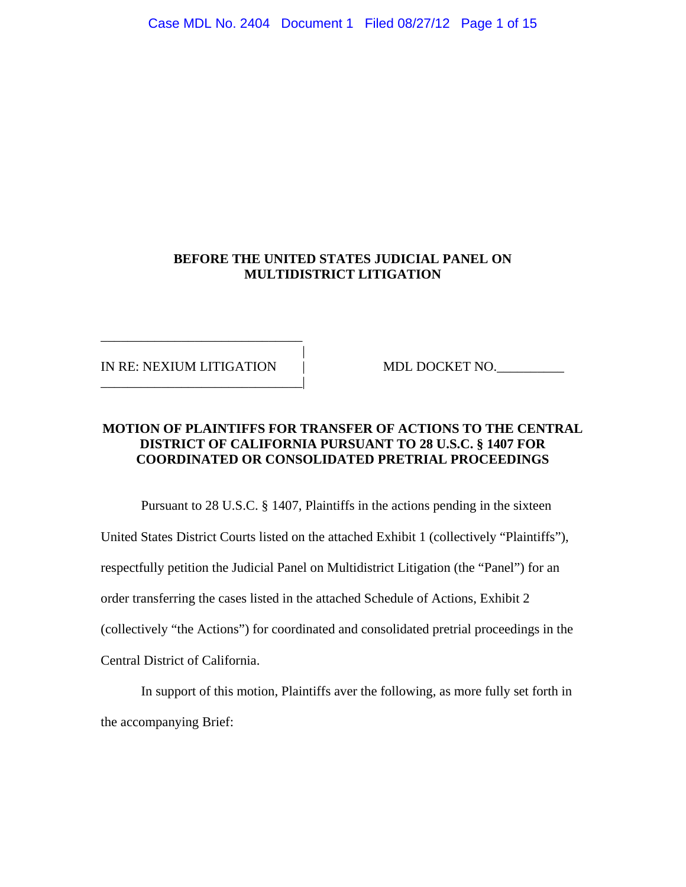Case MDL No. 2404 Document 1 Filed 08/27/12 Page 1 of 15

#### **BEFORE THE UNITED STATES JUDICIAL PANEL ON MULTIDISTRICT LITIGATION**

IN RE: NEXIUM LITIGATION | MDL DOCKET NO.\_\_\_\_\_\_\_\_\_\_

\_\_\_\_\_\_\_\_\_\_\_\_\_\_\_\_\_\_\_\_\_\_\_\_\_\_\_\_\_\_ |

\_\_\_\_\_\_\_\_\_\_\_\_\_\_\_\_\_\_\_\_\_\_\_\_\_\_\_\_\_\_|

#### **MOTION OF PLAINTIFFS FOR TRANSFER OF ACTIONS TO THE CENTRAL DISTRICT OF CALIFORNIA PURSUANT TO 28 U.S.C. § 1407 FOR COORDINATED OR CONSOLIDATED PRETRIAL PROCEEDINGS**

 Pursuant to 28 U.S.C. § 1407, Plaintiffs in the actions pending in the sixteen United States District Courts listed on the attached Exhibit 1 (collectively "Plaintiffs"), respectfully petition the Judicial Panel on Multidistrict Litigation (the "Panel") for an order transferring the cases listed in the attached Schedule of Actions, Exhibit 2 (collectively "the Actions") for coordinated and consolidated pretrial proceedings in the Central District of California.

In support of this motion, Plaintiffs aver the following, as more fully set forth in the accompanying Brief: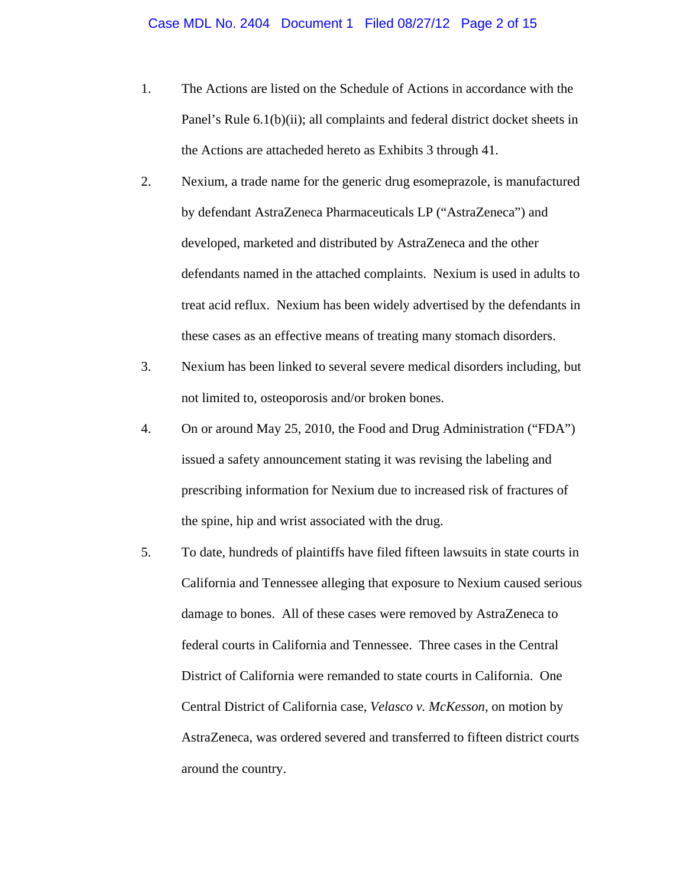- 1. The Actions are listed on the Schedule of Actions in accordance with the Panel's Rule 6.1(b)(ii); all complaints and federal district docket sheets in the Actions are attacheded hereto as Exhibits 3 through 41.
- 2. Nexium, a trade name for the generic drug esomeprazole, is manufactured by defendant AstraZeneca Pharmaceuticals LP ("AstraZeneca") and developed, marketed and distributed by AstraZeneca and the other defendants named in the attached complaints. Nexium is used in adults to treat acid reflux. Nexium has been widely advertised by the defendants in these cases as an effective means of treating many stomach disorders.
- 3. Nexium has been linked to several severe medical disorders including, but not limited to, osteoporosis and/or broken bones.
- 4. On or around May 25, 2010, the Food and Drug Administration ("FDA") issued a safety announcement stating it was revising the labeling and prescribing information for Nexium due to increased risk of fractures of the spine, hip and wrist associated with the drug.
- 5. To date, hundreds of plaintiffs have filed fifteen lawsuits in state courts in California and Tennessee alleging that exposure to Nexium caused serious damage to bones. All of these cases were removed by AstraZeneca to federal courts in California and Tennessee. Three cases in the Central District of California were remanded to state courts in California. One Central District of California case, *Velasco v. McKesson*, on motion by AstraZeneca, was ordered severed and transferred to fifteen district courts around the country.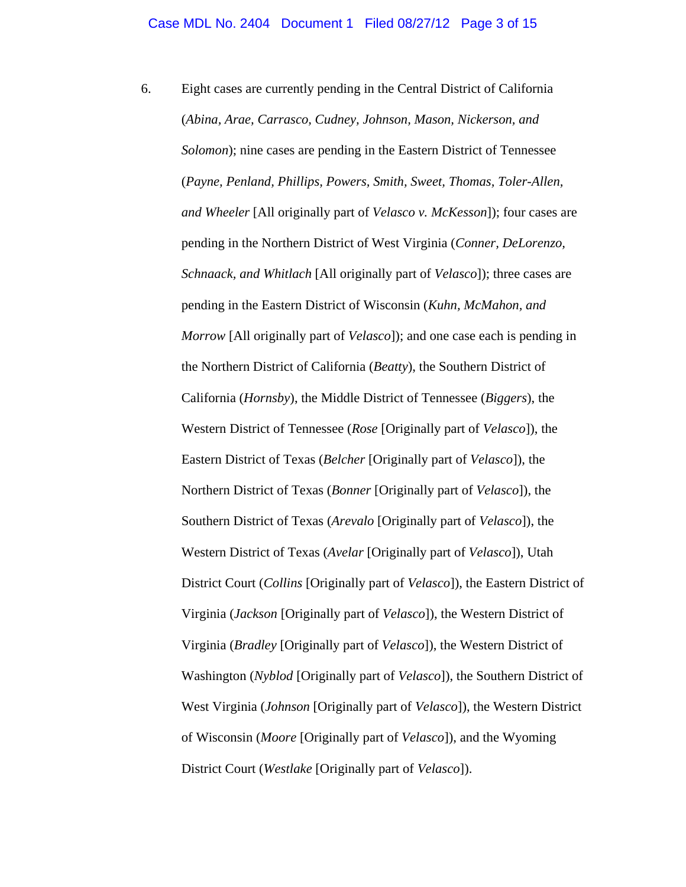6. Eight cases are currently pending in the Central District of California (*Abina, Arae, Carrasco, Cudney, Johnson, Mason, Nickerson, and Solomon*); nine cases are pending in the Eastern District of Tennessee (*Payne, Penland, Phillips, Powers, Smith, Sweet, Thomas, Toler-Allen, and Wheeler* [All originally part of *Velasco v. McKesson*]); four cases are pending in the Northern District of West Virginia (*Conner, DeLorenzo, Schnaack, and Whitlach* [All originally part of *Velasco*]); three cases are pending in the Eastern District of Wisconsin (*Kuhn, McMahon, and Morrow* [All originally part of *Velasco*]); and one case each is pending in the Northern District of California (*Beatty*), the Southern District of California (*Hornsby*), the Middle District of Tennessee (*Biggers*), the Western District of Tennessee (*Rose* [Originally part of *Velasco*]), the Eastern District of Texas (*Belcher* [Originally part of *Velasco*]), the Northern District of Texas (*Bonner* [Originally part of *Velasco*]), the Southern District of Texas (*Arevalo* [Originally part of *Velasco*]), the Western District of Texas (*Avelar* [Originally part of *Velasco*]), Utah District Court (*Collins* [Originally part of *Velasco*]), the Eastern District of Virginia (*Jackson* [Originally part of *Velasco*]), the Western District of Virginia (*Bradley* [Originally part of *Velasco*]), the Western District of Washington (*Nyblod* [Originally part of *Velasco*]), the Southern District of West Virginia (*Johnson* [Originally part of *Velasco*]), the Western District of Wisconsin (*Moore* [Originally part of *Velasco*]), and the Wyoming District Court (*Westlake* [Originally part of *Velasco*]).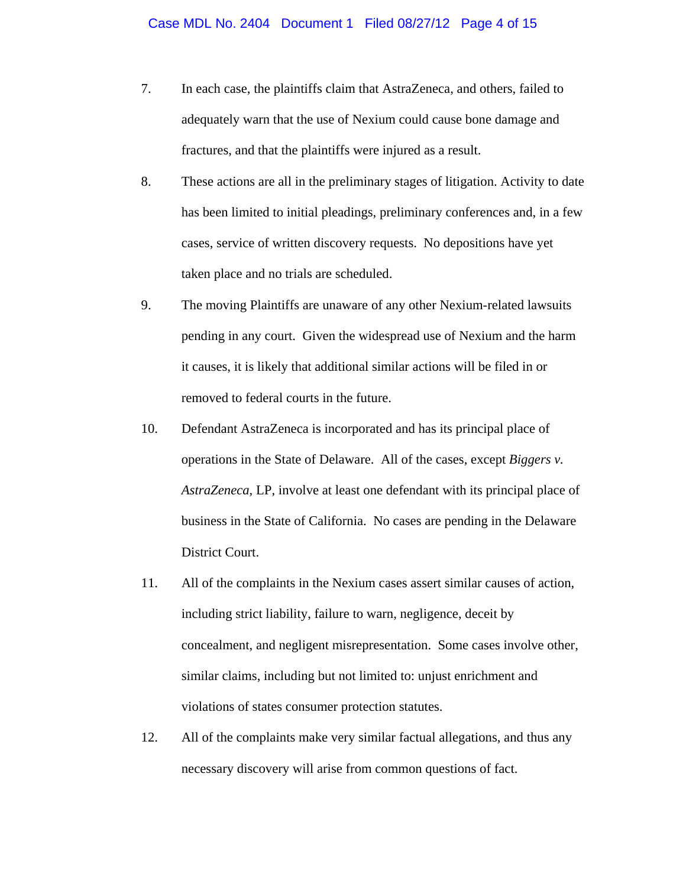- 7. In each case, the plaintiffs claim that AstraZeneca, and others, failed to adequately warn that the use of Nexium could cause bone damage and fractures, and that the plaintiffs were injured as a result.
- 8. These actions are all in the preliminary stages of litigation. Activity to date has been limited to initial pleadings, preliminary conferences and, in a few cases, service of written discovery requests. No depositions have yet taken place and no trials are scheduled.
- 9. The moving Plaintiffs are unaware of any other Nexium-related lawsuits pending in any court. Given the widespread use of Nexium and the harm it causes, it is likely that additional similar actions will be filed in or removed to federal courts in the future.
- 10. Defendant AstraZeneca is incorporated and has its principal place of operations in the State of Delaware. All of the cases, except *Biggers v. AstraZeneca,* LP, involve at least one defendant with its principal place of business in the State of California. No cases are pending in the Delaware District Court.
- 11. All of the complaints in the Nexium cases assert similar causes of action, including strict liability, failure to warn, negligence, deceit by concealment, and negligent misrepresentation. Some cases involve other, similar claims, including but not limited to: unjust enrichment and violations of states consumer protection statutes.
- 12. All of the complaints make very similar factual allegations, and thus any necessary discovery will arise from common questions of fact.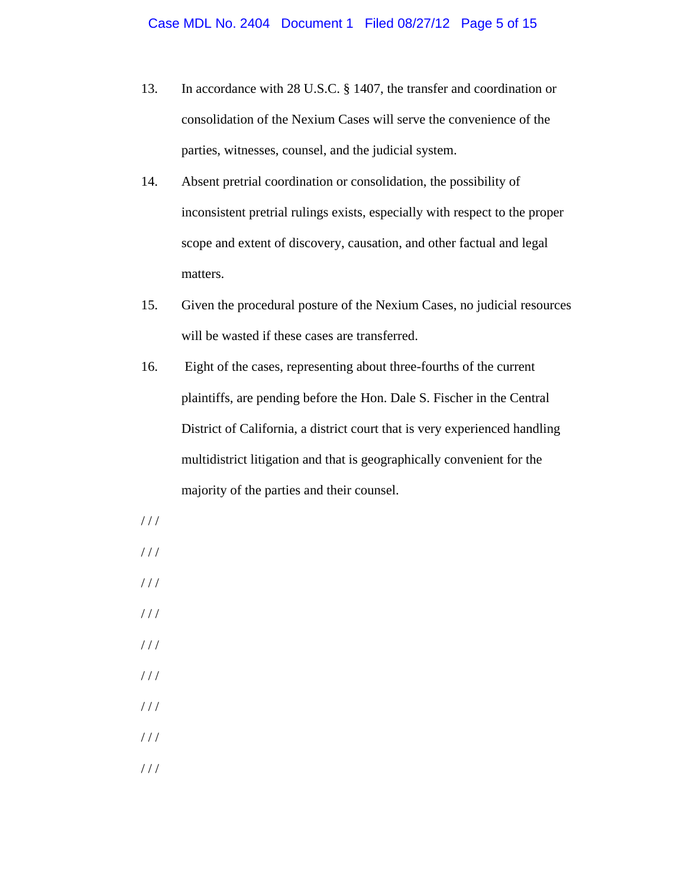- 13. In accordance with 28 U.S.C. § 1407, the transfer and coordination or consolidation of the Nexium Cases will serve the convenience of the parties, witnesses, counsel, and the judicial system.
- 14. Absent pretrial coordination or consolidation, the possibility of inconsistent pretrial rulings exists, especially with respect to the proper scope and extent of discovery, causation, and other factual and legal matters.
- 15. Given the procedural posture of the Nexium Cases, no judicial resources will be wasted if these cases are transferred.
- 16. Eight of the cases, representing about three-fourths of the current plaintiffs, are pending before the Hon. Dale S. Fischer in the Central District of California, a district court that is very experienced handling multidistrict litigation and that is geographically convenient for the majority of the parties and their counsel.
- / / /
- / / /
- $///$
- / / /
- / / /
- / / /
- $//$
- 
- $1/1$
- / / /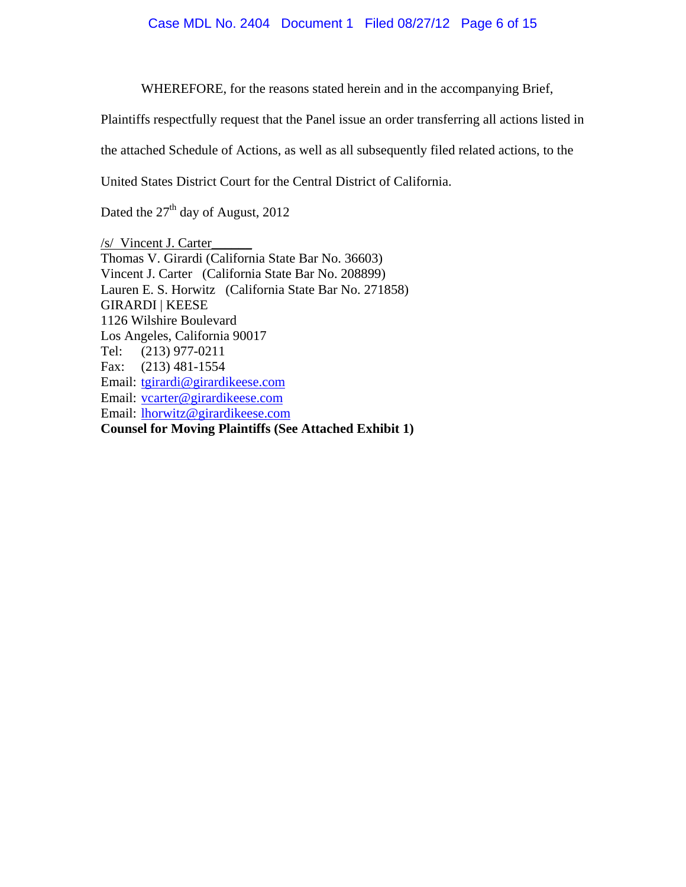#### Case MDL No. 2404 Document 1 Filed 08/27/12 Page 6 of 15

WHEREFORE, for the reasons stated herein and in the accompanying Brief,

Plaintiffs respectfully request that the Panel issue an order transferring all actions listed in

the attached Schedule of Actions, as well as all subsequently filed related actions, to the

United States District Court for the Central District of California.

Dated the  $27<sup>th</sup>$  day of August, 2012

/s/ Vincent J. Carter\_\_\_\_\_\_ Thomas V. Girardi (California State Bar No. 36603) Vincent J. Carter (California State Bar No. 208899) Lauren E. S. Horwitz (California State Bar No. 271858) GIRARDI | KEESE 1126 Wilshire Boulevard Los Angeles, California 90017 Tel: (213) 977-0211 Fax: (213) 481-1554 Email: tgirardi@girardikeese.com Email: vcarter@girardikeese.com Email: lhorwitz@girardikeese.com **Counsel for Moving Plaintiffs (See Attached Exhibit 1)**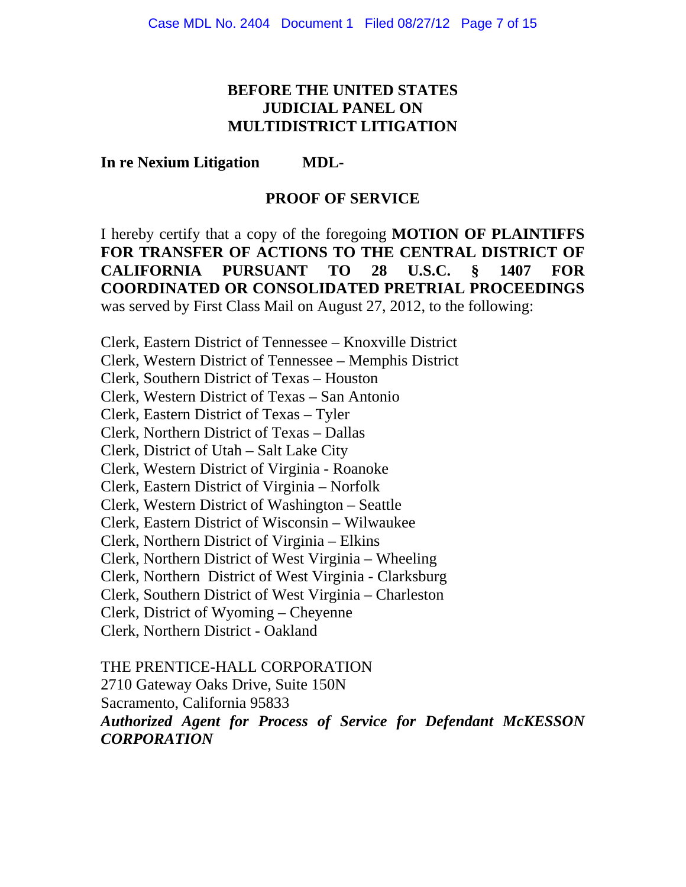## **BEFORE THE UNITED STATES JUDICIAL PANEL ON MULTIDISTRICT LITIGATION**

#### **In re Nexium Litigation MDL-**

#### **PROOF OF SERVICE**

I hereby certify that a copy of the foregoing **MOTION OF PLAINTIFFS FOR TRANSFER OF ACTIONS TO THE CENTRAL DISTRICT OF CALIFORNIA PURSUANT TO 28 U.S.C. § 1407 FOR COORDINATED OR CONSOLIDATED PRETRIAL PROCEEDINGS** was served by First Class Mail on August 27, 2012, to the following:

Clerk, Eastern District of Tennessee – Knoxville District Clerk, Western District of Tennessee – Memphis District Clerk, Southern District of Texas – Houston Clerk, Western District of Texas – San Antonio Clerk, Eastern District of Texas – Tyler Clerk, Northern District of Texas – Dallas Clerk, District of Utah – Salt Lake City Clerk, Western District of Virginia - Roanoke Clerk, Eastern District of Virginia – Norfolk Clerk, Western District of Washington – Seattle Clerk, Eastern District of Wisconsin – Wilwaukee Clerk, Northern District of Virginia – Elkins Clerk, Northern District of West Virginia – Wheeling Clerk, Northern District of West Virginia - Clarksburg Clerk, Southern District of West Virginia – Charleston Clerk, District of Wyoming – Cheyenne Clerk, Northern District - Oakland

#### THE PRENTICE-HALL CORPORATION

2710 Gateway Oaks Drive, Suite 150N

Sacramento, California 95833

*Authorized Agent for Process of Service for Defendant McKESSON CORPORATION*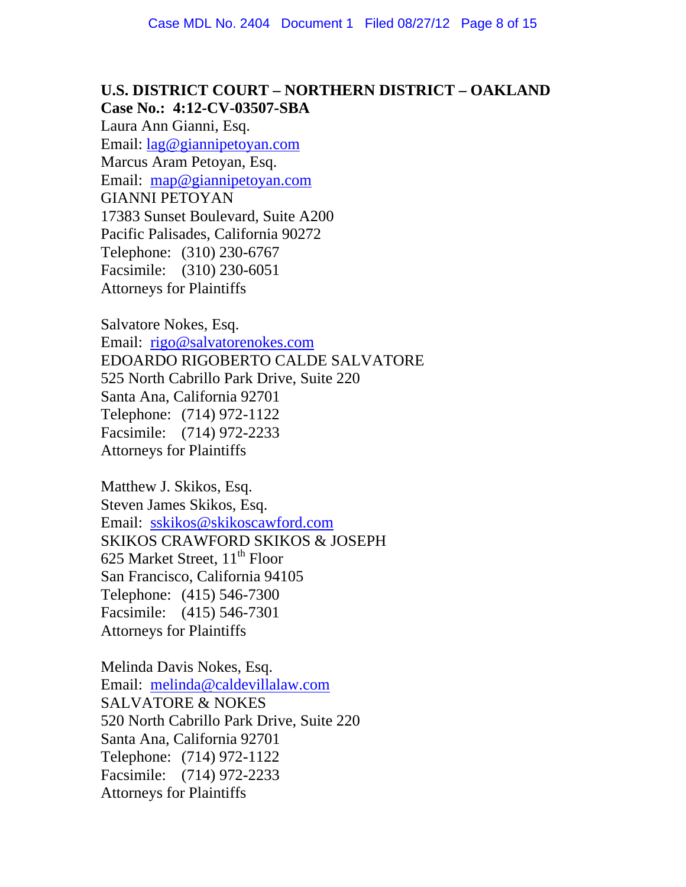## **U.S. DISTRICT COURT – NORTHERN DISTRICT – OAKLAND Case No.: 4:12-CV-03507-SBA**

Laura Ann Gianni, Esq. Email: lag@giannipetoyan.com Marcus Aram Petoyan, Esq. Email: map@giannipetoyan.com GIANNI PETOYAN 17383 Sunset Boulevard, Suite A200 Pacific Palisades, California 90272 Telephone: (310) 230-6767 Facsimile: (310) 230-6051 Attorneys for Plaintiffs

Salvatore Nokes, Esq. Email: rigo@salvatorenokes.com EDOARDO RIGOBERTO CALDE SALVATORE 525 North Cabrillo Park Drive, Suite 220 Santa Ana, California 92701 Telephone: (714) 972-1122 Facsimile: (714) 972-2233 Attorneys for Plaintiffs

Matthew J. Skikos, Esq. Steven James Skikos, Esq. Email: sskikos@skikoscawford.com SKIKOS CRAWFORD SKIKOS & JOSEPH 625 Market Street,  $11<sup>th</sup>$  Floor San Francisco, California 94105 Telephone: (415) 546-7300 Facsimile: (415) 546-7301 Attorneys for Plaintiffs

Melinda Davis Nokes, Esq. Email: melinda@caldevillalaw.com SALVATORE & NOKES 520 North Cabrillo Park Drive, Suite 220 Santa Ana, California 92701 Telephone: (714) 972-1122 Facsimile: (714) 972-2233 Attorneys for Plaintiffs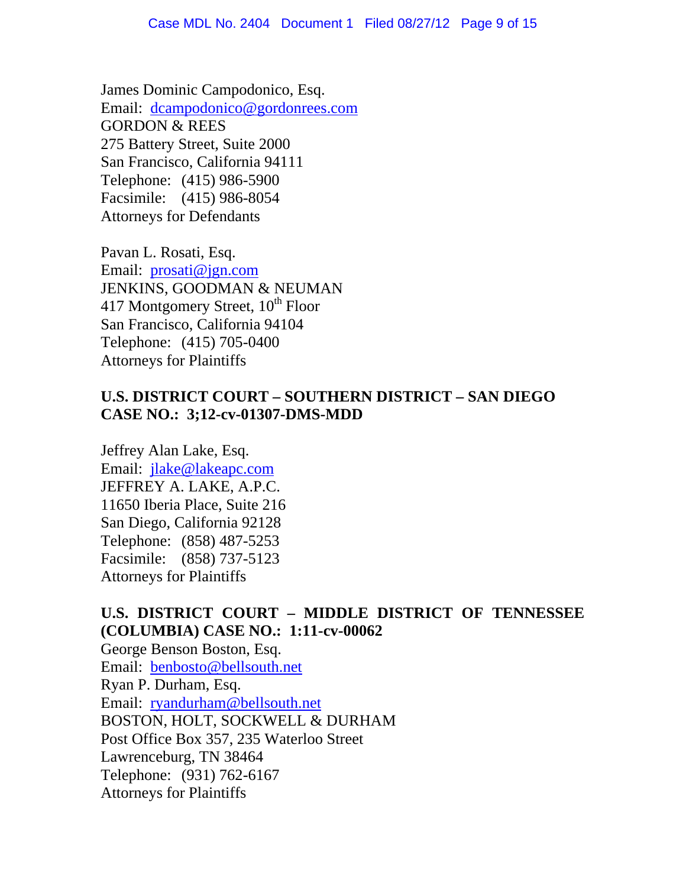James Dominic Campodonico, Esq. Email: dcampodonico@gordonrees.com GORDON & REES 275 Battery Street, Suite 2000 San Francisco, California 94111 Telephone: (415) 986-5900 Facsimile: (415) 986-8054 Attorneys for Defendants

Pavan L. Rosati, Esq. Email: prosati@jgn.com JENKINS, GOODMAN & NEUMAN 417 Montgomery Street,  $10^{th}$  Floor San Francisco, California 94104 Telephone: (415) 705-0400 Attorneys for Plaintiffs

# **U.S. DISTRICT COURT – SOUTHERN DISTRICT – SAN DIEGO CASE NO.: 3;12-cv-01307-DMS-MDD**

Jeffrey Alan Lake, Esq. Email: jlake@lakeapc.com JEFFREY A. LAKE, A.P.C. 11650 Iberia Place, Suite 216 San Diego, California 92128 Telephone: (858) 487-5253 Facsimile: (858) 737-5123 Attorneys for Plaintiffs

## **U.S. DISTRICT COURT – MIDDLE DISTRICT OF TENNESSEE (COLUMBIA) CASE NO.: 1:11-cv-00062**

George Benson Boston, Esq. Email: benbosto@bellsouth.net Ryan P. Durham, Esq. Email: ryandurham@bellsouth.net BOSTON, HOLT, SOCKWELL & DURHAM Post Office Box 357, 235 Waterloo Street Lawrenceburg, TN 38464 Telephone: (931) 762-6167 Attorneys for Plaintiffs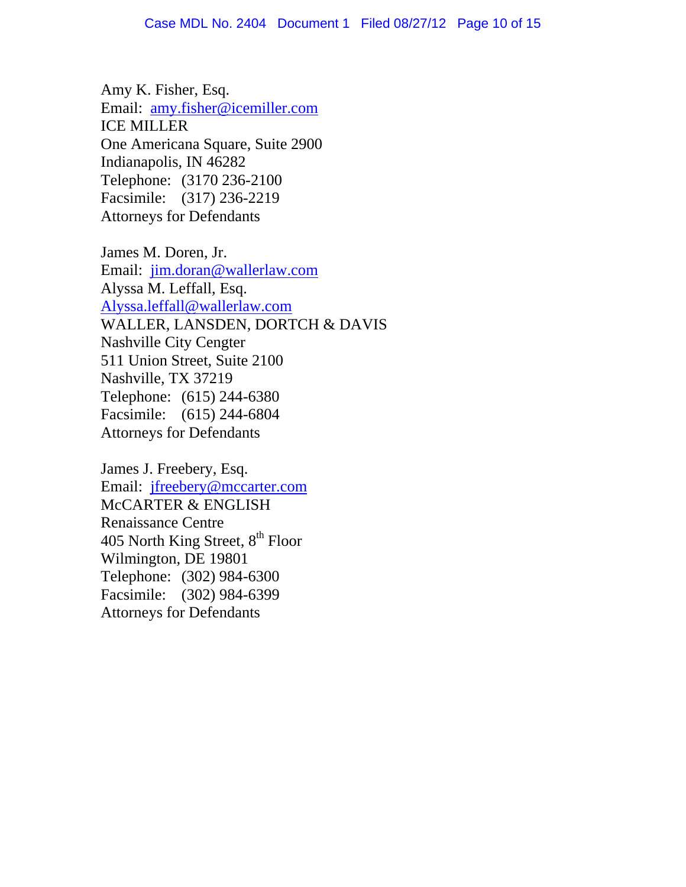Amy K. Fisher, Esq. Email: amy.fisher@icemiller.com ICE MILLER One Americana Square, Suite 2900 Indianapolis, IN 46282 Telephone: (3170 236-2100 Facsimile: (317) 236-2219 Attorneys for Defendants

James M. Doren, Jr. Email: jim.doran@wallerlaw.com Alyssa M. Leffall, Esq. Alyssa.leffall@wallerlaw.com WALLER, LANSDEN, DORTCH & DAVIS Nashville City Cengter 511 Union Street, Suite 2100 Nashville, TX 37219 Telephone: (615) 244-6380 Facsimile: (615) 244-6804 Attorneys for Defendants

James J. Freebery, Esq. Email: jfreebery@mccarter.com McCARTER & ENGLISH Renaissance Centre 405 North King Street,  $8<sup>th</sup>$  Floor Wilmington, DE 19801 Telephone: (302) 984-6300 Facsimile: (302) 984-6399 Attorneys for Defendants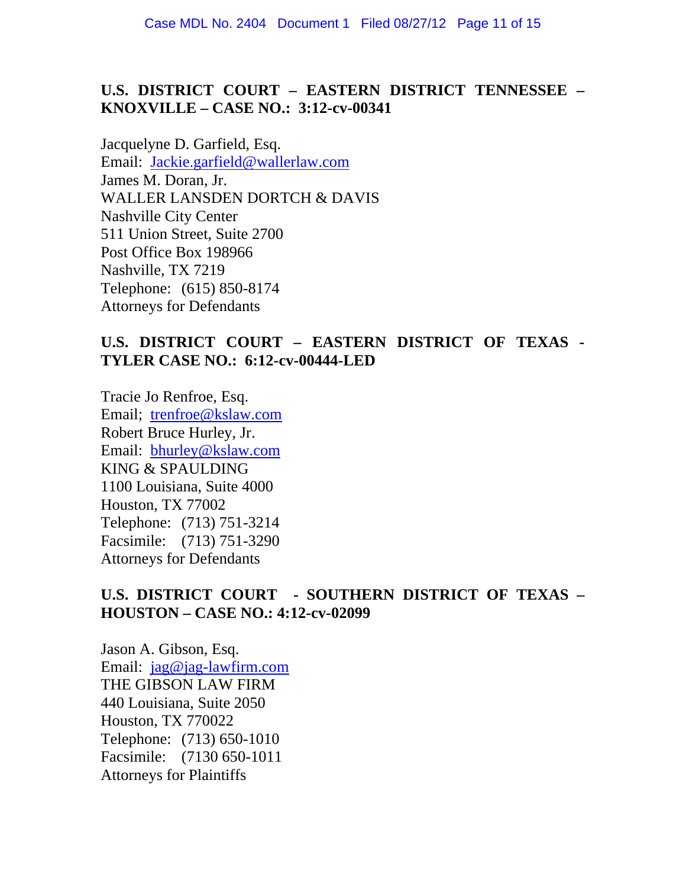# **U.S. DISTRICT COURT – EASTERN DISTRICT TENNESSEE – KNOXVILLE – CASE NO.: 3:12-cv-00341**

Jacquelyne D. Garfield, Esq. Email: Jackie.garfield@wallerlaw.com James M. Doran, Jr. WALLER LANSDEN DORTCH & DAVIS Nashville City Center 511 Union Street, Suite 2700 Post Office Box 198966 Nashville, TX 7219 Telephone: (615) 850-8174 Attorneys for Defendants

#### **U.S. DISTRICT COURT – EASTERN DISTRICT OF TEXAS - TYLER CASE NO.: 6:12-cv-00444-LED**

Tracie Jo Renfroe, Esq. Email; trenfroe@kslaw.com Robert Bruce Hurley, Jr. Email: bhurley@kslaw.com KING & SPAULDING 1100 Louisiana, Suite 4000 Houston, TX 77002 Telephone: (713) 751-3214 Facsimile: (713) 751-3290 Attorneys for Defendants

### **U.S. DISTRICT COURT - SOUTHERN DISTRICT OF TEXAS – HOUSTON – CASE NO.: 4:12-cv-02099**

Jason A. Gibson, Esq. Email: jag@jag-lawfirm.com THE GIBSON LAW FIRM 440 Louisiana, Suite 2050 Houston, TX 770022 Telephone: (713) 650-1010 Facsimile: (7130 650-1011 Attorneys for Plaintiffs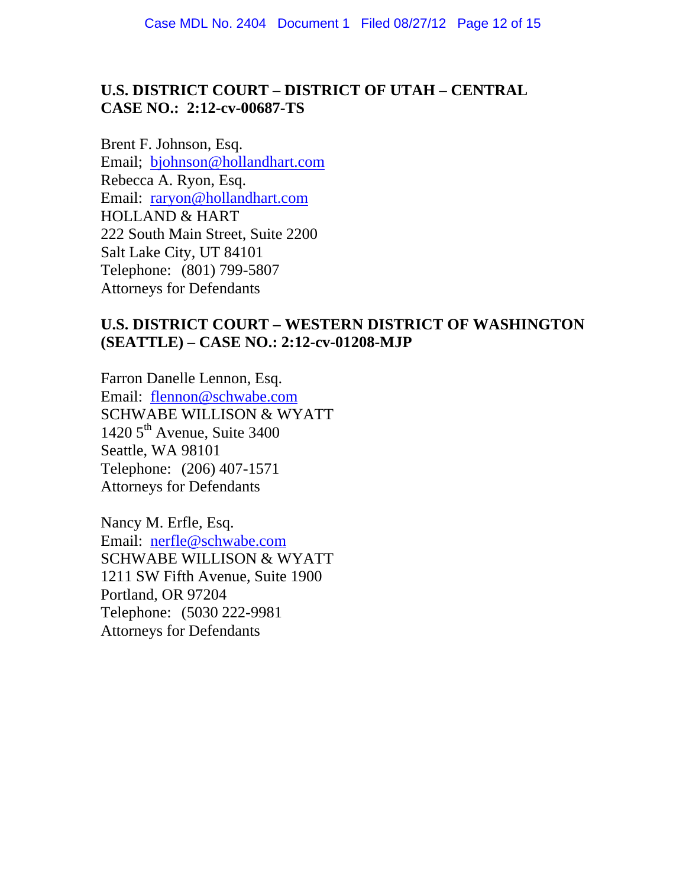# **U.S. DISTRICT COURT – DISTRICT OF UTAH – CENTRAL CASE NO.: 2:12-cv-00687-TS**

Brent F. Johnson, Esq. Email; bjohnson@hollandhart.com Rebecca A. Ryon, Esq. Email: raryon@hollandhart.com HOLLAND & HART 222 South Main Street, Suite 2200 Salt Lake City, UT 84101 Telephone: (801) 799-5807 Attorneys for Defendants

## **U.S. DISTRICT COURT – WESTERN DISTRICT OF WASHINGTON (SEATTLE) – CASE NO.: 2:12-cv-01208-MJP**

Farron Danelle Lennon, Esq. Email: flennon@schwabe.com SCHWABE WILLISON & WYATT 1420  $5<sup>th</sup>$  Avenue, Suite 3400 Seattle, WA 98101 Telephone: (206) 407-1571 Attorneys for Defendants

Nancy M. Erfle, Esq. Email: nerfle@schwabe.com SCHWABE WILLISON & WYATT 1211 SW Fifth Avenue, Suite 1900 Portland, OR 97204 Telephone: (5030 222-9981 Attorneys for Defendants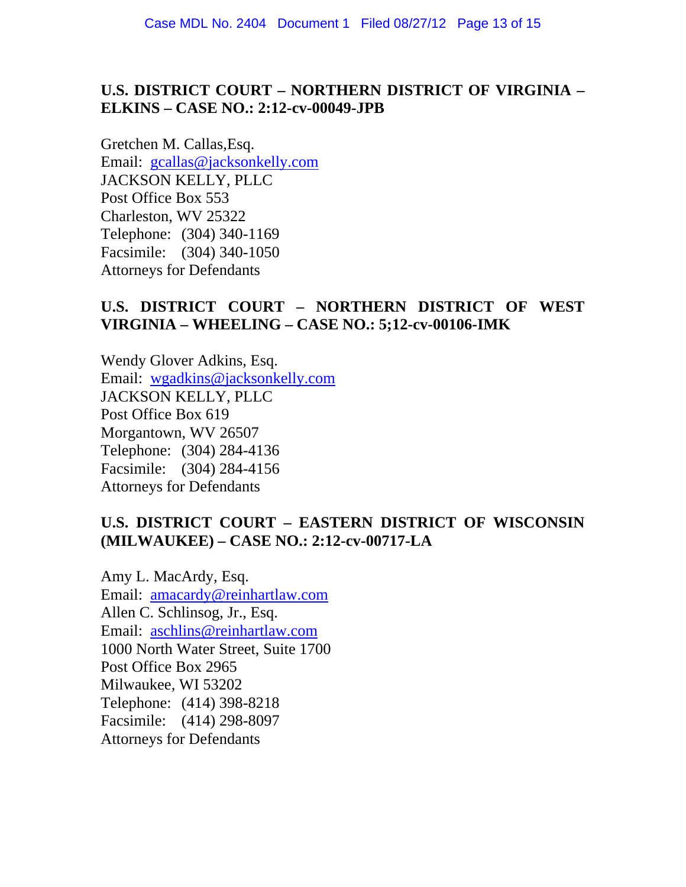## **U.S. DISTRICT COURT – NORTHERN DISTRICT OF VIRGINIA – ELKINS – CASE NO.: 2:12-cv-00049-JPB**

Gretchen M. Callas,Esq. Email: gcallas@jacksonkelly.com JACKSON KELLY, PLLC Post Office Box 553 Charleston, WV 25322 Telephone: (304) 340-1169 Facsimile: (304) 340-1050 Attorneys for Defendants

#### **U.S. DISTRICT COURT – NORTHERN DISTRICT OF WEST VIRGINIA – WHEELING – CASE NO.: 5;12-cv-00106-IMK**

Wendy Glover Adkins, Esq. Email: wgadkins@jacksonkelly.com JACKSON KELLY, PLLC Post Office Box 619 Morgantown, WV 26507 Telephone: (304) 284-4136 Facsimile: (304) 284-4156 Attorneys for Defendants

#### **U.S. DISTRICT COURT – EASTERN DISTRICT OF WISCONSIN (MILWAUKEE) – CASE NO.: 2:12-cv-00717-LA**

Amy L. MacArdy, Esq. Email: amacardy@reinhartlaw.com Allen C. Schlinsog, Jr., Esq. Email: aschlins@reinhartlaw.com 1000 North Water Street, Suite 1700 Post Office Box 2965 Milwaukee, WI 53202 Telephone: (414) 398-8218 Facsimile: (414) 298-8097 Attorneys for Defendants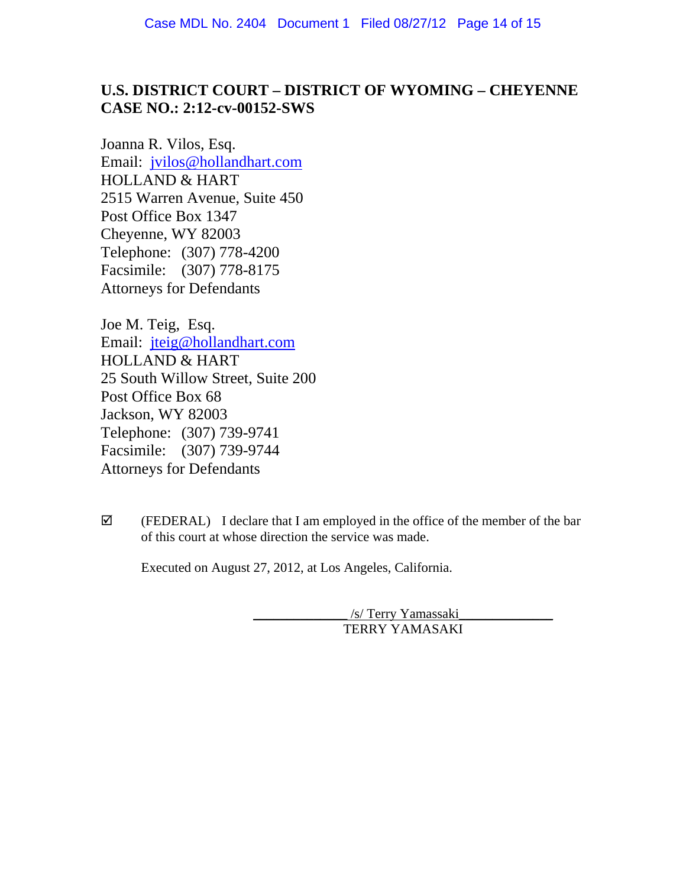# **U.S. DISTRICT COURT – DISTRICT OF WYOMING – CHEYENNE CASE NO.: 2:12-cv-00152-SWS**

Joanna R. Vilos, Esq. Email: jvilos@hollandhart.com HOLLAND & HART 2515 Warren Avenue, Suite 450 Post Office Box 1347 Cheyenne, WY 82003 Telephone: (307) 778-4200 Facsimile: (307) 778-8175 Attorneys for Defendants

Joe M. Teig, Esq. Email: jteig@hollandhart.com HOLLAND & HART 25 South Willow Street, Suite 200 Post Office Box 68 Jackson, WY 82003 Telephone: (307) 739-9741 Facsimile: (307) 739-9744 Attorneys for Defendants

 $\boxtimes$  (FEDERAL) I declare that I am employed in the office of the member of the bar of this court at whose direction the service was made.

Executed on August 27, 2012, at Los Angeles, California.

\_\_\_\_\_\_\_\_\_\_\_\_\_\_ /s/ Terry Yamassaki\_\_\_\_\_\_\_\_\_\_\_\_\_\_ TERRY YAMASAKI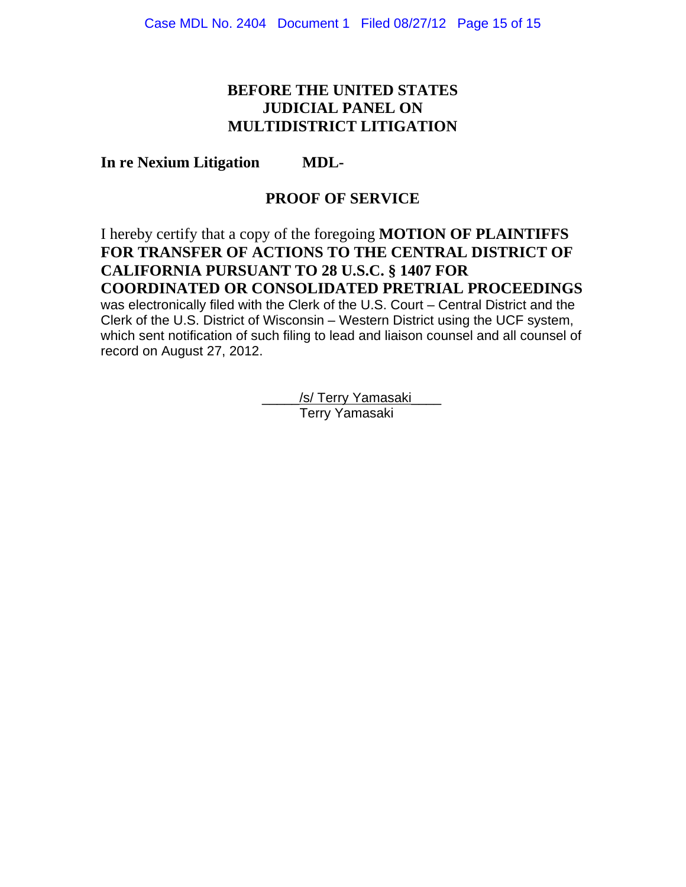## **BEFORE THE UNITED STATES JUDICIAL PANEL ON MULTIDISTRICT LITIGATION**

#### **In re Nexium Litigation MDL-**

#### **PROOF OF SERVICE**

#### I hereby certify that a copy of the foregoing **MOTION OF PLAINTIFFS FOR TRANSFER OF ACTIONS TO THE CENTRAL DISTRICT OF CALIFORNIA PURSUANT TO 28 U.S.C. § 1407 FOR COORDINATED OR CONSOLIDATED PRETRIAL PROCEEDINGS** was electronically filed with the Clerk of the U.S. Court – Central District and the Clerk of the U.S. District of Wisconsin – Western District using the UCF system, which sent notification of such filing to lead and liaison counsel and all counsel of

record on August 27, 2012.

/s/ Terry Yamasaki Terry Yamasaki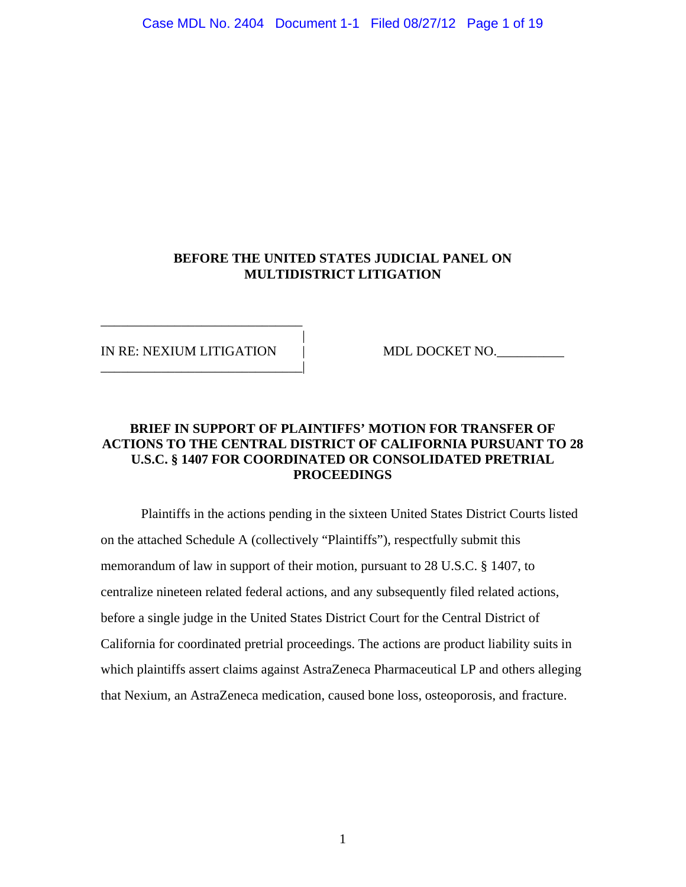Case MDL No. 2404 Document 1-1 Filed 08/27/12 Page 1 of 19

#### **BEFORE THE UNITED STATES JUDICIAL PANEL ON MULTIDISTRICT LITIGATION**

\_\_\_\_\_\_\_\_\_\_\_\_\_\_\_\_\_\_\_\_\_\_\_\_\_\_\_\_\_\_ |

\_\_\_\_\_\_\_\_\_\_\_\_\_\_\_\_\_\_\_\_\_\_\_\_\_\_\_\_\_\_|

IN RE: NEXIUM LITIGATION | MDL DOCKET NO.

#### **BRIEF IN SUPPORT OF PLAINTIFFS' MOTION FOR TRANSFER OF ACTIONS TO THE CENTRAL DISTRICT OF CALIFORNIA PURSUANT TO 28 U.S.C. § 1407 FOR COORDINATED OR CONSOLIDATED PRETRIAL PROCEEDINGS**

Plaintiffs in the actions pending in the sixteen United States District Courts listed on the attached Schedule A (collectively "Plaintiffs"), respectfully submit this memorandum of law in support of their motion, pursuant to 28 U.S.C. § 1407, to centralize nineteen related federal actions, and any subsequently filed related actions, before a single judge in the United States District Court for the Central District of California for coordinated pretrial proceedings. The actions are product liability suits in which plaintiffs assert claims against AstraZeneca Pharmaceutical LP and others alleging that Nexium, an AstraZeneca medication, caused bone loss, osteoporosis, and fracture.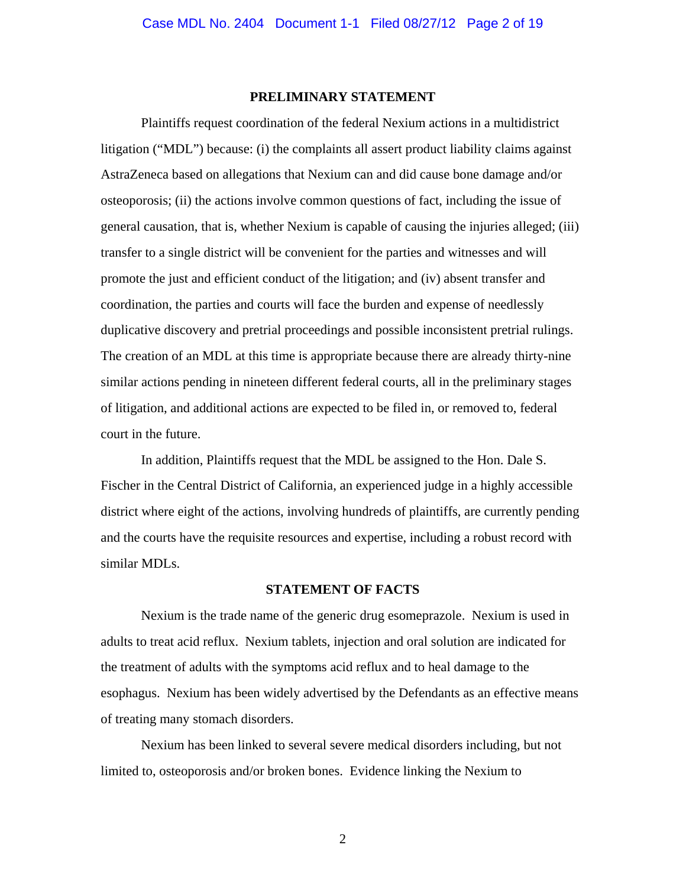#### **PRELIMINARY STATEMENT**

Plaintiffs request coordination of the federal Nexium actions in a multidistrict litigation ("MDL") because: (i) the complaints all assert product liability claims against AstraZeneca based on allegations that Nexium can and did cause bone damage and/or osteoporosis; (ii) the actions involve common questions of fact, including the issue of general causation, that is, whether Nexium is capable of causing the injuries alleged; (iii) transfer to a single district will be convenient for the parties and witnesses and will promote the just and efficient conduct of the litigation; and (iv) absent transfer and coordination, the parties and courts will face the burden and expense of needlessly duplicative discovery and pretrial proceedings and possible inconsistent pretrial rulings. The creation of an MDL at this time is appropriate because there are already thirty-nine similar actions pending in nineteen different federal courts, all in the preliminary stages of litigation, and additional actions are expected to be filed in, or removed to, federal court in the future.

In addition, Plaintiffs request that the MDL be assigned to the Hon. Dale S. Fischer in the Central District of California, an experienced judge in a highly accessible district where eight of the actions, involving hundreds of plaintiffs, are currently pending and the courts have the requisite resources and expertise, including a robust record with similar MDLs.

#### **STATEMENT OF FACTS**

Nexium is the trade name of the generic drug esomeprazole. Nexium is used in adults to treat acid reflux. Nexium tablets, injection and oral solution are indicated for the treatment of adults with the symptoms acid reflux and to heal damage to the esophagus. Nexium has been widely advertised by the Defendants as an effective means of treating many stomach disorders.

Nexium has been linked to several severe medical disorders including, but not limited to, osteoporosis and/or broken bones. Evidence linking the Nexium to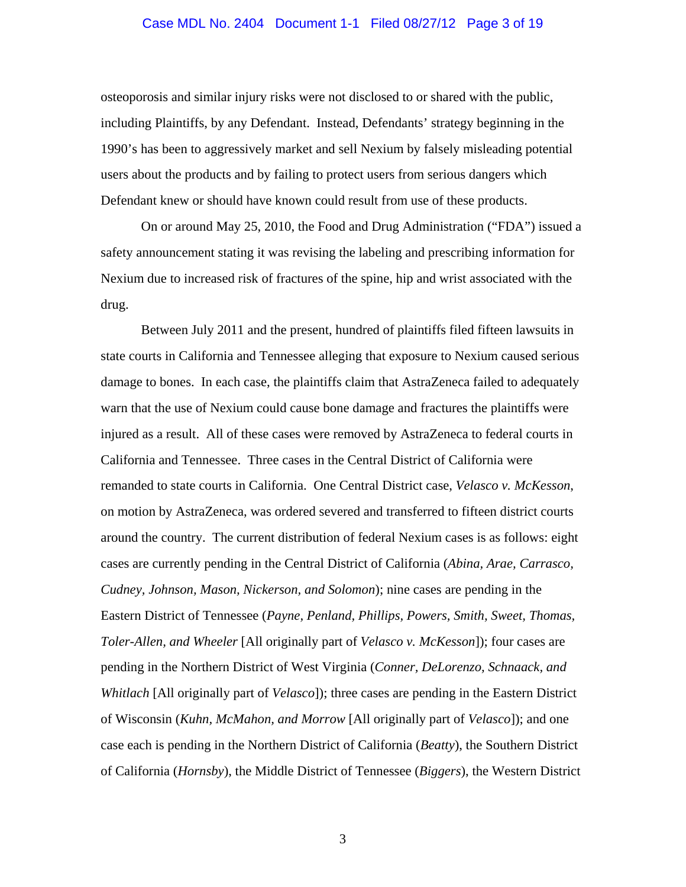#### Case MDL No. 2404 Document 1-1 Filed 08/27/12 Page 3 of 19

osteoporosis and similar injury risks were not disclosed to or shared with the public, including Plaintiffs, by any Defendant. Instead, Defendants' strategy beginning in the 1990's has been to aggressively market and sell Nexium by falsely misleading potential users about the products and by failing to protect users from serious dangers which Defendant knew or should have known could result from use of these products.

On or around May 25, 2010, the Food and Drug Administration ("FDA") issued a safety announcement stating it was revising the labeling and prescribing information for Nexium due to increased risk of fractures of the spine, hip and wrist associated with the drug.

Between July 2011 and the present, hundred of plaintiffs filed fifteen lawsuits in state courts in California and Tennessee alleging that exposure to Nexium caused serious damage to bones. In each case, the plaintiffs claim that AstraZeneca failed to adequately warn that the use of Nexium could cause bone damage and fractures the plaintiffs were injured as a result. All of these cases were removed by AstraZeneca to federal courts in California and Tennessee. Three cases in the Central District of California were remanded to state courts in California. One Central District case, *Velasco v. McKesson*, on motion by AstraZeneca, was ordered severed and transferred to fifteen district courts around the country. The current distribution of federal Nexium cases is as follows: eight cases are currently pending in the Central District of California (*Abina, Arae, Carrasco, Cudney, Johnson, Mason, Nickerson, and Solomon*); nine cases are pending in the Eastern District of Tennessee (*Payne, Penland, Phillips, Powers, Smith, Sweet, Thomas, Toler-Allen, and Wheeler* [All originally part of *Velasco v. McKesson*]); four cases are pending in the Northern District of West Virginia (*Conner, DeLorenzo, Schnaack, and Whitlach* [All originally part of *Velasco*]); three cases are pending in the Eastern District of Wisconsin (*Kuhn, McMahon, and Morrow* [All originally part of *Velasco*]); and one case each is pending in the Northern District of California (*Beatty*), the Southern District of California (*Hornsby*), the Middle District of Tennessee (*Biggers*), the Western District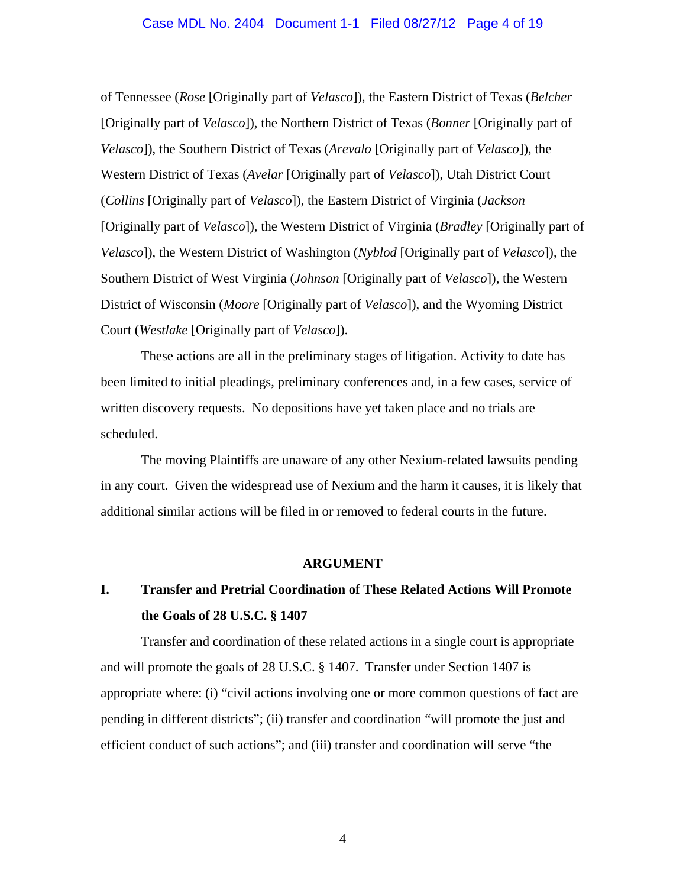of Tennessee (*Rose* [Originally part of *Velasco*]), the Eastern District of Texas (*Belcher* [Originally part of *Velasco*]), the Northern District of Texas (*Bonner* [Originally part of *Velasco*]), the Southern District of Texas (*Arevalo* [Originally part of *Velasco*]), the Western District of Texas (*Avelar* [Originally part of *Velasco*]), Utah District Court (*Collins* [Originally part of *Velasco*]), the Eastern District of Virginia (*Jackson* [Originally part of *Velasco*]), the Western District of Virginia (*Bradley* [Originally part of *Velasco*]), the Western District of Washington (*Nyblod* [Originally part of *Velasco*]), the Southern District of West Virginia (*Johnson* [Originally part of *Velasco*]), the Western District of Wisconsin (*Moore* [Originally part of *Velasco*]), and the Wyoming District Court (*Westlake* [Originally part of *Velasco*]).

These actions are all in the preliminary stages of litigation. Activity to date has been limited to initial pleadings, preliminary conferences and, in a few cases, service of written discovery requests. No depositions have yet taken place and no trials are scheduled.

The moving Plaintiffs are unaware of any other Nexium-related lawsuits pending in any court. Given the widespread use of Nexium and the harm it causes, it is likely that additional similar actions will be filed in or removed to federal courts in the future.

#### **ARGUMENT**

# **I. Transfer and Pretrial Coordination of These Related Actions Will Promote the Goals of 28 U.S.C. § 1407**

Transfer and coordination of these related actions in a single court is appropriate and will promote the goals of 28 U.S.C. § 1407. Transfer under Section 1407 is appropriate where: (i) "civil actions involving one or more common questions of fact are pending in different districts"; (ii) transfer and coordination "will promote the just and efficient conduct of such actions"; and (iii) transfer and coordination will serve "the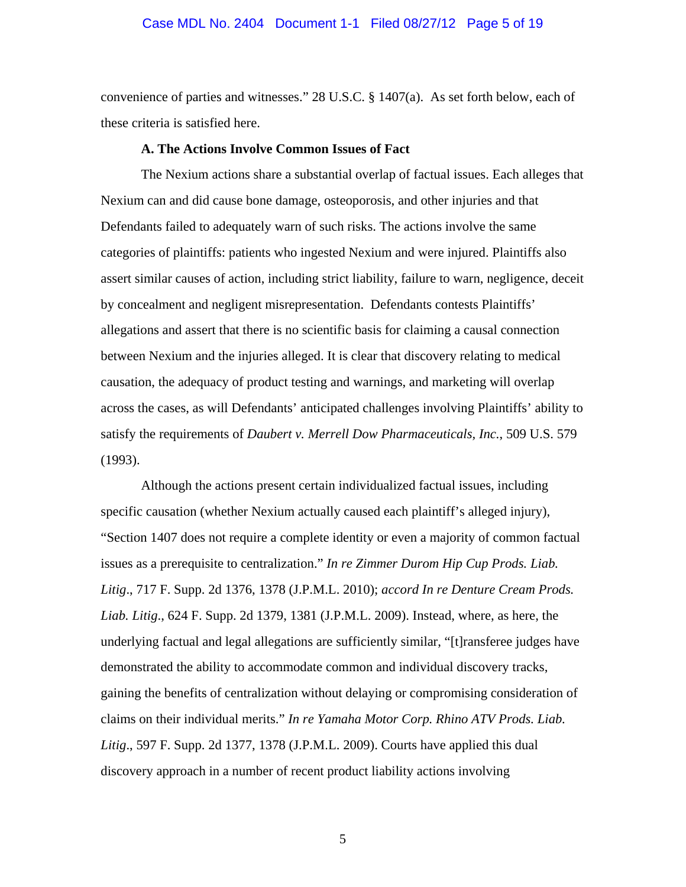#### Case MDL No. 2404 Document 1-1 Filed 08/27/12 Page 5 of 19

convenience of parties and witnesses." 28 U.S.C. § 1407(a). As set forth below, each of these criteria is satisfied here.

#### **A. The Actions Involve Common Issues of Fact**

The Nexium actions share a substantial overlap of factual issues. Each alleges that Nexium can and did cause bone damage, osteoporosis, and other injuries and that Defendants failed to adequately warn of such risks. The actions involve the same categories of plaintiffs: patients who ingested Nexium and were injured. Plaintiffs also assert similar causes of action, including strict liability, failure to warn, negligence, deceit by concealment and negligent misrepresentation. Defendants contests Plaintiffs' allegations and assert that there is no scientific basis for claiming a causal connection between Nexium and the injuries alleged. It is clear that discovery relating to medical causation, the adequacy of product testing and warnings, and marketing will overlap across the cases, as will Defendants' anticipated challenges involving Plaintiffs' ability to satisfy the requirements of *Daubert v. Merrell Dow Pharmaceuticals, Inc.*, 509 U.S. 579 (1993).

Although the actions present certain individualized factual issues, including specific causation (whether Nexium actually caused each plaintiff's alleged injury), "Section 1407 does not require a complete identity or even a majority of common factual issues as a prerequisite to centralization." *In re Zimmer Durom Hip Cup Prods. Liab. Litig*., 717 F. Supp. 2d 1376, 1378 (J.P.M.L. 2010); *accord In re Denture Cream Prods. Liab. Litig*., 624 F. Supp. 2d 1379, 1381 (J.P.M.L. 2009). Instead, where, as here, the underlying factual and legal allegations are sufficiently similar, "[t]ransferee judges have demonstrated the ability to accommodate common and individual discovery tracks, gaining the benefits of centralization without delaying or compromising consideration of claims on their individual merits." *In re Yamaha Motor Corp. Rhino ATV Prods. Liab. Litig*., 597 F. Supp. 2d 1377, 1378 (J.P.M.L. 2009). Courts have applied this dual discovery approach in a number of recent product liability actions involving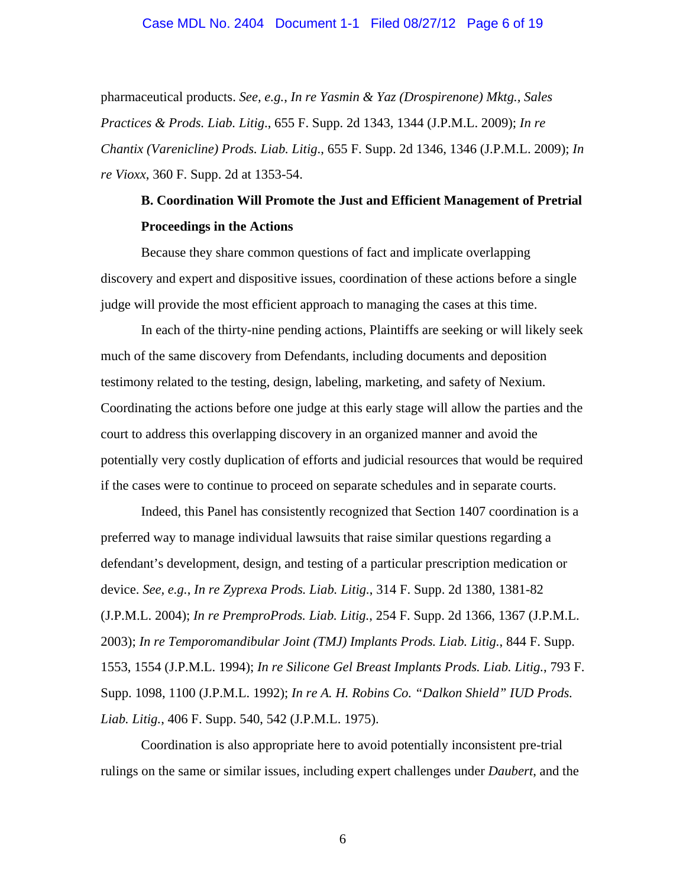#### Case MDL No. 2404 Document 1-1 Filed 08/27/12 Page 6 of 19

pharmaceutical products. *See, e.g.*, *In re Yasmin & Yaz (Drospirenone) Mktg., Sales Practices & Prods. Liab. Litig*., 655 F. Supp. 2d 1343, 1344 (J.P.M.L. 2009); *In re Chantix (Varenicline) Prods. Liab. Litig*., 655 F. Supp. 2d 1346, 1346 (J.P.M.L. 2009); *In re Vioxx*, 360 F. Supp. 2d at 1353-54.

# **B. Coordination Will Promote the Just and Efficient Management of Pretrial Proceedings in the Actions**

Because they share common questions of fact and implicate overlapping discovery and expert and dispositive issues, coordination of these actions before a single judge will provide the most efficient approach to managing the cases at this time.

In each of the thirty-nine pending actions, Plaintiffs are seeking or will likely seek much of the same discovery from Defendants, including documents and deposition testimony related to the testing, design, labeling, marketing, and safety of Nexium. Coordinating the actions before one judge at this early stage will allow the parties and the court to address this overlapping discovery in an organized manner and avoid the potentially very costly duplication of efforts and judicial resources that would be required if the cases were to continue to proceed on separate schedules and in separate courts.

Indeed, this Panel has consistently recognized that Section 1407 coordination is a preferred way to manage individual lawsuits that raise similar questions regarding a defendant's development, design, and testing of a particular prescription medication or device. *See, e.g.*, *In re Zyprexa Prods. Liab. Litig.*, 314 F. Supp. 2d 1380, 1381-82 (J.P.M.L. 2004); *In re PremproProds. Liab. Litig.*, 254 F. Supp. 2d 1366, 1367 (J.P.M.L. 2003); *In re Temporomandibular Joint (TMJ) Implants Prods. Liab. Litig.*, 844 F. Supp. 1553, 1554 (J.P.M.L. 1994); *In re Silicone Gel Breast Implants Prods. Liab. Litig.*, 793 F. Supp. 1098, 1100 (J.P.M.L. 1992); *In re A. H. Robins Co. "Dalkon Shield" IUD Prods. Liab. Litig.*, 406 F. Supp. 540, 542 (J.P.M.L. 1975).

Coordination is also appropriate here to avoid potentially inconsistent pre-trial rulings on the same or similar issues, including expert challenges under *Daubert*, and the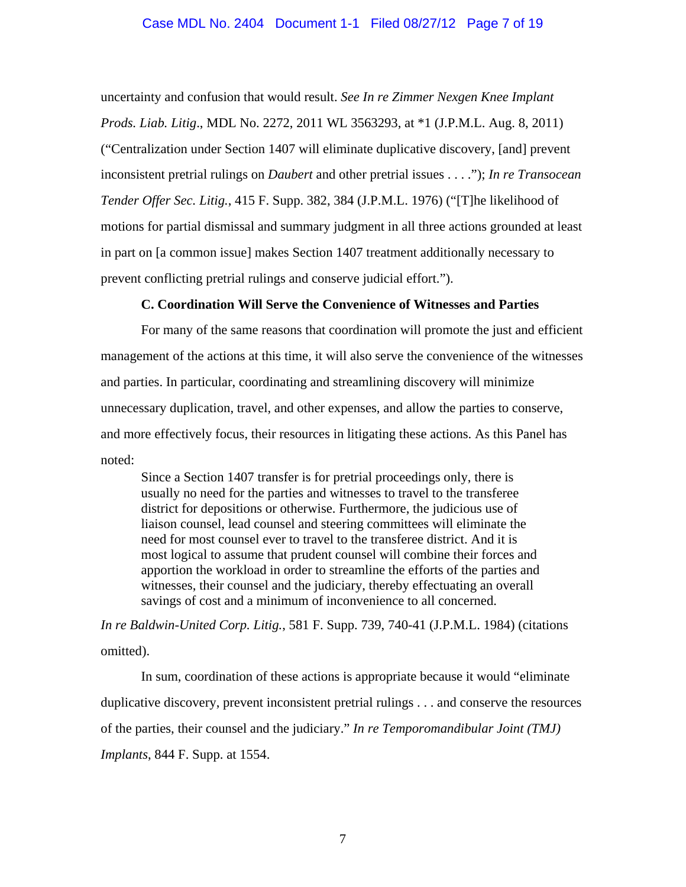#### Case MDL No. 2404 Document 1-1 Filed 08/27/12 Page 7 of 19

uncertainty and confusion that would result. *See In re Zimmer Nexgen Knee Implant Prods. Liab. Litig*., MDL No. 2272, 2011 WL 3563293, at \*1 (J.P.M.L. Aug. 8, 2011) ("Centralization under Section 1407 will eliminate duplicative discovery, [and] prevent inconsistent pretrial rulings on *Daubert* and other pretrial issues . . . ."); *In re Transocean Tender Offer Sec. Litig.*, 415 F. Supp. 382, 384 (J.P.M.L. 1976) ("[T]he likelihood of motions for partial dismissal and summary judgment in all three actions grounded at least in part on [a common issue] makes Section 1407 treatment additionally necessary to prevent conflicting pretrial rulings and conserve judicial effort.").

#### **C. Coordination Will Serve the Convenience of Witnesses and Parties**

For many of the same reasons that coordination will promote the just and efficient management of the actions at this time, it will also serve the convenience of the witnesses and parties. In particular, coordinating and streamlining discovery will minimize unnecessary duplication, travel, and other expenses, and allow the parties to conserve, and more effectively focus, their resources in litigating these actions. As this Panel has noted:

Since a Section 1407 transfer is for pretrial proceedings only, there is usually no need for the parties and witnesses to travel to the transferee district for depositions or otherwise. Furthermore, the judicious use of liaison counsel, lead counsel and steering committees will eliminate the need for most counsel ever to travel to the transferee district. And it is most logical to assume that prudent counsel will combine their forces and apportion the workload in order to streamline the efforts of the parties and witnesses, their counsel and the judiciary, thereby effectuating an overall savings of cost and a minimum of inconvenience to all concerned.

*In re Baldwin-United Corp. Litig.*, 581 F. Supp. 739, 740-41 (J.P.M.L. 1984) (citations omitted).

In sum, coordination of these actions is appropriate because it would "eliminate duplicative discovery, prevent inconsistent pretrial rulings . . . and conserve the resources of the parties, their counsel and the judiciary." *In re Temporomandibular Joint (TMJ) Implants*, 844 F. Supp. at 1554.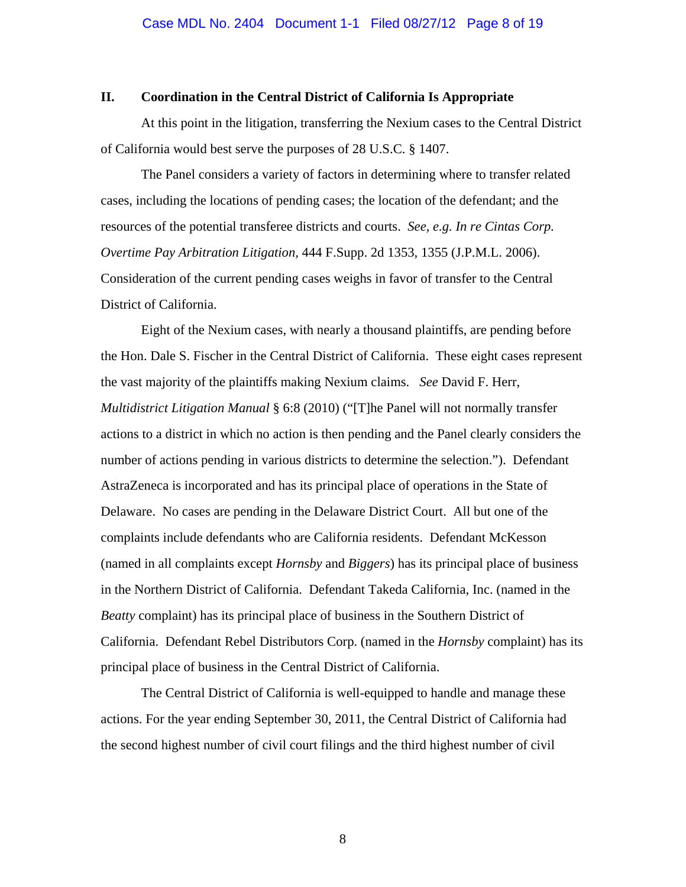#### **II. Coordination in the Central District of California Is Appropriate**

At this point in the litigation, transferring the Nexium cases to the Central District of California would best serve the purposes of 28 U.S.C. § 1407.

The Panel considers a variety of factors in determining where to transfer related cases, including the locations of pending cases; the location of the defendant; and the resources of the potential transferee districts and courts. *See, e.g. In re Cintas Corp. Overtime Pay Arbitration Litigation,* 444 F.Supp. 2d 1353, 1355 (J.P.M.L. 2006). Consideration of the current pending cases weighs in favor of transfer to the Central District of California.

Eight of the Nexium cases, with nearly a thousand plaintiffs, are pending before the Hon. Dale S. Fischer in the Central District of California. These eight cases represent the vast majority of the plaintiffs making Nexium claims. *See* David F. Herr, *Multidistrict Litigation Manual* § 6:8 (2010) ("[T]he Panel will not normally transfer actions to a district in which no action is then pending and the Panel clearly considers the number of actions pending in various districts to determine the selection."). Defendant AstraZeneca is incorporated and has its principal place of operations in the State of Delaware. No cases are pending in the Delaware District Court. All but one of the complaints include defendants who are California residents. Defendant McKesson (named in all complaints except *Hornsby* and *Biggers*) has its principal place of business in the Northern District of California. Defendant Takeda California, Inc. (named in the *Beatty* complaint) has its principal place of business in the Southern District of California. Defendant Rebel Distributors Corp. (named in the *Hornsby* complaint) has its principal place of business in the Central District of California.

The Central District of California is well-equipped to handle and manage these actions. For the year ending September 30, 2011, the Central District of California had the second highest number of civil court filings and the third highest number of civil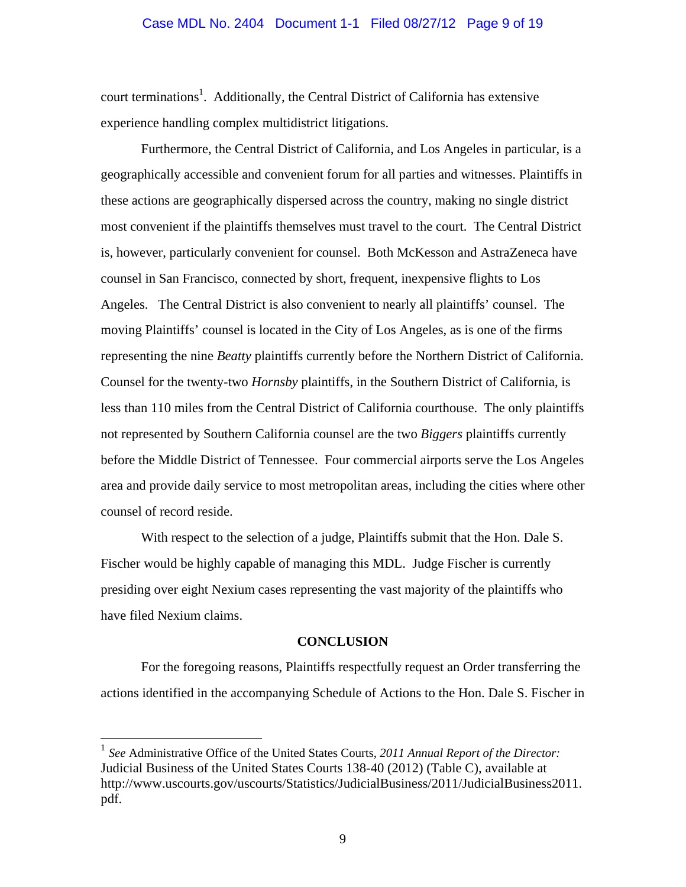#### Case MDL No. 2404 Document 1-1 Filed 08/27/12 Page 9 of 19

court terminations<sup>1</sup>. Additionally, the Central District of California has extensive experience handling complex multidistrict litigations.

Furthermore, the Central District of California, and Los Angeles in particular, is a geographically accessible and convenient forum for all parties and witnesses. Plaintiffs in these actions are geographically dispersed across the country, making no single district most convenient if the plaintiffs themselves must travel to the court. The Central District is, however, particularly convenient for counsel. Both McKesson and AstraZeneca have counsel in San Francisco, connected by short, frequent, inexpensive flights to Los Angeles. The Central District is also convenient to nearly all plaintiffs' counsel. The moving Plaintiffs' counsel is located in the City of Los Angeles, as is one of the firms representing the nine *Beatty* plaintiffs currently before the Northern District of California. Counsel for the twenty-two *Hornsby* plaintiffs, in the Southern District of California, is less than 110 miles from the Central District of California courthouse. The only plaintiffs not represented by Southern California counsel are the two *Biggers* plaintiffs currently before the Middle District of Tennessee. Four commercial airports serve the Los Angeles area and provide daily service to most metropolitan areas, including the cities where other counsel of record reside.

With respect to the selection of a judge, Plaintiffs submit that the Hon. Dale S. Fischer would be highly capable of managing this MDL. Judge Fischer is currently presiding over eight Nexium cases representing the vast majority of the plaintiffs who have filed Nexium claims.

#### **CONCLUSION**

For the foregoing reasons, Plaintiffs respectfully request an Order transferring the actions identified in the accompanying Schedule of Actions to the Hon. Dale S. Fischer in

 $\overline{a}$ 

<sup>1</sup> *See* Administrative Office of the United States Courts, *2011 Annual Report of the Director:*  Judicial Business of the United States Courts 138-40 (2012) (Table C), available at http://www.uscourts.gov/uscourts/Statistics/JudicialBusiness/2011/JudicialBusiness2011. pdf.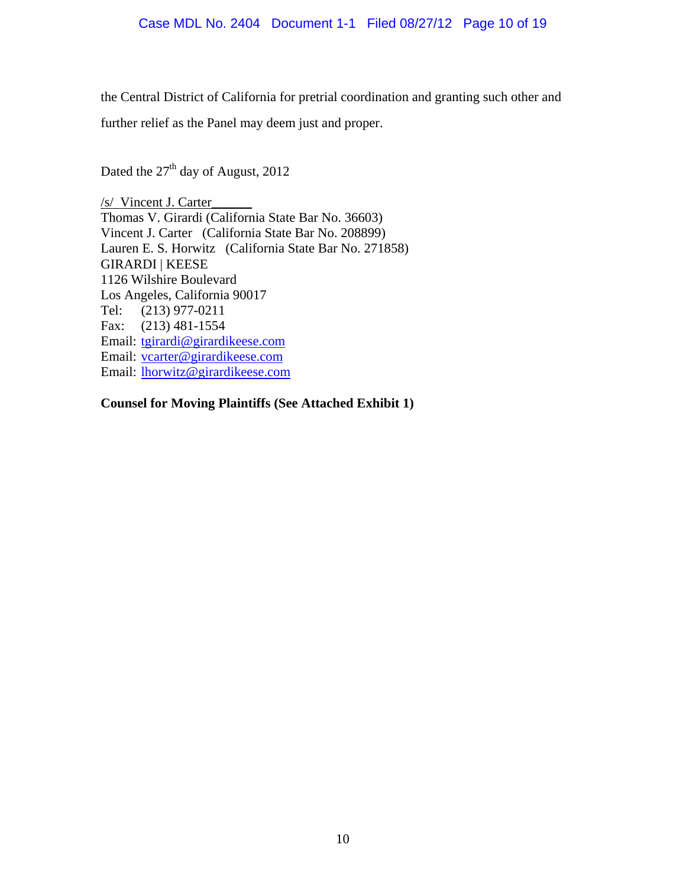the Central District of California for pretrial coordination and granting such other and

further relief as the Panel may deem just and proper.

Dated the  $27<sup>th</sup>$  day of August, 2012

/s/ Vincent J. Carter\_\_\_\_\_\_ Thomas V. Girardi (California State Bar No. 36603) Vincent J. Carter (California State Bar No. 208899) Lauren E. S. Horwitz (California State Bar No. 271858) GIRARDI | KEESE 1126 Wilshire Boulevard Los Angeles, California 90017 Tel: (213) 977-0211 Fax: (213) 481-1554 Email: tgirardi@girardikeese.com Email: vcarter@girardikeese.com Email: lhorwitz@girardikeese.com

**Counsel for Moving Plaintiffs (See Attached Exhibit 1)**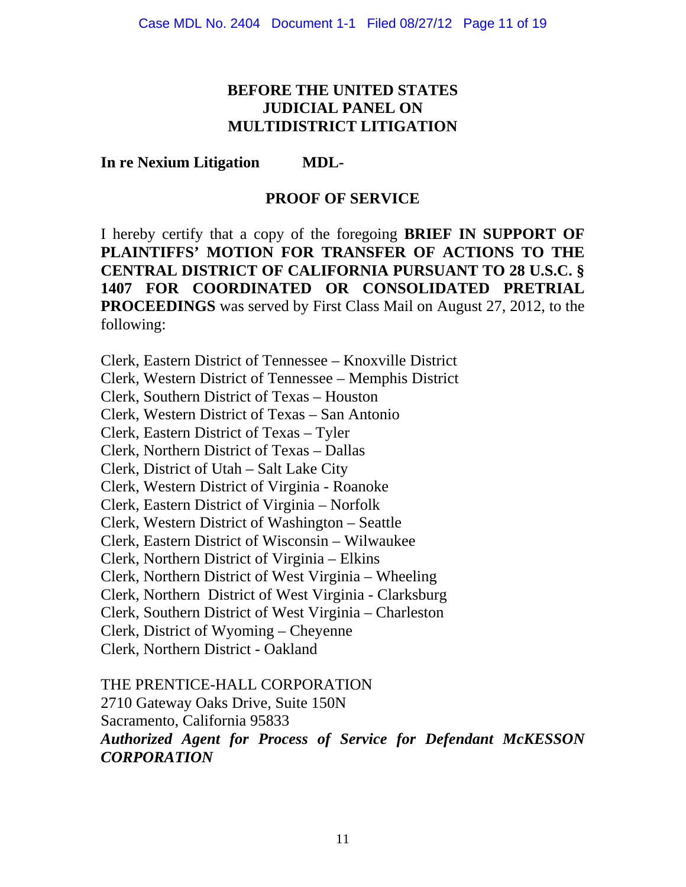## **BEFORE THE UNITED STATES JUDICIAL PANEL ON MULTIDISTRICT LITIGATION**

#### **In re Nexium Litigation MDL-**

#### **PROOF OF SERVICE**

I hereby certify that a copy of the foregoing **BRIEF IN SUPPORT OF PLAINTIFFS' MOTION FOR TRANSFER OF ACTIONS TO THE CENTRAL DISTRICT OF CALIFORNIA PURSUANT TO 28 U.S.C. § 1407 FOR COORDINATED OR CONSOLIDATED PRETRIAL PROCEEDINGS** was served by First Class Mail on August 27, 2012, to the following:

Clerk, Eastern District of Tennessee – Knoxville District

Clerk, Western District of Tennessee – Memphis District

Clerk, Southern District of Texas – Houston

Clerk, Western District of Texas – San Antonio

Clerk, Eastern District of Texas – Tyler

Clerk, Northern District of Texas – Dallas

Clerk, District of Utah – Salt Lake City

Clerk, Western District of Virginia - Roanoke

Clerk, Eastern District of Virginia – Norfolk

Clerk, Western District of Washington – Seattle

Clerk, Eastern District of Wisconsin – Wilwaukee

Clerk, Northern District of Virginia – Elkins

Clerk, Northern District of West Virginia – Wheeling

Clerk, Northern District of West Virginia - Clarksburg

Clerk, Southern District of West Virginia – Charleston

Clerk, District of Wyoming – Cheyenne

Clerk, Northern District - Oakland

#### THE PRENTICE-HALL CORPORATION

2710 Gateway Oaks Drive, Suite 150N

Sacramento, California 95833

## *Authorized Agent for Process of Service for Defendant McKESSON CORPORATION*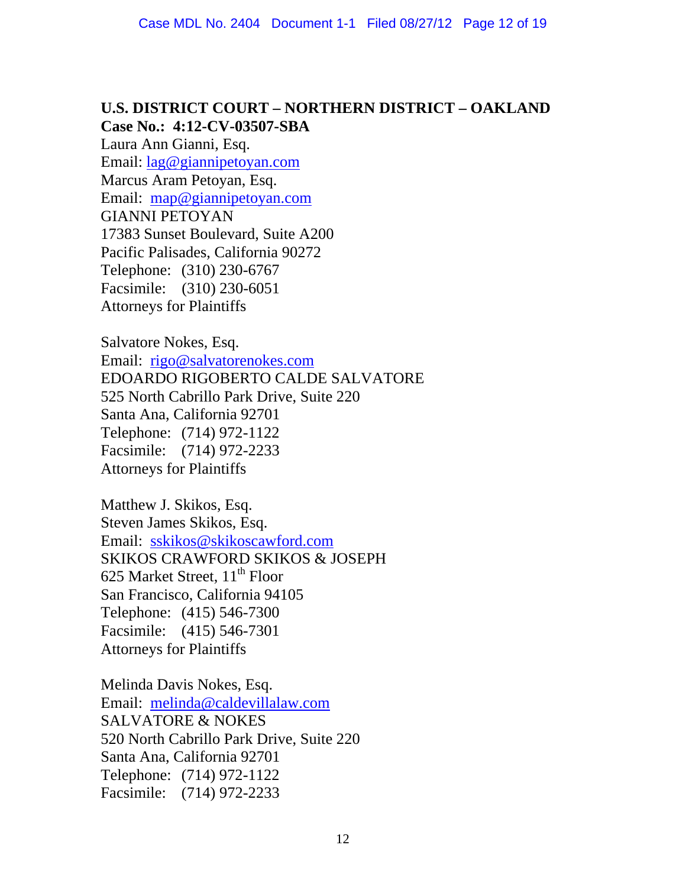#### **U.S. DISTRICT COURT – NORTHERN DISTRICT – OAKLAND Case No.: 4:12-CV-03507-SBA**

Laura Ann Gianni, Esq. Email: lag@giannipetoyan.com Marcus Aram Petoyan, Esq. Email: map@giannipetoyan.com GIANNI PETOYAN 17383 Sunset Boulevard, Suite A200 Pacific Palisades, California 90272 Telephone: (310) 230-6767 Facsimile: (310) 230-6051 Attorneys for Plaintiffs

Salvatore Nokes, Esq. Email: rigo@salvatorenokes.com EDOARDO RIGOBERTO CALDE SALVATORE 525 North Cabrillo Park Drive, Suite 220 Santa Ana, California 92701 Telephone: (714) 972-1122 Facsimile: (714) 972-2233 Attorneys for Plaintiffs

Matthew J. Skikos, Esq. Steven James Skikos, Esq. Email: sskikos@skikoscawford.com SKIKOS CRAWFORD SKIKOS & JOSEPH 625 Market Street, 11<sup>th</sup> Floor San Francisco, California 94105 Telephone: (415) 546-7300 Facsimile: (415) 546-7301 Attorneys for Plaintiffs

Melinda Davis Nokes, Esq. Email: melinda@caldevillalaw.com SALVATORE & NOKES 520 North Cabrillo Park Drive, Suite 220 Santa Ana, California 92701 Telephone: (714) 972-1122 Facsimile: (714) 972-2233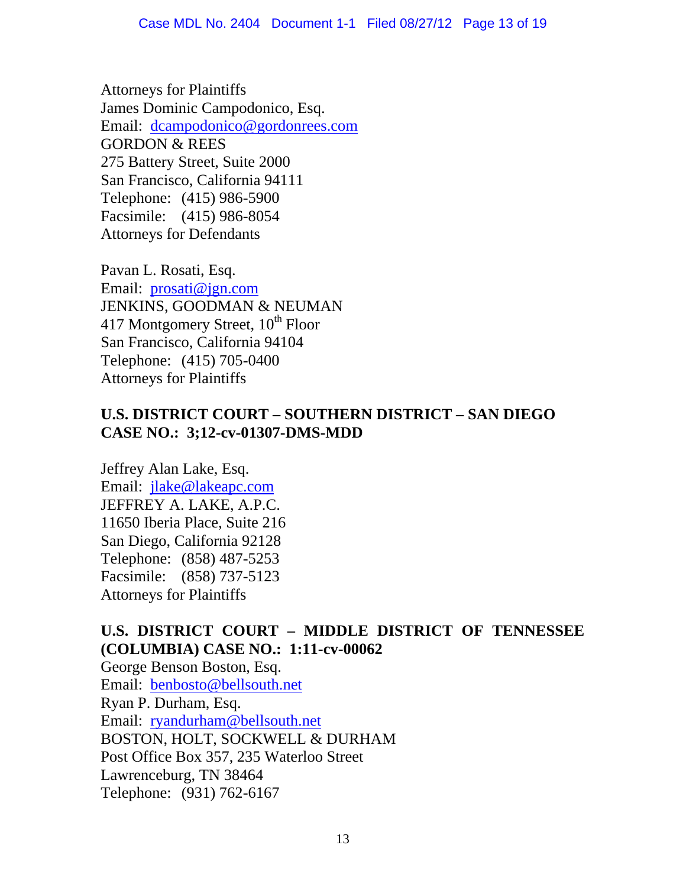Attorneys for Plaintiffs James Dominic Campodonico, Esq. Email: dcampodonico@gordonrees.com GORDON & REES 275 Battery Street, Suite 2000 San Francisco, California 94111 Telephone: (415) 986-5900 Facsimile: (415) 986-8054 Attorneys for Defendants

Pavan L. Rosati, Esq. Email: prosati@jgn.com JENKINS, GOODMAN & NEUMAN 417 Montgomery Street,  $10^{th}$  Floor San Francisco, California 94104 Telephone: (415) 705-0400 Attorneys for Plaintiffs

# **U.S. DISTRICT COURT – SOUTHERN DISTRICT – SAN DIEGO CASE NO.: 3;12-cv-01307-DMS-MDD**

Jeffrey Alan Lake, Esq. Email: jlake@lakeapc.com JEFFREY A. LAKE, A.P.C. 11650 Iberia Place, Suite 216 San Diego, California 92128 Telephone: (858) 487-5253 Facsimile: (858) 737-5123 Attorneys for Plaintiffs

# **U.S. DISTRICT COURT – MIDDLE DISTRICT OF TENNESSEE (COLUMBIA) CASE NO.: 1:11-cv-00062**

George Benson Boston, Esq. Email: benbosto@bellsouth.net Ryan P. Durham, Esq. Email: ryandurham@bellsouth.net BOSTON, HOLT, SOCKWELL & DURHAM Post Office Box 357, 235 Waterloo Street Lawrenceburg, TN 38464 Telephone: (931) 762-6167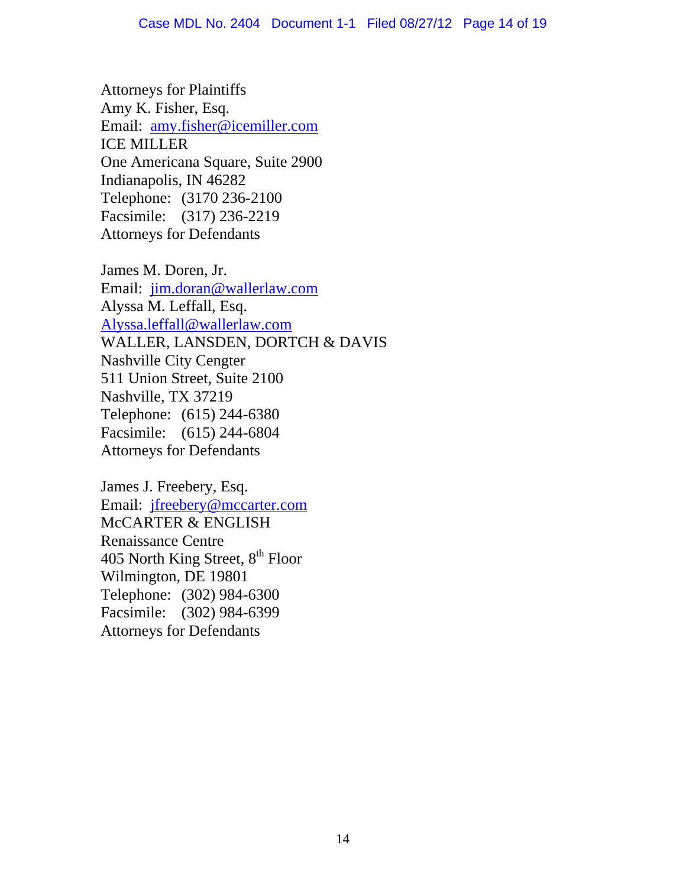Attorneys for Plaintiffs Amy K. Fisher, Esq. Email: amy.fisher@icemiller.com ICE MILLER One Americana Square, Suite 2900 Indianapolis, IN 46282 Telephone: (3170 236-2100 Facsimile: (317) 236-2219 Attorneys for Defendants

James M. Doren, Jr. Email: jim.doran@wallerlaw.com Alyssa M. Leffall, Esq. Alyssa.leffall@wallerlaw.com WALLER, LANSDEN, DORTCH & DAVIS Nashville City Cengter 511 Union Street, Suite 2100 Nashville, TX 37219 Telephone: (615) 244-6380 Facsimile: (615) 244-6804 Attorneys for Defendants

James J. Freebery, Esq. Email: jfreebery@mccarter.com McCARTER & ENGLISH Renaissance Centre 405 North King Street,  $8^{th}$  Floor Wilmington, DE 19801 Telephone: (302) 984-6300 Facsimile: (302) 984-6399 Attorneys for Defendants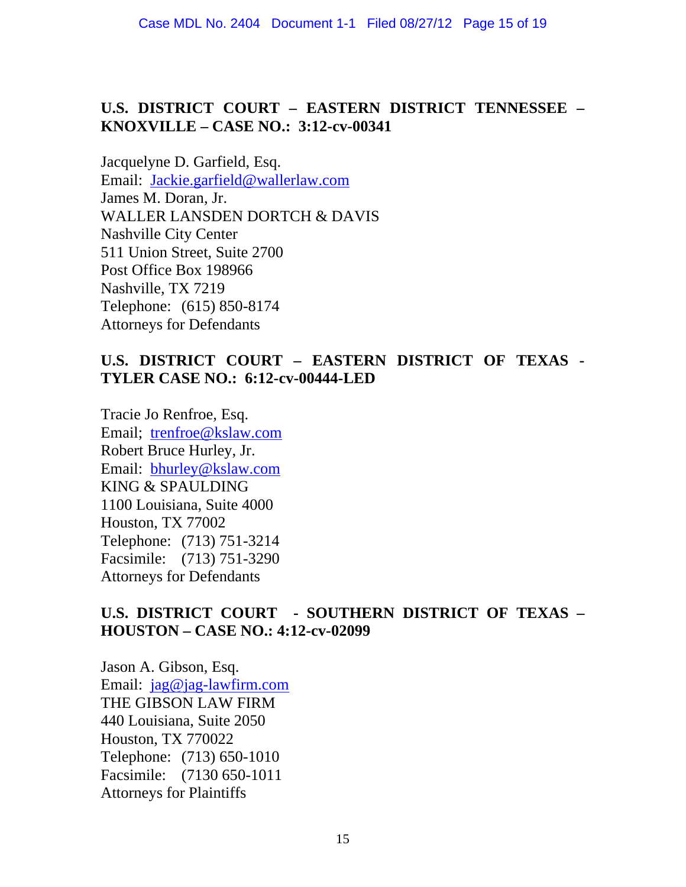#### **U.S. DISTRICT COURT – EASTERN DISTRICT TENNESSEE – KNOXVILLE – CASE NO.: 3:12-cv-00341**

Jacquelyne D. Garfield, Esq. Email: Jackie.garfield@wallerlaw.com James M. Doran, Jr. WALLER LANSDEN DORTCH & DAVIS Nashville City Center 511 Union Street, Suite 2700 Post Office Box 198966 Nashville, TX 7219 Telephone: (615) 850-8174 Attorneys for Defendants

# **U.S. DISTRICT COURT – EASTERN DISTRICT OF TEXAS - TYLER CASE NO.: 6:12-cv-00444-LED**

Tracie Jo Renfroe, Esq. Email; trenfroe@kslaw.com Robert Bruce Hurley, Jr. Email: bhurley@kslaw.com KING & SPAULDING 1100 Louisiana, Suite 4000 Houston, TX 77002 Telephone: (713) 751-3214 Facsimile: (713) 751-3290 Attorneys for Defendants

## **U.S. DISTRICT COURT - SOUTHERN DISTRICT OF TEXAS – HOUSTON – CASE NO.: 4:12-cv-02099**

Jason A. Gibson, Esq. Email: jag@jag-lawfirm.com THE GIBSON LAW FIRM 440 Louisiana, Suite 2050 Houston, TX 770022 Telephone: (713) 650-1010 Facsimile: (7130 650-1011 Attorneys for Plaintiffs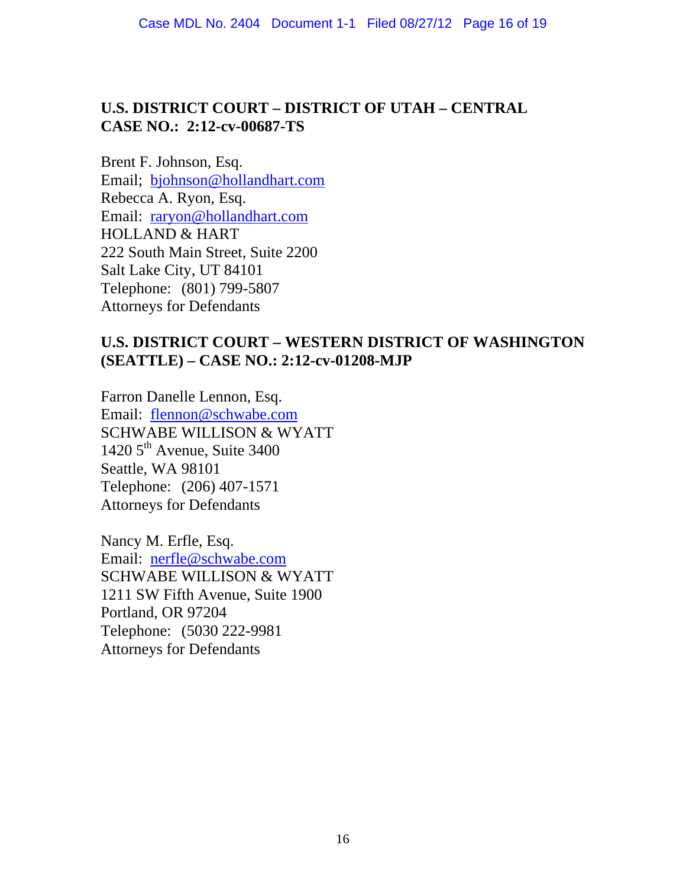## **U.S. DISTRICT COURT – DISTRICT OF UTAH – CENTRAL CASE NO.: 2:12-cv-00687-TS**

Brent F. Johnson, Esq. Email; bjohnson@hollandhart.com Rebecca A. Ryon, Esq. Email: raryon@hollandhart.com HOLLAND & HART 222 South Main Street, Suite 2200 Salt Lake City, UT 84101 Telephone: (801) 799-5807 Attorneys for Defendants

#### **U.S. DISTRICT COURT – WESTERN DISTRICT OF WASHINGTON (SEATTLE) – CASE NO.: 2:12-cv-01208-MJP**

Farron Danelle Lennon, Esq. Email: flennon@schwabe.com SCHWABE WILLISON & WYATT 1420  $5<sup>th</sup>$  Avenue, Suite 3400 Seattle, WA 98101 Telephone: (206) 407-1571 Attorneys for Defendants

Nancy M. Erfle, Esq. Email: nerfle@schwabe.com SCHWABE WILLISON & WYATT 1211 SW Fifth Avenue, Suite 1900 Portland, OR 97204 Telephone: (5030 222-9981 Attorneys for Defendants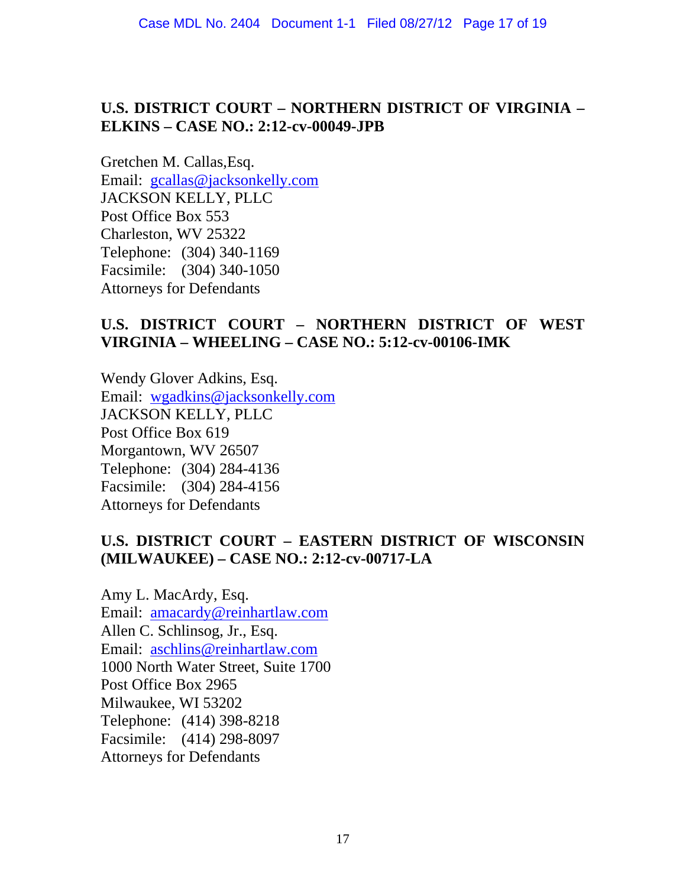#### **U.S. DISTRICT COURT – NORTHERN DISTRICT OF VIRGINIA – ELKINS – CASE NO.: 2:12-cv-00049-JPB**

Gretchen M. Callas,Esq. Email: gcallas@jacksonkelly.com JACKSON KELLY, PLLC Post Office Box 553 Charleston, WV 25322 Telephone: (304) 340-1169 Facsimile: (304) 340-1050 Attorneys for Defendants

## **U.S. DISTRICT COURT – NORTHERN DISTRICT OF WEST VIRGINIA – WHEELING – CASE NO.: 5:12-cv-00106-IMK**

Wendy Glover Adkins, Esq. Email: wgadkins@jacksonkelly.com JACKSON KELLY, PLLC Post Office Box 619 Morgantown, WV 26507 Telephone: (304) 284-4136 Facsimile: (304) 284-4156 Attorneys for Defendants

## **U.S. DISTRICT COURT – EASTERN DISTRICT OF WISCONSIN (MILWAUKEE) – CASE NO.: 2:12-cv-00717-LA**

Amy L. MacArdy, Esq. Email: amacardy@reinhartlaw.com Allen C. Schlinsog, Jr., Esq. Email: aschlins@reinhartlaw.com 1000 North Water Street, Suite 1700 Post Office Box 2965 Milwaukee, WI 53202 Telephone: (414) 398-8218 Facsimile: (414) 298-8097 Attorneys for Defendants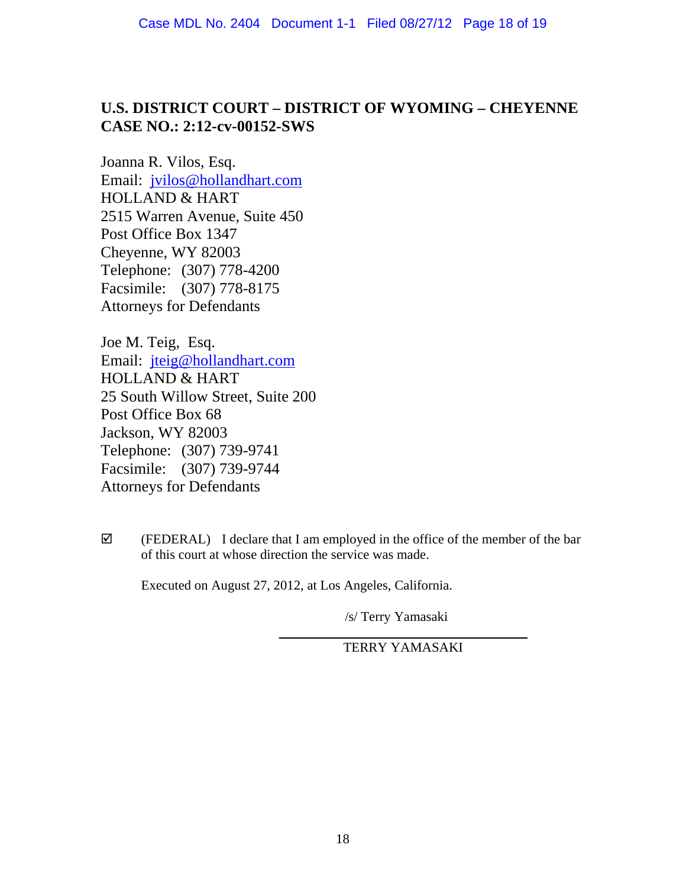### **U.S. DISTRICT COURT – DISTRICT OF WYOMING – CHEYENNE CASE NO.: 2:12-cv-00152-SWS**

Joanna R. Vilos, Esq. Email: jvilos@hollandhart.com HOLLAND & HART 2515 Warren Avenue, Suite 450 Post Office Box 1347 Cheyenne, WY 82003 Telephone: (307) 778-4200 Facsimile: (307) 778-8175 Attorneys for Defendants

Joe M. Teig, Esq. Email: jteig@hollandhart.com HOLLAND & HART 25 South Willow Street, Suite 200 Post Office Box 68 Jackson, WY 82003 Telephone: (307) 739-9741 Facsimile: (307) 739-9744 Attorneys for Defendants

 $\boxtimes$  (FEDERAL) I declare that I am employed in the office of the member of the bar of this court at whose direction the service was made.

Executed on August 27, 2012, at Los Angeles, California.

/s/ Terry Yamasaki

\_\_\_\_\_\_\_\_\_\_\_\_\_\_\_\_\_\_\_\_\_\_\_\_\_\_\_\_\_\_\_\_\_\_\_\_\_ TERRY YAMASAKI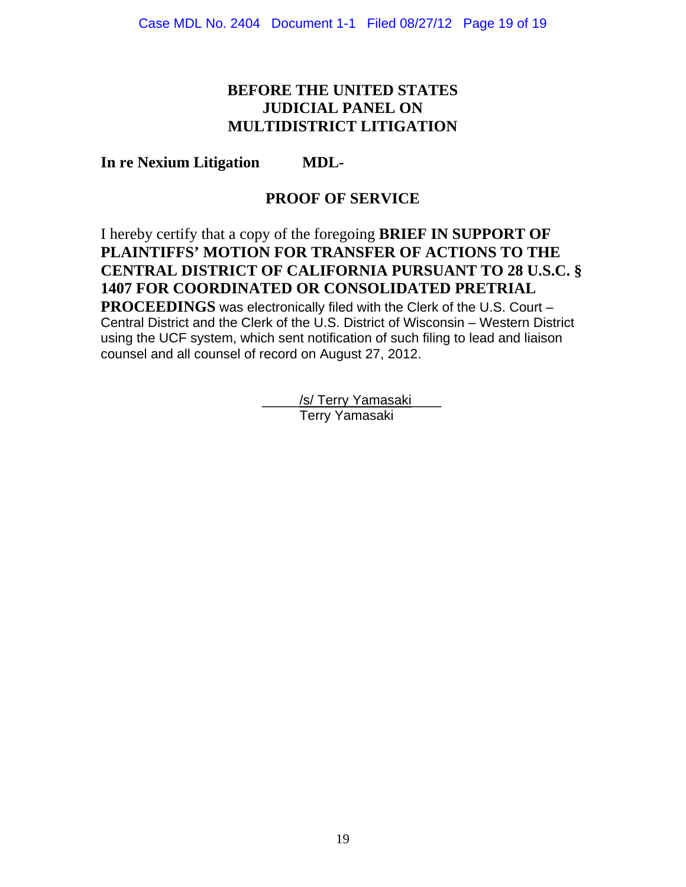## **BEFORE THE UNITED STATES JUDICIAL PANEL ON MULTIDISTRICT LITIGATION**

## **In re Nexium Litigation MDL-**

#### **PROOF OF SERVICE**

# I hereby certify that a copy of the foregoing **BRIEF IN SUPPORT OF PLAINTIFFS' MOTION FOR TRANSFER OF ACTIONS TO THE CENTRAL DISTRICT OF CALIFORNIA PURSUANT TO 28 U.S.C. § 1407 FOR COORDINATED OR CONSOLIDATED PRETRIAL**

**PROCEEDINGS** was electronically filed with the Clerk of the U.S. Court – Central District and the Clerk of the U.S. District of Wisconsin – Western District using the UCF system, which sent notification of such filing to lead and liaison counsel and all counsel of record on August 27, 2012.

> /s/ Terry Yamasaki Terry Yamasaki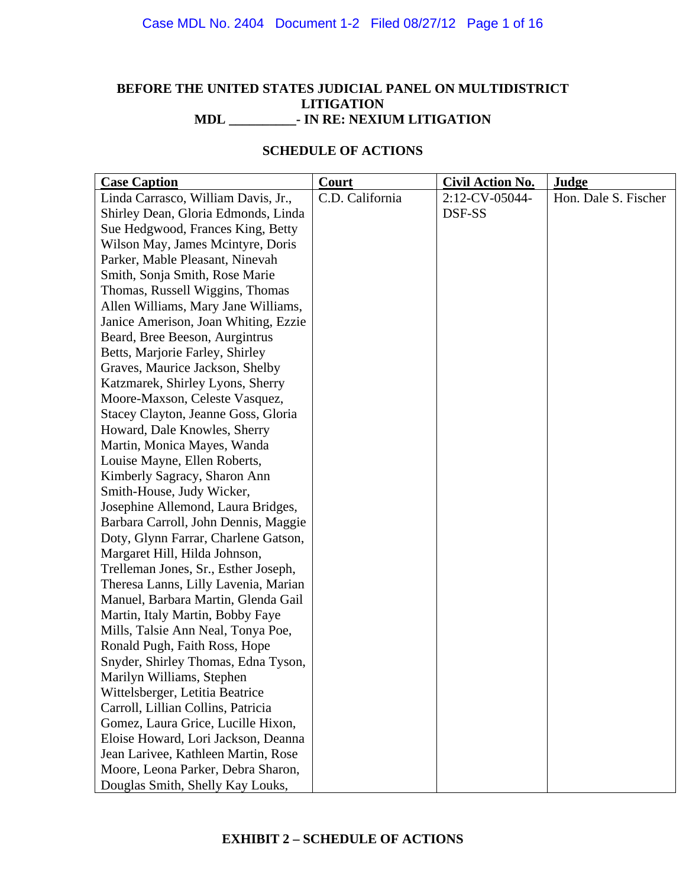#### **BEFORE THE UNITED STATES JUDICIAL PANEL ON MULTIDISTRICT LITIGATION MDL \_\_\_\_\_\_\_\_\_\_- IN RE: NEXIUM LITIGATION**

#### **SCHEDULE OF ACTIONS**

| <b>Case Caption</b>                  | Court           | <b>Civil Action No.</b> | Judge                |
|--------------------------------------|-----------------|-------------------------|----------------------|
| Linda Carrasco, William Davis, Jr.,  | C.D. California | 2:12-CV-05044-          | Hon. Dale S. Fischer |
| Shirley Dean, Gloria Edmonds, Linda  |                 | DSF-SS                  |                      |
| Sue Hedgwood, Frances King, Betty    |                 |                         |                      |
| Wilson May, James Mcintyre, Doris    |                 |                         |                      |
| Parker, Mable Pleasant, Ninevah      |                 |                         |                      |
| Smith, Sonja Smith, Rose Marie       |                 |                         |                      |
| Thomas, Russell Wiggins, Thomas      |                 |                         |                      |
| Allen Williams, Mary Jane Williams,  |                 |                         |                      |
| Janice Amerison, Joan Whiting, Ezzie |                 |                         |                      |
| Beard, Bree Beeson, Aurgintrus       |                 |                         |                      |
| Betts, Marjorie Farley, Shirley      |                 |                         |                      |
| Graves, Maurice Jackson, Shelby      |                 |                         |                      |
| Katzmarek, Shirley Lyons, Sherry     |                 |                         |                      |
| Moore-Maxson, Celeste Vasquez,       |                 |                         |                      |
| Stacey Clayton, Jeanne Goss, Gloria  |                 |                         |                      |
| Howard, Dale Knowles, Sherry         |                 |                         |                      |
| Martin, Monica Mayes, Wanda          |                 |                         |                      |
| Louise Mayne, Ellen Roberts,         |                 |                         |                      |
| Kimberly Sagracy, Sharon Ann         |                 |                         |                      |
| Smith-House, Judy Wicker,            |                 |                         |                      |
| Josephine Allemond, Laura Bridges,   |                 |                         |                      |
| Barbara Carroll, John Dennis, Maggie |                 |                         |                      |
| Doty, Glynn Farrar, Charlene Gatson, |                 |                         |                      |
| Margaret Hill, Hilda Johnson,        |                 |                         |                      |
| Trelleman Jones, Sr., Esther Joseph, |                 |                         |                      |
| Theresa Lanns, Lilly Lavenia, Marian |                 |                         |                      |
| Manuel, Barbara Martin, Glenda Gail  |                 |                         |                      |
| Martin, Italy Martin, Bobby Faye     |                 |                         |                      |
| Mills, Talsie Ann Neal, Tonya Poe,   |                 |                         |                      |
| Ronald Pugh, Faith Ross, Hope        |                 |                         |                      |
| Snyder, Shirley Thomas, Edna Tyson,  |                 |                         |                      |
| Marilyn Williams, Stephen            |                 |                         |                      |
| Wittelsberger, Letitia Beatrice      |                 |                         |                      |
| Carroll, Lillian Collins, Patricia   |                 |                         |                      |
| Gomez, Laura Grice, Lucille Hixon,   |                 |                         |                      |
| Eloise Howard, Lori Jackson, Deanna  |                 |                         |                      |
| Jean Larivee, Kathleen Martin, Rose  |                 |                         |                      |
| Moore, Leona Parker, Debra Sharon,   |                 |                         |                      |
| Douglas Smith, Shelly Kay Louks,     |                 |                         |                      |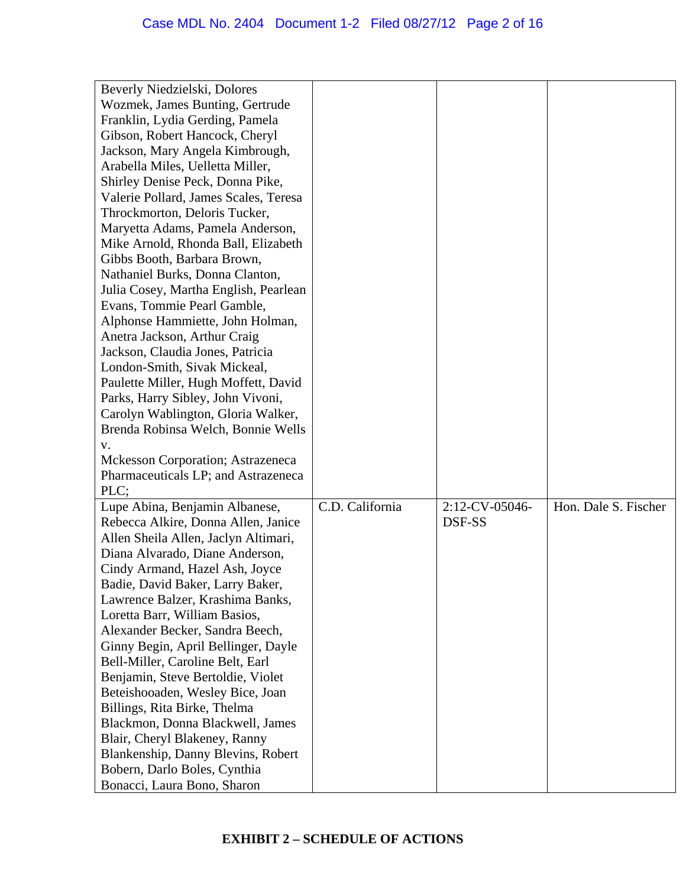| Beverly Niedzielski, Dolores              |                 |                |                      |
|-------------------------------------------|-----------------|----------------|----------------------|
| Wozmek, James Bunting, Gertrude           |                 |                |                      |
| Franklin, Lydia Gerding, Pamela           |                 |                |                      |
| Gibson, Robert Hancock, Cheryl            |                 |                |                      |
| Jackson, Mary Angela Kimbrough,           |                 |                |                      |
| Arabella Miles, Uelletta Miller,          |                 |                |                      |
| Shirley Denise Peck, Donna Pike,          |                 |                |                      |
| Valerie Pollard, James Scales, Teresa     |                 |                |                      |
| Throckmorton, Deloris Tucker,             |                 |                |                      |
| Maryetta Adams, Pamela Anderson,          |                 |                |                      |
| Mike Arnold, Rhonda Ball, Elizabeth       |                 |                |                      |
| Gibbs Booth, Barbara Brown,               |                 |                |                      |
| Nathaniel Burks, Donna Clanton,           |                 |                |                      |
| Julia Cosey, Martha English, Pearlean     |                 |                |                      |
| Evans, Tommie Pearl Gamble,               |                 |                |                      |
| Alphonse Hammiette, John Holman,          |                 |                |                      |
| Anetra Jackson, Arthur Craig              |                 |                |                      |
| Jackson, Claudia Jones, Patricia          |                 |                |                      |
| London-Smith, Sivak Mickeal,              |                 |                |                      |
| Paulette Miller, Hugh Moffett, David      |                 |                |                      |
| Parks, Harry Sibley, John Vivoni,         |                 |                |                      |
| Carolyn Wablington, Gloria Walker,        |                 |                |                      |
| Brenda Robinsa Welch, Bonnie Wells        |                 |                |                      |
| v.                                        |                 |                |                      |
| <b>Mckesson Corporation</b> ; Astrazeneca |                 |                |                      |
| Pharmaceuticals LP; and Astrazeneca       |                 |                |                      |
| PLC;                                      |                 |                |                      |
| Lupe Abina, Benjamin Albanese,            | C.D. California | 2:12-CV-05046- | Hon. Dale S. Fischer |
| Rebecca Alkire, Donna Allen, Janice       |                 | DSF-SS         |                      |
| Allen Sheila Allen, Jaclyn Altimari,      |                 |                |                      |
| Diana Alvarado, Diane Anderson,           |                 |                |                      |
| Cindy Armand, Hazel Ash, Joyce            |                 |                |                      |
| Badie, David Baker, Larry Baker,          |                 |                |                      |
| Lawrence Balzer, Krashima Banks,          |                 |                |                      |
| Loretta Barr, William Basios,             |                 |                |                      |
| Alexander Becker, Sandra Beech,           |                 |                |                      |
| Ginny Begin, April Bellinger, Dayle       |                 |                |                      |
| Bell-Miller, Caroline Belt, Earl          |                 |                |                      |
| Benjamin, Steve Bertoldie, Violet         |                 |                |                      |
| Beteishooaden, Wesley Bice, Joan          |                 |                |                      |
| Billings, Rita Birke, Thelma              |                 |                |                      |
| Blackmon, Donna Blackwell, James          |                 |                |                      |
| Blair, Cheryl Blakeney, Ranny             |                 |                |                      |
| Blankenship, Danny Blevins, Robert        |                 |                |                      |
| Bobern, Darlo Boles, Cynthia              |                 |                |                      |
| Bonacci, Laura Bono, Sharon               |                 |                |                      |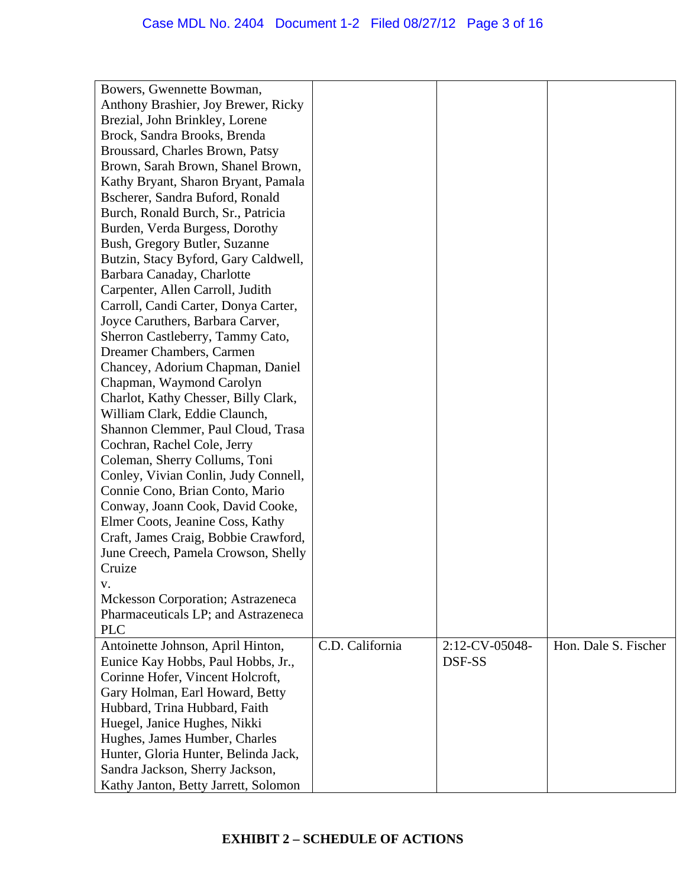| Bowers, Gwennette Bowman,            |                 |                |                      |
|--------------------------------------|-----------------|----------------|----------------------|
| Anthony Brashier, Joy Brewer, Ricky  |                 |                |                      |
| Brezial, John Brinkley, Lorene       |                 |                |                      |
| Brock, Sandra Brooks, Brenda         |                 |                |                      |
| Broussard, Charles Brown, Patsy      |                 |                |                      |
| Brown, Sarah Brown, Shanel Brown,    |                 |                |                      |
| Kathy Bryant, Sharon Bryant, Pamala  |                 |                |                      |
| Bscherer, Sandra Buford, Ronald      |                 |                |                      |
| Burch, Ronald Burch, Sr., Patricia   |                 |                |                      |
| Burden, Verda Burgess, Dorothy       |                 |                |                      |
| Bush, Gregory Butler, Suzanne        |                 |                |                      |
| Butzin, Stacy Byford, Gary Caldwell, |                 |                |                      |
| Barbara Canaday, Charlotte           |                 |                |                      |
|                                      |                 |                |                      |
| Carpenter, Allen Carroll, Judith     |                 |                |                      |
| Carroll, Candi Carter, Donya Carter, |                 |                |                      |
| Joyce Caruthers, Barbara Carver,     |                 |                |                      |
| Sherron Castleberry, Tammy Cato,     |                 |                |                      |
| Dreamer Chambers, Carmen             |                 |                |                      |
| Chancey, Adorium Chapman, Daniel     |                 |                |                      |
| Chapman, Waymond Carolyn             |                 |                |                      |
| Charlot, Kathy Chesser, Billy Clark, |                 |                |                      |
| William Clark, Eddie Claunch,        |                 |                |                      |
| Shannon Clemmer, Paul Cloud, Trasa   |                 |                |                      |
| Cochran, Rachel Cole, Jerry          |                 |                |                      |
| Coleman, Sherry Collums, Toni        |                 |                |                      |
| Conley, Vivian Conlin, Judy Connell, |                 |                |                      |
| Connie Cono, Brian Conto, Mario      |                 |                |                      |
| Conway, Joann Cook, David Cooke,     |                 |                |                      |
| Elmer Coots, Jeanine Coss, Kathy     |                 |                |                      |
| Craft, James Craig, Bobbie Crawford, |                 |                |                      |
| June Creech, Pamela Crowson, Shelly  |                 |                |                      |
| Cruize                               |                 |                |                      |
| V.                                   |                 |                |                      |
| Mckesson Corporation; Astrazeneca    |                 |                |                      |
| Pharmaceuticals LP; and Astrazeneca  |                 |                |                      |
| <b>PLC</b>                           |                 |                |                      |
| Antoinette Johnson, April Hinton,    | C.D. California | 2:12-CV-05048- | Hon. Dale S. Fischer |
| Eunice Kay Hobbs, Paul Hobbs, Jr.,   |                 | DSF-SS         |                      |
| Corinne Hofer, Vincent Holcroft,     |                 |                |                      |
| Gary Holman, Earl Howard, Betty      |                 |                |                      |
| Hubbard, Trina Hubbard, Faith        |                 |                |                      |
| Huegel, Janice Hughes, Nikki         |                 |                |                      |
| Hughes, James Humber, Charles        |                 |                |                      |
| Hunter, Gloria Hunter, Belinda Jack, |                 |                |                      |
| Sandra Jackson, Sherry Jackson,      |                 |                |                      |
| Kathy Janton, Betty Jarrett, Solomon |                 |                |                      |
|                                      |                 |                |                      |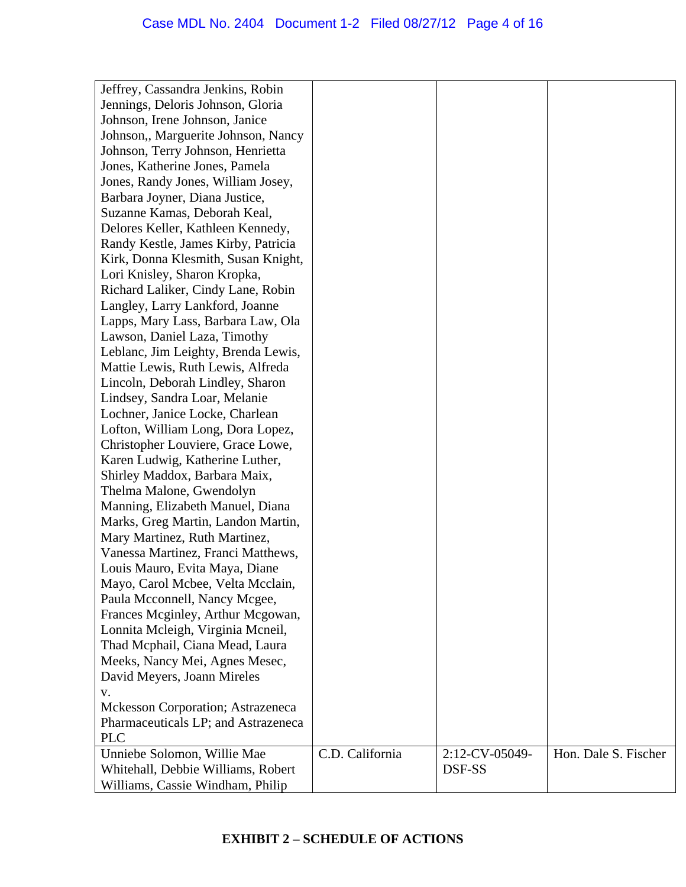| Jeffrey, Cassandra Jenkins, Robin                                      |                 |                |                      |
|------------------------------------------------------------------------|-----------------|----------------|----------------------|
| Jennings, Deloris Johnson, Gloria                                      |                 |                |                      |
| Johnson, Irene Johnson, Janice                                         |                 |                |                      |
| Johnson,, Marguerite Johnson, Nancy                                    |                 |                |                      |
| Johnson, Terry Johnson, Henrietta                                      |                 |                |                      |
| Jones, Katherine Jones, Pamela                                         |                 |                |                      |
| Jones, Randy Jones, William Josey,                                     |                 |                |                      |
| Barbara Joyner, Diana Justice,                                         |                 |                |                      |
| Suzanne Kamas, Deborah Keal,                                           |                 |                |                      |
| Delores Keller, Kathleen Kennedy,                                      |                 |                |                      |
| Randy Kestle, James Kirby, Patricia                                    |                 |                |                      |
| Kirk, Donna Klesmith, Susan Knight,                                    |                 |                |                      |
| Lori Knisley, Sharon Kropka,                                           |                 |                |                      |
| Richard Laliker, Cindy Lane, Robin                                     |                 |                |                      |
| Langley, Larry Lankford, Joanne                                        |                 |                |                      |
| Lapps, Mary Lass, Barbara Law, Ola                                     |                 |                |                      |
| Lawson, Daniel Laza, Timothy                                           |                 |                |                      |
| Leblanc, Jim Leighty, Brenda Lewis,                                    |                 |                |                      |
| Mattie Lewis, Ruth Lewis, Alfreda                                      |                 |                |                      |
| Lincoln, Deborah Lindley, Sharon                                       |                 |                |                      |
| Lindsey, Sandra Loar, Melanie                                          |                 |                |                      |
| Lochner, Janice Locke, Charlean                                        |                 |                |                      |
| Lofton, William Long, Dora Lopez,                                      |                 |                |                      |
| Christopher Louviere, Grace Lowe,                                      |                 |                |                      |
| Karen Ludwig, Katherine Luther,                                        |                 |                |                      |
| Shirley Maddox, Barbara Maix,                                          |                 |                |                      |
| Thelma Malone, Gwendolyn                                               |                 |                |                      |
| Manning, Elizabeth Manuel, Diana                                       |                 |                |                      |
| Marks, Greg Martin, Landon Martin,                                     |                 |                |                      |
| Mary Martinez, Ruth Martinez,                                          |                 |                |                      |
| Vanessa Martinez, Franci Matthews,                                     |                 |                |                      |
| Louis Mauro, Evita Maya, Diane                                         |                 |                |                      |
| Mayo, Carol Mcbee, Velta Mcclain,                                      |                 |                |                      |
| Paula Mcconnell, Nancy Mcgee,                                          |                 |                |                      |
| Frances Mcginley, Arthur Mcgowan,                                      |                 |                |                      |
| Lonnita Mcleigh, Virginia Mcneil,                                      |                 |                |                      |
| Thad Mcphail, Ciana Mead, Laura                                        |                 |                |                      |
| Meeks, Nancy Mei, Agnes Mesec,                                         |                 |                |                      |
| David Meyers, Joann Mireles                                            |                 |                |                      |
| V.                                                                     |                 |                |                      |
| <b>Mckesson Corporation</b> ; Astrazeneca                              |                 |                |                      |
| Pharmaceuticals LP; and Astrazeneca                                    |                 |                |                      |
| <b>PLC</b>                                                             |                 |                |                      |
| Unniebe Solomon, Willie Mae                                            | C.D. California | 2:12-CV-05049- | Hon. Dale S. Fischer |
|                                                                        |                 |                |                      |
|                                                                        |                 |                |                      |
| Whitehall, Debbie Williams, Robert<br>Williams, Cassie Windham, Philip |                 | DSF-SS         |                      |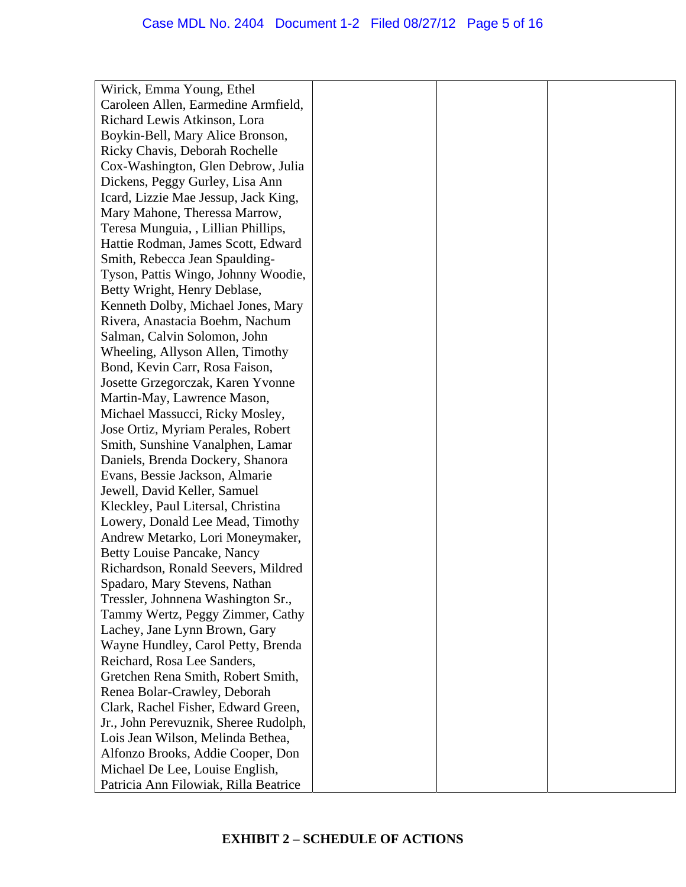| Wirick, Emma Young, Ethel             |  |  |
|---------------------------------------|--|--|
| Caroleen Allen, Earmedine Armfield,   |  |  |
| Richard Lewis Atkinson, Lora          |  |  |
| Boykin-Bell, Mary Alice Bronson,      |  |  |
| Ricky Chavis, Deborah Rochelle        |  |  |
| Cox-Washington, Glen Debrow, Julia    |  |  |
| Dickens, Peggy Gurley, Lisa Ann       |  |  |
| Icard, Lizzie Mae Jessup, Jack King,  |  |  |
| Mary Mahone, Theressa Marrow,         |  |  |
| Teresa Munguia, , Lillian Phillips,   |  |  |
| Hattie Rodman, James Scott, Edward    |  |  |
| Smith, Rebecca Jean Spaulding-        |  |  |
| Tyson, Pattis Wingo, Johnny Woodie,   |  |  |
| Betty Wright, Henry Deblase,          |  |  |
| Kenneth Dolby, Michael Jones, Mary    |  |  |
| Rivera, Anastacia Boehm, Nachum       |  |  |
| Salman, Calvin Solomon, John          |  |  |
| Wheeling, Allyson Allen, Timothy      |  |  |
| Bond, Kevin Carr, Rosa Faison,        |  |  |
| Josette Grzegorczak, Karen Yvonne     |  |  |
| Martin-May, Lawrence Mason,           |  |  |
| Michael Massucci, Ricky Mosley,       |  |  |
| Jose Ortiz, Myriam Perales, Robert    |  |  |
| Smith, Sunshine Vanalphen, Lamar      |  |  |
| Daniels, Brenda Dockery, Shanora      |  |  |
| Evans, Bessie Jackson, Almarie        |  |  |
| Jewell, David Keller, Samuel          |  |  |
| Kleckley, Paul Litersal, Christina    |  |  |
| Lowery, Donald Lee Mead, Timothy      |  |  |
| Andrew Metarko, Lori Moneymaker,      |  |  |
| <b>Betty Louise Pancake, Nancy</b>    |  |  |
| Richardson, Ronald Seevers, Mildred   |  |  |
| Spadaro, Mary Stevens, Nathan         |  |  |
| Tressler, Johnnena Washington Sr.,    |  |  |
| Tammy Wertz, Peggy Zimmer, Cathy      |  |  |
| Lachey, Jane Lynn Brown, Gary         |  |  |
| Wayne Hundley, Carol Petty, Brenda    |  |  |
| Reichard, Rosa Lee Sanders,           |  |  |
| Gretchen Rena Smith, Robert Smith,    |  |  |
| Renea Bolar-Crawley, Deborah          |  |  |
| Clark, Rachel Fisher, Edward Green,   |  |  |
| Jr., John Perevuznik, Sheree Rudolph, |  |  |
| Lois Jean Wilson, Melinda Bethea,     |  |  |
| Alfonzo Brooks, Addie Cooper, Don     |  |  |
| Michael De Lee, Louise English,       |  |  |
| Patricia Ann Filowiak, Rilla Beatrice |  |  |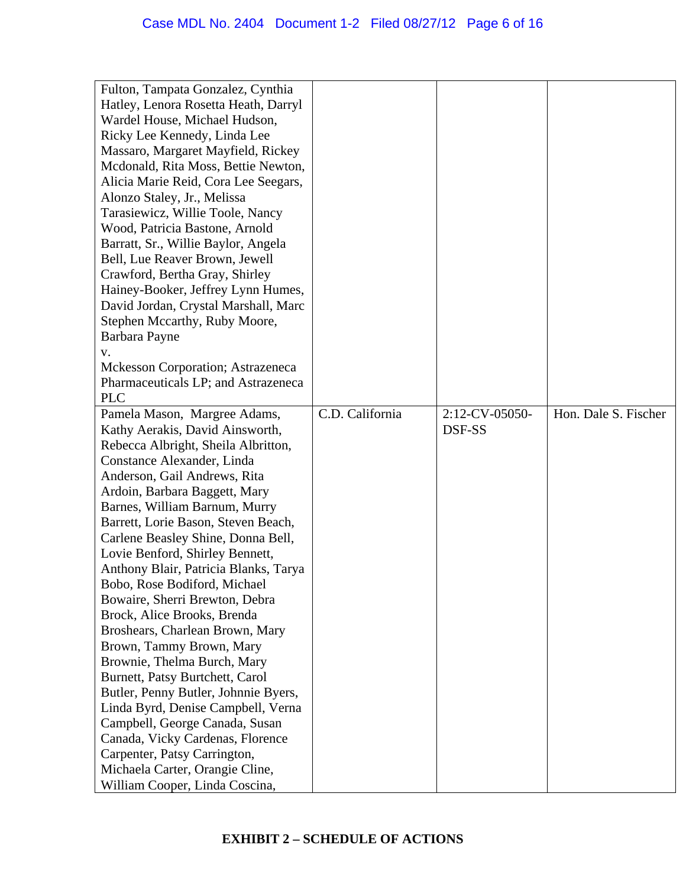| Fulton, Tampata Gonzalez, Cynthia<br>Hatley, Lenora Rosetta Heath, Darryl<br>Wardel House, Michael Hudson,<br>Ricky Lee Kennedy, Linda Lee<br>Massaro, Margaret Mayfield, Rickey<br>Mcdonald, Rita Moss, Bettie Newton,<br>Alicia Marie Reid, Cora Lee Seegars,<br>Alonzo Staley, Jr., Melissa<br>Tarasiewicz, Willie Toole, Nancy<br>Wood, Patricia Bastone, Arnold<br>Barratt, Sr., Willie Baylor, Angela<br>Bell, Lue Reaver Brown, Jewell<br>Crawford, Bertha Gray, Shirley<br>Hainey-Booker, Jeffrey Lynn Humes,<br>David Jordan, Crystal Marshall, Marc<br>Stephen Mccarthy, Ruby Moore,<br>Barbara Payne<br>V.<br><b>Mckesson Corporation</b> ; Astrazeneca<br>Pharmaceuticals LP; and Astrazeneca                                                                                                                                                                                                |                 |                          |                      |
|----------------------------------------------------------------------------------------------------------------------------------------------------------------------------------------------------------------------------------------------------------------------------------------------------------------------------------------------------------------------------------------------------------------------------------------------------------------------------------------------------------------------------------------------------------------------------------------------------------------------------------------------------------------------------------------------------------------------------------------------------------------------------------------------------------------------------------------------------------------------------------------------------------|-----------------|--------------------------|----------------------|
| <b>PLC</b><br>Pamela Mason, Margree Adams,<br>Kathy Aerakis, David Ainsworth,<br>Rebecca Albright, Sheila Albritton,<br>Constance Alexander, Linda<br>Anderson, Gail Andrews, Rita<br>Ardoin, Barbara Baggett, Mary<br>Barnes, William Barnum, Murry<br>Barrett, Lorie Bason, Steven Beach,<br>Carlene Beasley Shine, Donna Bell,<br>Lovie Benford, Shirley Bennett,<br>Anthony Blair, Patricia Blanks, Tarya<br>Bobo, Rose Bodiford, Michael<br>Bowaire, Sherri Brewton, Debra<br>Brock, Alice Brooks, Brenda<br>Broshears, Charlean Brown, Mary<br>Brown, Tammy Brown, Mary<br>Brownie, Thelma Burch, Mary<br>Burnett, Patsy Burtchett, Carol<br>Butler, Penny Butler, Johnnie Byers,<br>Linda Byrd, Denise Campbell, Verna<br>Campbell, George Canada, Susan<br>Canada, Vicky Cardenas, Florence<br>Carpenter, Patsy Carrington,<br>Michaela Carter, Orangie Cline,<br>William Cooper, Linda Coscina, | C.D. California | 2:12-CV-05050-<br>DSF-SS | Hon. Dale S. Fischer |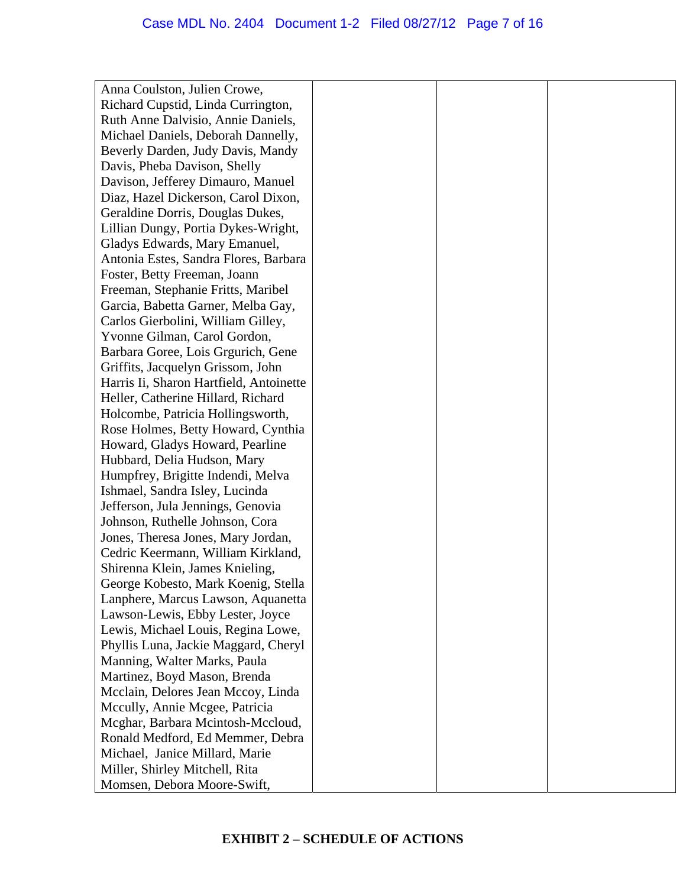| Anna Coulston, Julien Crowe,            |  |  |
|-----------------------------------------|--|--|
| Richard Cupstid, Linda Currington,      |  |  |
| Ruth Anne Dalvisio, Annie Daniels,      |  |  |
| Michael Daniels, Deborah Dannelly,      |  |  |
| Beverly Darden, Judy Davis, Mandy       |  |  |
| Davis, Pheba Davison, Shelly            |  |  |
| Davison, Jefferey Dimauro, Manuel       |  |  |
| Diaz, Hazel Dickerson, Carol Dixon,     |  |  |
| Geraldine Dorris, Douglas Dukes,        |  |  |
| Lillian Dungy, Portia Dykes-Wright,     |  |  |
| Gladys Edwards, Mary Emanuel,           |  |  |
| Antonia Estes, Sandra Flores, Barbara   |  |  |
| Foster, Betty Freeman, Joann            |  |  |
| Freeman, Stephanie Fritts, Maribel      |  |  |
| Garcia, Babetta Garner, Melba Gay,      |  |  |
| Carlos Gierbolini, William Gilley,      |  |  |
| Yvonne Gilman, Carol Gordon,            |  |  |
| Barbara Goree, Lois Grgurich, Gene      |  |  |
| Griffits, Jacquelyn Grissom, John       |  |  |
| Harris Ii, Sharon Hartfield, Antoinette |  |  |
| Heller, Catherine Hillard, Richard      |  |  |
| Holcombe, Patricia Hollingsworth,       |  |  |
| Rose Holmes, Betty Howard, Cynthia      |  |  |
| Howard, Gladys Howard, Pearline         |  |  |
| Hubbard, Delia Hudson, Mary             |  |  |
| Humpfrey, Brigitte Indendi, Melva       |  |  |
| Ishmael, Sandra Isley, Lucinda          |  |  |
| Jefferson, Jula Jennings, Genovia       |  |  |
| Johnson, Ruthelle Johnson, Cora         |  |  |
| Jones, Theresa Jones, Mary Jordan,      |  |  |
| Cedric Keermann, William Kirkland,      |  |  |
| Shirenna Klein, James Knieling,         |  |  |
| George Kobesto, Mark Koenig, Stella     |  |  |
| Lanphere, Marcus Lawson, Aquanetta      |  |  |
| Lawson-Lewis, Ebby Lester, Joyce        |  |  |
| Lewis, Michael Louis, Regina Lowe,      |  |  |
| Phyllis Luna, Jackie Maggard, Cheryl    |  |  |
| Manning, Walter Marks, Paula            |  |  |
| Martinez, Boyd Mason, Brenda            |  |  |
| Mcclain, Delores Jean Mccoy, Linda      |  |  |
| Mccully, Annie Mcgee, Patricia          |  |  |
| Mcghar, Barbara Mcintosh-Mccloud,       |  |  |
| Ronald Medford, Ed Memmer, Debra        |  |  |
| Michael, Janice Millard, Marie          |  |  |
| Miller, Shirley Mitchell, Rita          |  |  |
| Momsen, Debora Moore-Swift,             |  |  |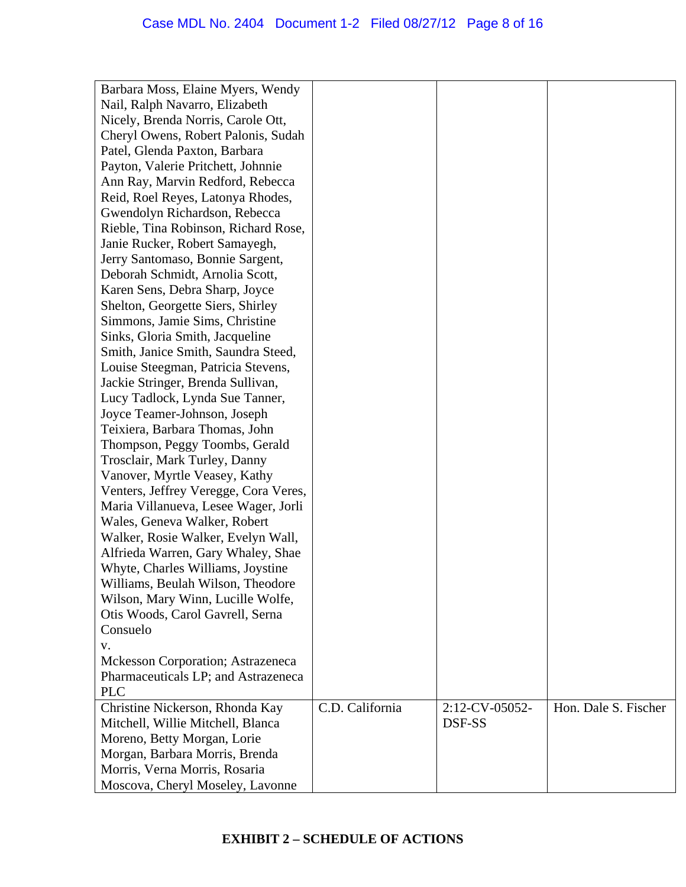| Barbara Moss, Elaine Myers, Wendy     |                 |                |                      |
|---------------------------------------|-----------------|----------------|----------------------|
| Nail, Ralph Navarro, Elizabeth        |                 |                |                      |
| Nicely, Brenda Norris, Carole Ott,    |                 |                |                      |
| Cheryl Owens, Robert Palonis, Sudah   |                 |                |                      |
| Patel, Glenda Paxton, Barbara         |                 |                |                      |
| Payton, Valerie Pritchett, Johnnie    |                 |                |                      |
| Ann Ray, Marvin Redford, Rebecca      |                 |                |                      |
| Reid, Roel Reyes, Latonya Rhodes,     |                 |                |                      |
| Gwendolyn Richardson, Rebecca         |                 |                |                      |
| Rieble, Tina Robinson, Richard Rose,  |                 |                |                      |
| Janie Rucker, Robert Samayegh,        |                 |                |                      |
| Jerry Santomaso, Bonnie Sargent,      |                 |                |                      |
| Deborah Schmidt, Arnolia Scott,       |                 |                |                      |
| Karen Sens, Debra Sharp, Joyce        |                 |                |                      |
| Shelton, Georgette Siers, Shirley     |                 |                |                      |
| Simmons, Jamie Sims, Christine        |                 |                |                      |
| Sinks, Gloria Smith, Jacqueline       |                 |                |                      |
| Smith, Janice Smith, Saundra Steed,   |                 |                |                      |
| Louise Steegman, Patricia Stevens,    |                 |                |                      |
| Jackie Stringer, Brenda Sullivan,     |                 |                |                      |
| Lucy Tadlock, Lynda Sue Tanner,       |                 |                |                      |
| Joyce Teamer-Johnson, Joseph          |                 |                |                      |
| Teixiera, Barbara Thomas, John        |                 |                |                      |
| Thompson, Peggy Toombs, Gerald        |                 |                |                      |
| Trosclair, Mark Turley, Danny         |                 |                |                      |
| Vanover, Myrtle Veasey, Kathy         |                 |                |                      |
| Venters, Jeffrey Veregge, Cora Veres, |                 |                |                      |
| Maria Villanueva, Lesee Wager, Jorli  |                 |                |                      |
| Wales, Geneva Walker, Robert          |                 |                |                      |
| Walker, Rosie Walker, Evelyn Wall,    |                 |                |                      |
| Alfrieda Warren, Gary Whaley, Shae    |                 |                |                      |
| Whyte, Charles Williams, Joystine     |                 |                |                      |
| Williams, Beulah Wilson, Theodore     |                 |                |                      |
| Wilson, Mary Winn, Lucille Wolfe,     |                 |                |                      |
| Otis Woods, Carol Gavrell, Serna      |                 |                |                      |
| Consuelo                              |                 |                |                      |
| V.                                    |                 |                |                      |
| Mckesson Corporation; Astrazeneca     |                 |                |                      |
| Pharmaceuticals LP; and Astrazeneca   |                 |                |                      |
| <b>PLC</b>                            |                 |                |                      |
| Christine Nickerson, Rhonda Kay       | C.D. California | 2:12-CV-05052- | Hon. Dale S. Fischer |
| Mitchell, Willie Mitchell, Blanca     |                 | DSF-SS         |                      |
| Moreno, Betty Morgan, Lorie           |                 |                |                      |
| Morgan, Barbara Morris, Brenda        |                 |                |                      |
| Morris, Verna Morris, Rosaria         |                 |                |                      |
| Moscova, Cheryl Moseley, Lavonne      |                 |                |                      |
|                                       |                 |                |                      |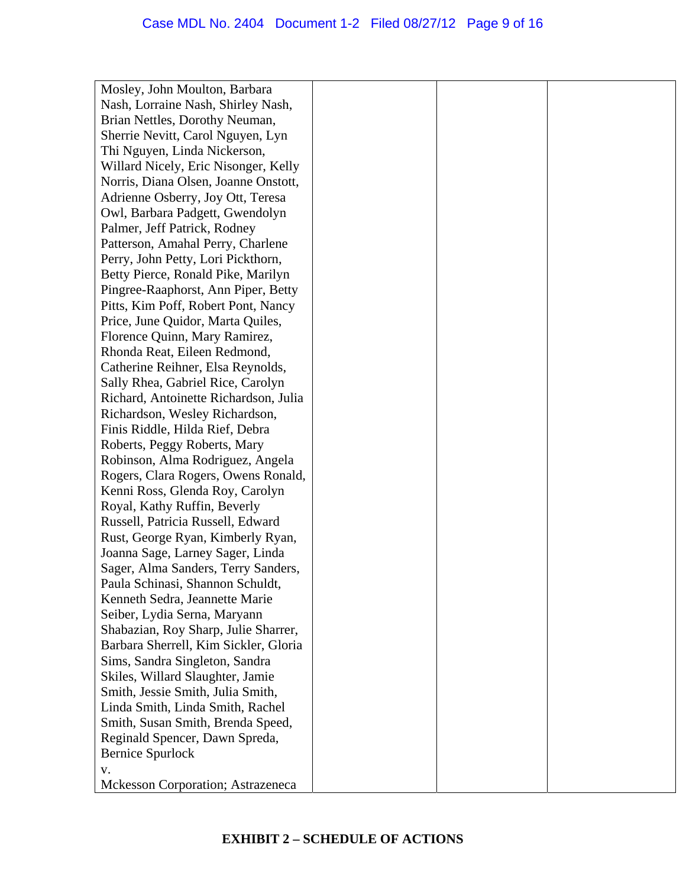| Mosley, John Moulton, Barbara         |  |  |
|---------------------------------------|--|--|
| Nash, Lorraine Nash, Shirley Nash,    |  |  |
| Brian Nettles, Dorothy Neuman,        |  |  |
| Sherrie Nevitt, Carol Nguyen, Lyn     |  |  |
| Thi Nguyen, Linda Nickerson,          |  |  |
| Willard Nicely, Eric Nisonger, Kelly  |  |  |
| Norris, Diana Olsen, Joanne Onstott,  |  |  |
| Adrienne Osberry, Joy Ott, Teresa     |  |  |
| Owl, Barbara Padgett, Gwendolyn       |  |  |
| Palmer, Jeff Patrick, Rodney          |  |  |
| Patterson, Amahal Perry, Charlene     |  |  |
| Perry, John Petty, Lori Pickthorn,    |  |  |
| Betty Pierce, Ronald Pike, Marilyn    |  |  |
| Pingree-Raaphorst, Ann Piper, Betty   |  |  |
| Pitts, Kim Poff, Robert Pont, Nancy   |  |  |
| Price, June Quidor, Marta Quiles,     |  |  |
| Florence Quinn, Mary Ramirez,         |  |  |
| Rhonda Reat, Eileen Redmond,          |  |  |
| Catherine Reihner, Elsa Reynolds,     |  |  |
| Sally Rhea, Gabriel Rice, Carolyn     |  |  |
| Richard, Antoinette Richardson, Julia |  |  |
| Richardson, Wesley Richardson,        |  |  |
| Finis Riddle, Hilda Rief, Debra       |  |  |
| Roberts, Peggy Roberts, Mary          |  |  |
| Robinson, Alma Rodriguez, Angela      |  |  |
| Rogers, Clara Rogers, Owens Ronald,   |  |  |
| Kenni Ross, Glenda Roy, Carolyn       |  |  |
| Royal, Kathy Ruffin, Beverly          |  |  |
| Russell, Patricia Russell, Edward     |  |  |
| Rust, George Ryan, Kimberly Ryan,     |  |  |
| Joanna Sage, Larney Sager, Linda      |  |  |
| Sager, Alma Sanders, Terry Sanders,   |  |  |
| Paula Schinasi, Shannon Schuldt,      |  |  |
| Kenneth Sedra, Jeannette Marie        |  |  |
| Seiber, Lydia Serna, Maryann          |  |  |
| Shabazian, Roy Sharp, Julie Sharrer,  |  |  |
| Barbara Sherrell, Kim Sickler, Gloria |  |  |
| Sims, Sandra Singleton, Sandra        |  |  |
| Skiles, Willard Slaughter, Jamie      |  |  |
| Smith, Jessie Smith, Julia Smith,     |  |  |
| Linda Smith, Linda Smith, Rachel      |  |  |
| Smith, Susan Smith, Brenda Speed,     |  |  |
| Reginald Spencer, Dawn Spreda,        |  |  |
| <b>Bernice Spurlock</b>               |  |  |
| V.                                    |  |  |
| Mckesson Corporation; Astrazeneca     |  |  |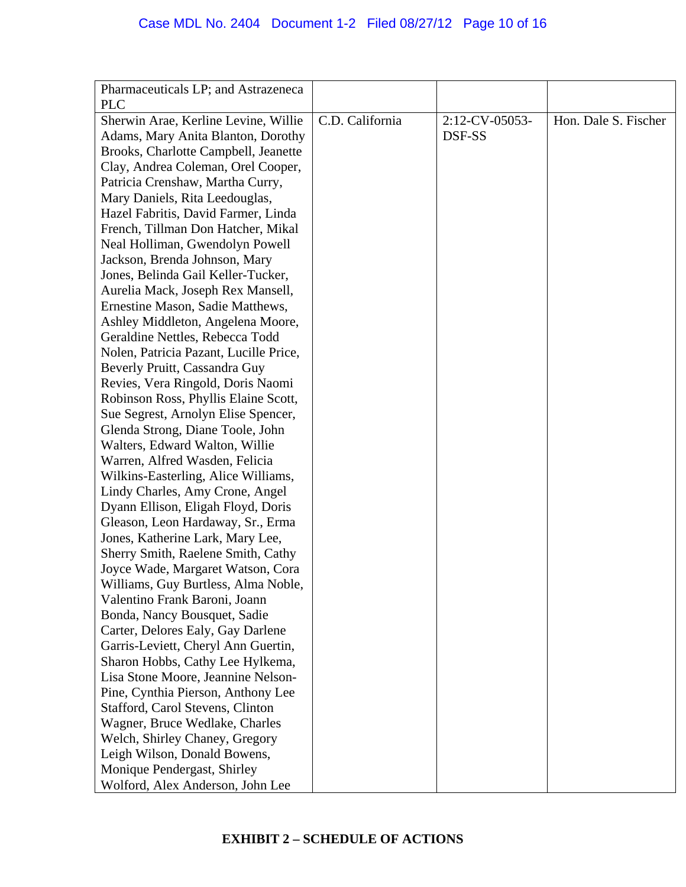| Pharmaceuticals LP; and Astrazeneca    |                 |                |                      |
|----------------------------------------|-----------------|----------------|----------------------|
| <b>PLC</b>                             |                 |                |                      |
| Sherwin Arae, Kerline Levine, Willie   | C.D. California | 2:12-CV-05053- | Hon. Dale S. Fischer |
| Adams, Mary Anita Blanton, Dorothy     |                 | DSF-SS         |                      |
| Brooks, Charlotte Campbell, Jeanette   |                 |                |                      |
| Clay, Andrea Coleman, Orel Cooper,     |                 |                |                      |
| Patricia Crenshaw, Martha Curry,       |                 |                |                      |
| Mary Daniels, Rita Leedouglas,         |                 |                |                      |
| Hazel Fabritis, David Farmer, Linda    |                 |                |                      |
| French, Tillman Don Hatcher, Mikal     |                 |                |                      |
| Neal Holliman, Gwendolyn Powell        |                 |                |                      |
| Jackson, Brenda Johnson, Mary          |                 |                |                      |
| Jones, Belinda Gail Keller-Tucker,     |                 |                |                      |
| Aurelia Mack, Joseph Rex Mansell,      |                 |                |                      |
| Ernestine Mason, Sadie Matthews,       |                 |                |                      |
| Ashley Middleton, Angelena Moore,      |                 |                |                      |
| Geraldine Nettles, Rebecca Todd        |                 |                |                      |
| Nolen, Patricia Pazant, Lucille Price, |                 |                |                      |
| Beverly Pruitt, Cassandra Guy          |                 |                |                      |
| Revies, Vera Ringold, Doris Naomi      |                 |                |                      |
| Robinson Ross, Phyllis Elaine Scott,   |                 |                |                      |
| Sue Segrest, Arnolyn Elise Spencer,    |                 |                |                      |
| Glenda Strong, Diane Toole, John       |                 |                |                      |
| Walters, Edward Walton, Willie         |                 |                |                      |
| Warren, Alfred Wasden, Felicia         |                 |                |                      |
| Wilkins-Easterling, Alice Williams,    |                 |                |                      |
| Lindy Charles, Amy Crone, Angel        |                 |                |                      |
| Dyann Ellison, Eligah Floyd, Doris     |                 |                |                      |
| Gleason, Leon Hardaway, Sr., Erma      |                 |                |                      |
| Jones, Katherine Lark, Mary Lee,       |                 |                |                      |
| Sherry Smith, Raelene Smith, Cathy     |                 |                |                      |
| Joyce Wade, Margaret Watson, Cora      |                 |                |                      |
| Williams, Guy Burtless, Alma Noble,    |                 |                |                      |
| Valentino Frank Baroni, Joann          |                 |                |                      |
| Bonda, Nancy Bousquet, Sadie           |                 |                |                      |
| Carter, Delores Ealy, Gay Darlene      |                 |                |                      |
| Garris-Leviett, Cheryl Ann Guertin,    |                 |                |                      |
| Sharon Hobbs, Cathy Lee Hylkema,       |                 |                |                      |
| Lisa Stone Moore, Jeannine Nelson-     |                 |                |                      |
| Pine, Cynthia Pierson, Anthony Lee     |                 |                |                      |
| Stafford, Carol Stevens, Clinton       |                 |                |                      |
| Wagner, Bruce Wedlake, Charles         |                 |                |                      |
| Welch, Shirley Chaney, Gregory         |                 |                |                      |
| Leigh Wilson, Donald Bowens,           |                 |                |                      |
| Monique Pendergast, Shirley            |                 |                |                      |
| Wolford, Alex Anderson, John Lee       |                 |                |                      |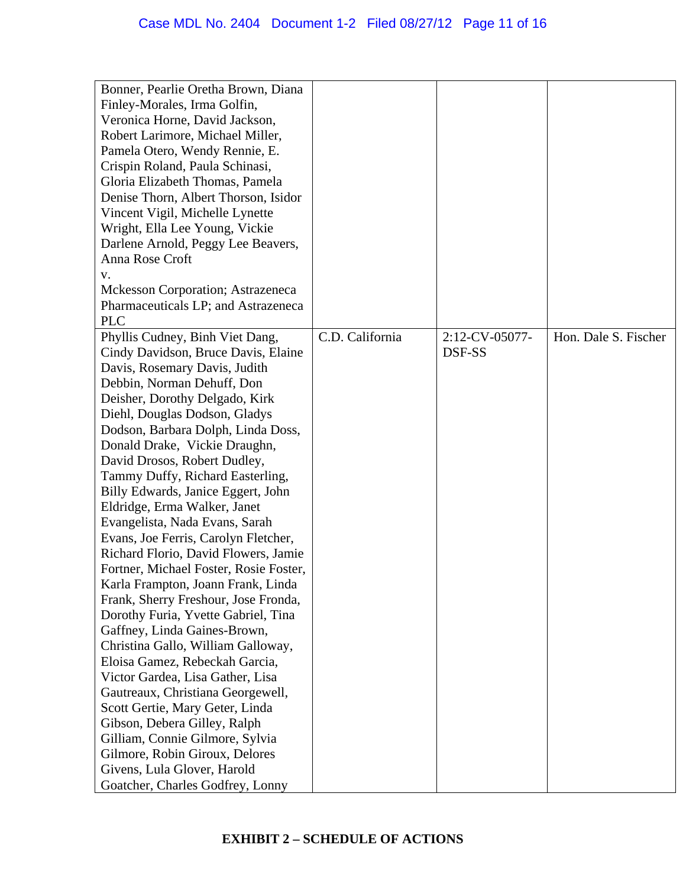| Bonner, Pearlie Oretha Brown, Diana<br>Finley-Morales, Irma Golfin,<br>Veronica Horne, David Jackson,<br>Robert Larimore, Michael Miller,<br>Pamela Otero, Wendy Rennie, E.<br>Crispin Roland, Paula Schinasi,<br>Gloria Elizabeth Thomas, Pamela                                                                                                                                                                                                                                                                                                                                                                                                                                                                                                                                                                                                                                                                              |                 |                          |                      |
|--------------------------------------------------------------------------------------------------------------------------------------------------------------------------------------------------------------------------------------------------------------------------------------------------------------------------------------------------------------------------------------------------------------------------------------------------------------------------------------------------------------------------------------------------------------------------------------------------------------------------------------------------------------------------------------------------------------------------------------------------------------------------------------------------------------------------------------------------------------------------------------------------------------------------------|-----------------|--------------------------|----------------------|
| Denise Thorn, Albert Thorson, Isidor<br>Vincent Vigil, Michelle Lynette<br>Wright, Ella Lee Young, Vickie<br>Darlene Arnold, Peggy Lee Beavers,<br>Anna Rose Croft                                                                                                                                                                                                                                                                                                                                                                                                                                                                                                                                                                                                                                                                                                                                                             |                 |                          |                      |
| V.<br>Mckesson Corporation; Astrazeneca<br>Pharmaceuticals LP; and Astrazeneca<br><b>PLC</b>                                                                                                                                                                                                                                                                                                                                                                                                                                                                                                                                                                                                                                                                                                                                                                                                                                   |                 |                          |                      |
| Phyllis Cudney, Binh Viet Dang,<br>Cindy Davidson, Bruce Davis, Elaine<br>Davis, Rosemary Davis, Judith<br>Debbin, Norman Dehuff, Don<br>Deisher, Dorothy Delgado, Kirk<br>Diehl, Douglas Dodson, Gladys<br>Dodson, Barbara Dolph, Linda Doss,<br>Donald Drake, Vickie Draughn,<br>David Drosos, Robert Dudley,<br>Tammy Duffy, Richard Easterling,<br>Billy Edwards, Janice Eggert, John<br>Eldridge, Erma Walker, Janet<br>Evangelista, Nada Evans, Sarah<br>Evans, Joe Ferris, Carolyn Fletcher,<br>Richard Florio, David Flowers, Jamie<br>Fortner, Michael Foster, Rosie Foster,<br>Karla Frampton, Joann Frank, Linda<br>Frank, Sherry Freshour, Jose Fronda,<br>Dorothy Furia, Yvette Gabriel, Tina<br>Gaffney, Linda Gaines-Brown,<br>Christina Gallo, William Galloway,<br>Eloisa Gamez, Rebeckah Garcia,<br>Victor Gardea, Lisa Gather, Lisa<br>Gautreaux, Christiana Georgewell,<br>Scott Gertie, Mary Geter, Linda | C.D. California | 2:12-CV-05077-<br>DSF-SS | Hon. Dale S. Fischer |
| Gibson, Debera Gilley, Ralph<br>Gilliam, Connie Gilmore, Sylvia<br>Gilmore, Robin Giroux, Delores<br>Givens, Lula Glover, Harold<br>Goatcher, Charles Godfrey, Lonny                                                                                                                                                                                                                                                                                                                                                                                                                                                                                                                                                                                                                                                                                                                                                           |                 |                          |                      |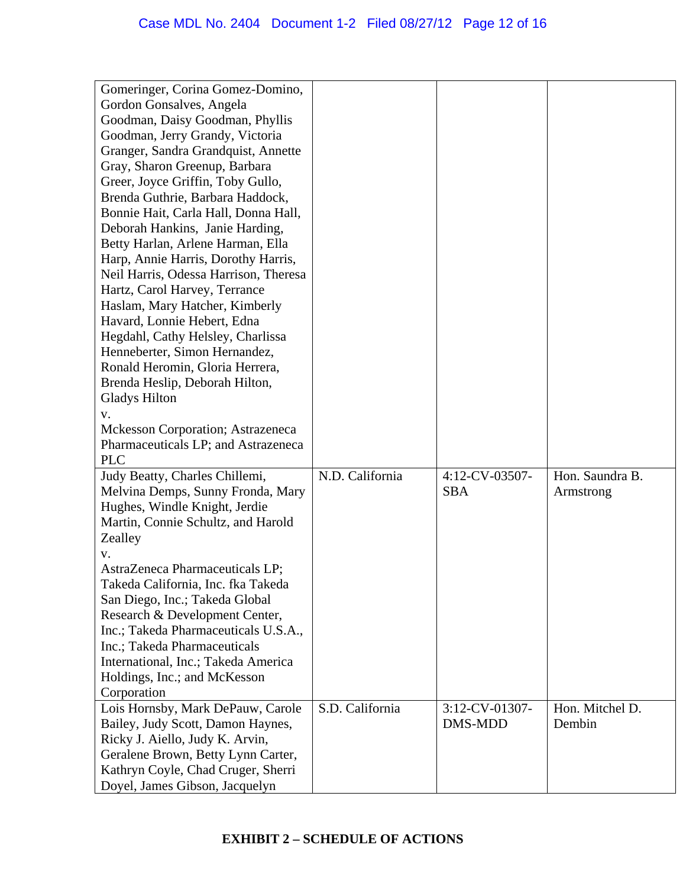| Gomeringer, Corina Gomez-Domino,                                                                                                                                                                                                            |                 |                |                 |
|---------------------------------------------------------------------------------------------------------------------------------------------------------------------------------------------------------------------------------------------|-----------------|----------------|-----------------|
| Gordon Gonsalves, Angela                                                                                                                                                                                                                    |                 |                |                 |
| Goodman, Daisy Goodman, Phyllis                                                                                                                                                                                                             |                 |                |                 |
| Goodman, Jerry Grandy, Victoria                                                                                                                                                                                                             |                 |                |                 |
| Granger, Sandra Grandquist, Annette                                                                                                                                                                                                         |                 |                |                 |
| Gray, Sharon Greenup, Barbara                                                                                                                                                                                                               |                 |                |                 |
| Greer, Joyce Griffin, Toby Gullo,                                                                                                                                                                                                           |                 |                |                 |
| Brenda Guthrie, Barbara Haddock,                                                                                                                                                                                                            |                 |                |                 |
| Bonnie Hait, Carla Hall, Donna Hall,                                                                                                                                                                                                        |                 |                |                 |
| Deborah Hankins, Janie Harding,                                                                                                                                                                                                             |                 |                |                 |
| Betty Harlan, Arlene Harman, Ella                                                                                                                                                                                                           |                 |                |                 |
| Harp, Annie Harris, Dorothy Harris,                                                                                                                                                                                                         |                 |                |                 |
| Neil Harris, Odessa Harrison, Theresa                                                                                                                                                                                                       |                 |                |                 |
| Hartz, Carol Harvey, Terrance                                                                                                                                                                                                               |                 |                |                 |
| Haslam, Mary Hatcher, Kimberly                                                                                                                                                                                                              |                 |                |                 |
| Havard, Lonnie Hebert, Edna                                                                                                                                                                                                                 |                 |                |                 |
| Hegdahl, Cathy Helsley, Charlissa                                                                                                                                                                                                           |                 |                |                 |
| Henneberter, Simon Hernandez,                                                                                                                                                                                                               |                 |                |                 |
| Ronald Heromin, Gloria Herrera,                                                                                                                                                                                                             |                 |                |                 |
| Brenda Heslip, Deborah Hilton,                                                                                                                                                                                                              |                 |                |                 |
| <b>Gladys Hilton</b>                                                                                                                                                                                                                        |                 |                |                 |
| v.                                                                                                                                                                                                                                          |                 |                |                 |
| Mckesson Corporation; Astrazeneca                                                                                                                                                                                                           |                 |                |                 |
| Pharmaceuticals LP; and Astrazeneca                                                                                                                                                                                                         |                 |                |                 |
| <b>PLC</b>                                                                                                                                                                                                                                  |                 |                |                 |
| Judy Beatty, Charles Chillemi,                                                                                                                                                                                                              | N.D. California | 4:12-CV-03507- | Hon. Saundra B. |
| Melvina Demps, Sunny Fronda, Mary                                                                                                                                                                                                           |                 | <b>SBA</b>     | Armstrong       |
| Hughes, Windle Knight, Jerdie                                                                                                                                                                                                               |                 |                |                 |
| Martin, Connie Schultz, and Harold                                                                                                                                                                                                          |                 |                |                 |
| Zealley                                                                                                                                                                                                                                     |                 |                |                 |
| v.                                                                                                                                                                                                                                          |                 |                |                 |
| AstraZeneca Pharmaceuticals LP;                                                                                                                                                                                                             |                 |                |                 |
| Takeda California, Inc. fka Takeda                                                                                                                                                                                                          |                 |                |                 |
| San Diego, Inc.; Takeda Global                                                                                                                                                                                                              |                 |                |                 |
| Research & Development Center,                                                                                                                                                                                                              |                 |                |                 |
| Inc.; Takeda Pharmaceuticals U.S.A.,                                                                                                                                                                                                        |                 |                |                 |
| Inc.; Takeda Pharmaceuticals                                                                                                                                                                                                                |                 |                |                 |
|                                                                                                                                                                                                                                             |                 |                |                 |
| Holdings, Inc.; and McKesson                                                                                                                                                                                                                |                 |                |                 |
|                                                                                                                                                                                                                                             |                 |                |                 |
|                                                                                                                                                                                                                                             | S.D. California | 3:12-CV-01307- | Hon. Mitchel D. |
|                                                                                                                                                                                                                                             |                 |                |                 |
|                                                                                                                                                                                                                                             |                 |                |                 |
|                                                                                                                                                                                                                                             |                 |                |                 |
|                                                                                                                                                                                                                                             |                 |                |                 |
|                                                                                                                                                                                                                                             |                 |                |                 |
| International, Inc.; Takeda America<br>Corporation<br>Lois Hornsby, Mark DePauw, Carole<br>Bailey, Judy Scott, Damon Haynes,<br>Ricky J. Aiello, Judy K. Arvin,<br>Geralene Brown, Betty Lynn Carter,<br>Kathryn Coyle, Chad Cruger, Sherri |                 | DMS-MDD        | Dembin          |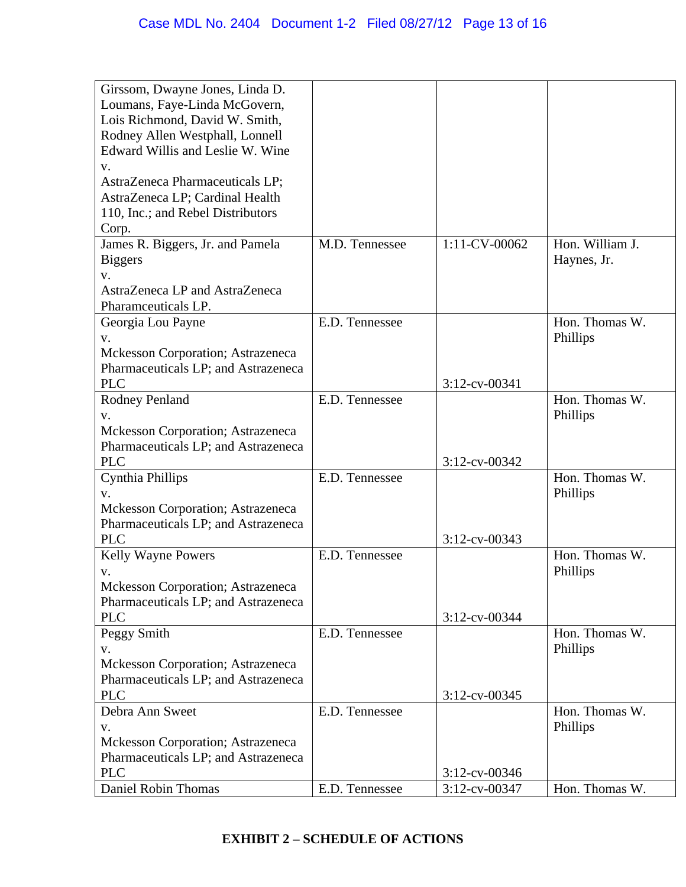| Girssom, Dwayne Jones, Linda D.                   |                |                  |                 |
|---------------------------------------------------|----------------|------------------|-----------------|
| Loumans, Faye-Linda McGovern,                     |                |                  |                 |
| Lois Richmond, David W. Smith,                    |                |                  |                 |
| Rodney Allen Westphall, Lonnell                   |                |                  |                 |
| Edward Willis and Leslie W. Wine                  |                |                  |                 |
| V.                                                |                |                  |                 |
| AstraZeneca Pharmaceuticals LP;                   |                |                  |                 |
| AstraZeneca LP; Cardinal Health                   |                |                  |                 |
| 110, Inc.; and Rebel Distributors                 |                |                  |                 |
| Corp.                                             |                |                  |                 |
| James R. Biggers, Jr. and Pamela                  | M.D. Tennessee | 1:11-CV-00062    | Hon. William J. |
| <b>Biggers</b>                                    |                |                  | Haynes, Jr.     |
| V.                                                |                |                  |                 |
| AstraZeneca LP and AstraZeneca                    |                |                  |                 |
| Pharamceuticals LP.                               |                |                  |                 |
| Georgia Lou Payne                                 | E.D. Tennessee |                  | Hon. Thomas W.  |
| V.                                                |                |                  | Phillips        |
| <b>Mckesson Corporation; Astrazeneca</b>          |                |                  |                 |
| Pharmaceuticals LP; and Astrazeneca               |                |                  |                 |
| <b>PLC</b>                                        |                | 3:12-cv-00341    |                 |
| Rodney Penland                                    | E.D. Tennessee |                  | Hon. Thomas W.  |
|                                                   |                |                  |                 |
| V.                                                |                |                  | Phillips        |
| Mckesson Corporation; Astrazeneca                 |                |                  |                 |
| Pharmaceuticals LP; and Astrazeneca               |                |                  |                 |
| <b>PLC</b>                                        |                | $3:12$ -cv-00342 |                 |
| Cynthia Phillips                                  | E.D. Tennessee |                  | Hon. Thomas W.  |
| V.                                                |                |                  | Phillips        |
| Mckesson Corporation; Astrazeneca                 |                |                  |                 |
| Pharmaceuticals LP; and Astrazeneca<br><b>PLC</b> |                |                  |                 |
|                                                   |                | 3:12-cv-00343    |                 |
| <b>Kelly Wayne Powers</b>                         | E.D. Tennessee |                  | Hon. Thomas W.  |
| V.                                                |                |                  | Phillips        |
| <b>Mckesson Corporation; Astrazeneca</b>          |                |                  |                 |
| Pharmaceuticals LP; and Astrazeneca               |                |                  |                 |
| <b>PLC</b>                                        |                | 3:12-cv-00344    |                 |
| Peggy Smith                                       | E.D. Tennessee |                  | Hon. Thomas W.  |
| V.                                                |                |                  | Phillips        |
| <b>Mckesson Corporation</b> ; Astrazeneca         |                |                  |                 |
| Pharmaceuticals LP; and Astrazeneca               |                |                  |                 |
| <b>PLC</b>                                        |                | 3:12-cv-00345    |                 |
| Debra Ann Sweet                                   | E.D. Tennessee |                  | Hon. Thomas W.  |
| V.                                                |                |                  | Phillips        |
| <b>Mckesson Corporation</b> ; Astrazeneca         |                |                  |                 |
| Pharmaceuticals LP; and Astrazeneca               |                |                  |                 |
| <b>PLC</b>                                        |                | $3:12$ -cv-00346 |                 |
| Daniel Robin Thomas                               | E.D. Tennessee | 3:12-cv-00347    | Hon. Thomas W.  |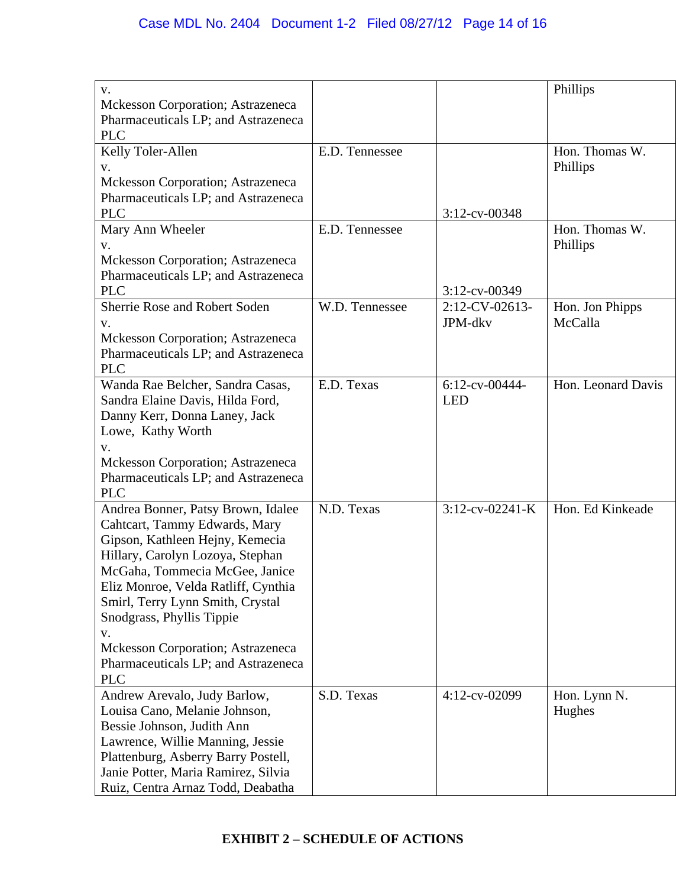| V.                                                                               |                |                  | Phillips                   |
|----------------------------------------------------------------------------------|----------------|------------------|----------------------------|
| <b>Mckesson Corporation</b> ; Astrazeneca                                        |                |                  |                            |
| Pharmaceuticals LP; and Astrazeneca                                              |                |                  |                            |
| <b>PLC</b>                                                                       |                |                  |                            |
| Kelly Toler-Allen                                                                | E.D. Tennessee |                  | Hon. Thomas W.             |
| v.                                                                               |                |                  | Phillips                   |
| <b>Mckesson Corporation</b> ; Astrazeneca                                        |                |                  |                            |
| Pharmaceuticals LP; and Astrazeneca                                              |                |                  |                            |
| <b>PLC</b>                                                                       |                | 3:12-cv-00348    |                            |
| Mary Ann Wheeler                                                                 | E.D. Tennessee |                  | Hon. Thomas W.             |
|                                                                                  |                |                  | Phillips                   |
| v.                                                                               |                |                  |                            |
| <b>Mckesson Corporation</b> ; Astrazeneca<br>Pharmaceuticals LP; and Astrazeneca |                |                  |                            |
| <b>PLC</b>                                                                       |                | $3:12$ -cv-00349 |                            |
| Sherrie Rose and Robert Soden                                                    | W.D. Tennessee | 2:12-CV-02613-   |                            |
|                                                                                  |                | JPM-dkv          | Hon. Jon Phipps<br>McCalla |
| v.                                                                               |                |                  |                            |
| <b>Mckesson Corporation</b> ; Astrazeneca                                        |                |                  |                            |
| Pharmaceuticals LP; and Astrazeneca                                              |                |                  |                            |
| <b>PLC</b>                                                                       |                |                  |                            |
| Wanda Rae Belcher, Sandra Casas,                                                 | E.D. Texas     | 6:12-cv-00444-   | Hon. Leonard Davis         |
| Sandra Elaine Davis, Hilda Ford,                                                 |                | <b>LED</b>       |                            |
| Danny Kerr, Donna Laney, Jack                                                    |                |                  |                            |
| Lowe, Kathy Worth                                                                |                |                  |                            |
| v.                                                                               |                |                  |                            |
| <b>Mckesson Corporation</b> ; Astrazeneca                                        |                |                  |                            |
| Pharmaceuticals LP; and Astrazeneca                                              |                |                  |                            |
| <b>PLC</b>                                                                       |                |                  |                            |
| Andrea Bonner, Patsy Brown, Idalee                                               | N.D. Texas     | 3:12-cv-02241-K  | Hon. Ed Kinkeade           |
| Cahtcart, Tammy Edwards, Mary                                                    |                |                  |                            |
| Gipson, Kathleen Hejny, Kemecia                                                  |                |                  |                            |
| Hillary, Carolyn Lozoya, Stephan                                                 |                |                  |                            |
| McGaha, Tommecia McGee, Janice                                                   |                |                  |                            |
| Eliz Monroe, Velda Ratliff, Cynthia                                              |                |                  |                            |
| Smirl, Terry Lynn Smith, Crystal                                                 |                |                  |                            |
| Snodgrass, Phyllis Tippie                                                        |                |                  |                            |
| V.                                                                               |                |                  |                            |
| Mckesson Corporation; Astrazeneca                                                |                |                  |                            |
| Pharmaceuticals LP; and Astrazeneca                                              |                |                  |                            |
| <b>PLC</b>                                                                       |                |                  |                            |
| Andrew Arevalo, Judy Barlow,                                                     | S.D. Texas     | 4:12-cv-02099    | Hon. Lynn N.               |
| Louisa Cano, Melanie Johnson,                                                    |                |                  | Hughes                     |
| Bessie Johnson, Judith Ann                                                       |                |                  |                            |
| Lawrence, Willie Manning, Jessie                                                 |                |                  |                            |
| Plattenburg, Asberry Barry Postell,                                              |                |                  |                            |
| Janie Potter, Maria Ramirez, Silvia                                              |                |                  |                            |
| Ruiz, Centra Arnaz Todd, Deabatha                                                |                |                  |                            |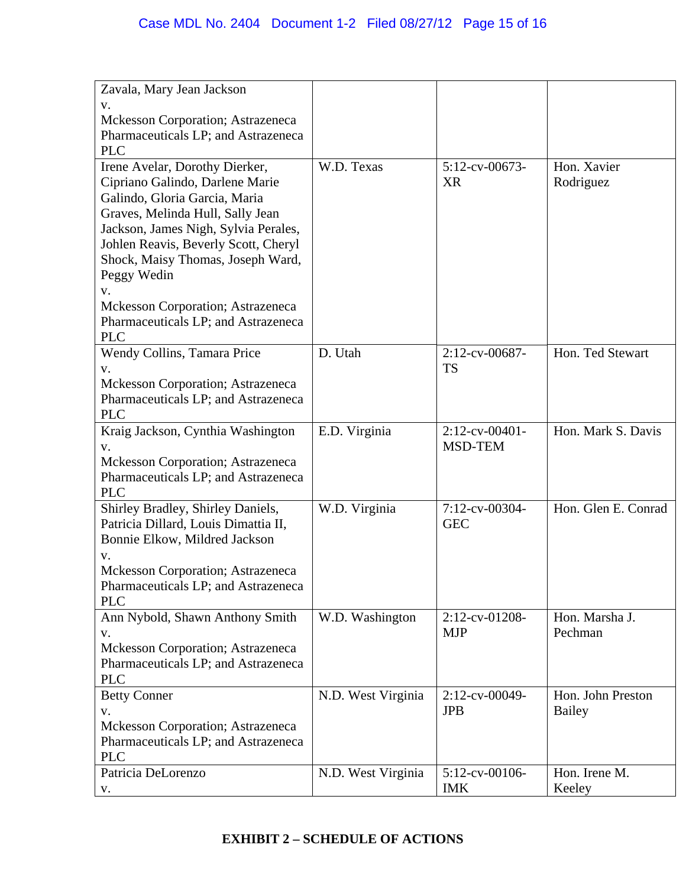| Zavala, Mary Jean Jackson                 |                    |                |                     |
|-------------------------------------------|--------------------|----------------|---------------------|
| V.                                        |                    |                |                     |
| Mckesson Corporation; Astrazeneca         |                    |                |                     |
| Pharmaceuticals LP; and Astrazeneca       |                    |                |                     |
| <b>PLC</b>                                |                    |                |                     |
| Irene Avelar, Dorothy Dierker,            | W.D. Texas         | 5:12-cv-00673- | Hon. Xavier         |
| Cipriano Galindo, Darlene Marie           |                    | <b>XR</b>      | Rodriguez           |
| Galindo, Gloria Garcia, Maria             |                    |                |                     |
| Graves, Melinda Hull, Sally Jean          |                    |                |                     |
| Jackson, James Nigh, Sylvia Perales,      |                    |                |                     |
| Johlen Reavis, Beverly Scott, Cheryl      |                    |                |                     |
| Shock, Maisy Thomas, Joseph Ward,         |                    |                |                     |
| Peggy Wedin                               |                    |                |                     |
| V.                                        |                    |                |                     |
| <b>Mckesson Corporation; Astrazeneca</b>  |                    |                |                     |
| Pharmaceuticals LP; and Astrazeneca       |                    |                |                     |
| <b>PLC</b>                                |                    |                |                     |
| Wendy Collins, Tamara Price               | D. Utah            | 2:12-cv-00687- | Hon. Ted Stewart    |
| V.                                        |                    | <b>TS</b>      |                     |
| <b>Mckesson Corporation</b> ; Astrazeneca |                    |                |                     |
| Pharmaceuticals LP; and Astrazeneca       |                    |                |                     |
| <b>PLC</b>                                |                    |                |                     |
| Kraig Jackson, Cynthia Washington         | E.D. Virginia      | 2:12-cv-00401- | Hon. Mark S. Davis  |
| v.                                        |                    | <b>MSD-TEM</b> |                     |
| <b>Mckesson Corporation</b> ; Astrazeneca |                    |                |                     |
| Pharmaceuticals LP; and Astrazeneca       |                    |                |                     |
| <b>PLC</b>                                |                    |                |                     |
| Shirley Bradley, Shirley Daniels,         | W.D. Virginia      | 7:12-cv-00304- | Hon. Glen E. Conrad |
| Patricia Dillard, Louis Dimattia II,      |                    | <b>GEC</b>     |                     |
|                                           |                    |                |                     |
| Bonnie Elkow, Mildred Jackson             |                    |                |                     |
| v.                                        |                    |                |                     |
| Mckesson Corporation; Astrazeneca         |                    |                |                     |
| Pharmaceuticals LP; and Astrazeneca       |                    |                |                     |
| <b>PLC</b>                                |                    |                |                     |
| Ann Nybold, Shawn Anthony Smith           | W.D. Washington    | 2:12-cv-01208- | Hon. Marsha J.      |
| V.                                        |                    | <b>MJP</b>     | Pechman             |
| <b>Mckesson Corporation; Astrazeneca</b>  |                    |                |                     |
| Pharmaceuticals LP; and Astrazeneca       |                    |                |                     |
| <b>PLC</b>                                |                    |                |                     |
| <b>Betty Conner</b>                       | N.D. West Virginia | 2:12-cv-00049- | Hon. John Preston   |
| V.                                        |                    | <b>JPB</b>     | <b>Bailey</b>       |
| <b>Mckesson Corporation</b> ; Astrazeneca |                    |                |                     |
| Pharmaceuticals LP; and Astrazeneca       |                    |                |                     |
| <b>PLC</b>                                |                    |                |                     |
| Patricia DeLorenzo                        | N.D. West Virginia | 5:12-cv-00106- | Hon. Irene M.       |
| V.                                        |                    | <b>IMK</b>     | Keeley              |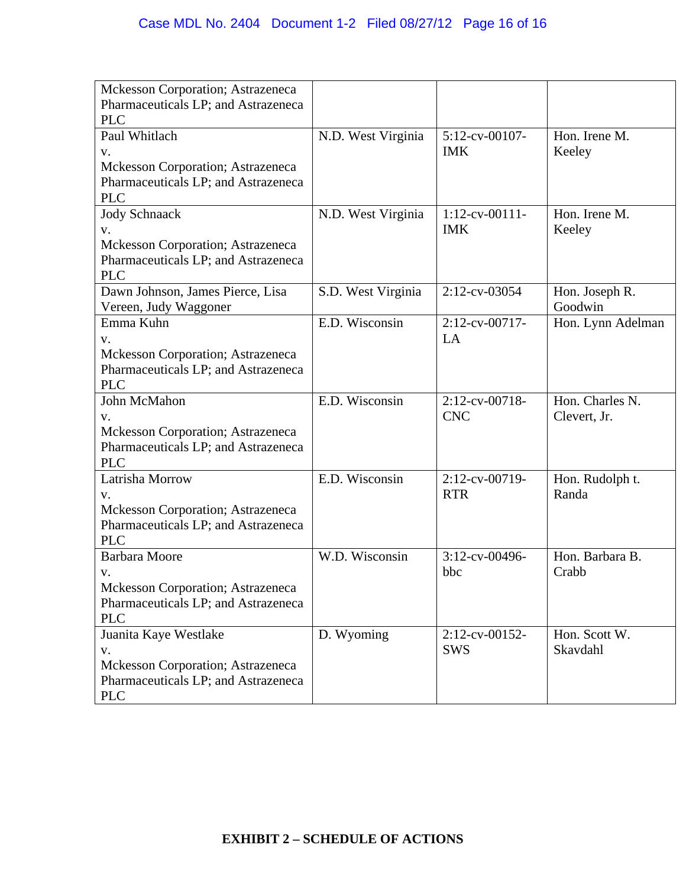| Mckesson Corporation; Astrazeneca<br>Pharmaceuticals LP; and Astrazeneca         |                    |                                 |                         |
|----------------------------------------------------------------------------------|--------------------|---------------------------------|-------------------------|
| <b>PLC</b>                                                                       |                    |                                 |                         |
| Paul Whitlach<br>V.                                                              | N.D. West Virginia | 5:12-cv-00107-<br><b>IMK</b>    | Hon. Irene M.<br>Keeley |
| <b>Mckesson Corporation</b> ; Astrazeneca<br>Pharmaceuticals LP; and Astrazeneca |                    |                                 |                         |
| <b>PLC</b>                                                                       |                    |                                 |                         |
| <b>Jody Schnaack</b><br>V.                                                       | N.D. West Virginia | $1:12$ -cv-00111-<br><b>IMK</b> | Hon. Irene M.<br>Keeley |
| <b>Mckesson Corporation</b> ; Astrazeneca                                        |                    |                                 |                         |
| Pharmaceuticals LP; and Astrazeneca                                              |                    |                                 |                         |
| <b>PLC</b>                                                                       |                    |                                 |                         |
| Dawn Johnson, James Pierce, Lisa                                                 | S.D. West Virginia | 2:12-cv-03054                   | Hon. Joseph R.          |
| Vereen, Judy Waggoner                                                            |                    |                                 | Goodwin                 |
| Emma Kuhn<br>V.                                                                  | E.D. Wisconsin     | 2:12-cv-00717-<br>LA            | Hon. Lynn Adelman       |
| Mckesson Corporation; Astrazeneca                                                |                    |                                 |                         |
| Pharmaceuticals LP; and Astrazeneca                                              |                    |                                 |                         |
| <b>PLC</b>                                                                       |                    |                                 |                         |
| John McMahon                                                                     | E.D. Wisconsin     | $2:12$ -cv-00718-               | Hon. Charles N.         |
| V.                                                                               |                    | <b>CNC</b>                      | Clevert, Jr.            |
| <b>Mckesson Corporation</b> ; Astrazeneca                                        |                    |                                 |                         |
| Pharmaceuticals LP; and Astrazeneca<br><b>PLC</b>                                |                    |                                 |                         |
| Latrisha Morrow                                                                  | E.D. Wisconsin     | 2:12-cv-00719-                  | Hon. Rudolph t.         |
| V.                                                                               |                    | <b>RTR</b>                      | Randa                   |
| <b>Mckesson Corporation</b> ; Astrazeneca                                        |                    |                                 |                         |
| Pharmaceuticals LP; and Astrazeneca                                              |                    |                                 |                         |
| <b>PLC</b>                                                                       |                    |                                 |                         |
| <b>Barbara Moore</b>                                                             | W.D. Wisconsin     | 3:12-cv-00496-                  | Hon. Barbara B.         |
| V.                                                                               |                    | bbc                             | Crabb                   |
| <b>Mckesson Corporation</b> ; Astrazeneca                                        |                    |                                 |                         |
| Pharmaceuticals LP; and Astrazeneca                                              |                    |                                 |                         |
| <b>PLC</b>                                                                       |                    |                                 |                         |
| Juanita Kaye Westlake                                                            | D. Wyoming         | 2:12-cv-00152-                  | Hon. Scott W.           |
| V.                                                                               |                    | <b>SWS</b>                      | Skavdahl                |
| Mckesson Corporation; Astrazeneca                                                |                    |                                 |                         |
| Pharmaceuticals LP; and Astrazeneca<br><b>PLC</b>                                |                    |                                 |                         |
|                                                                                  |                    |                                 |                         |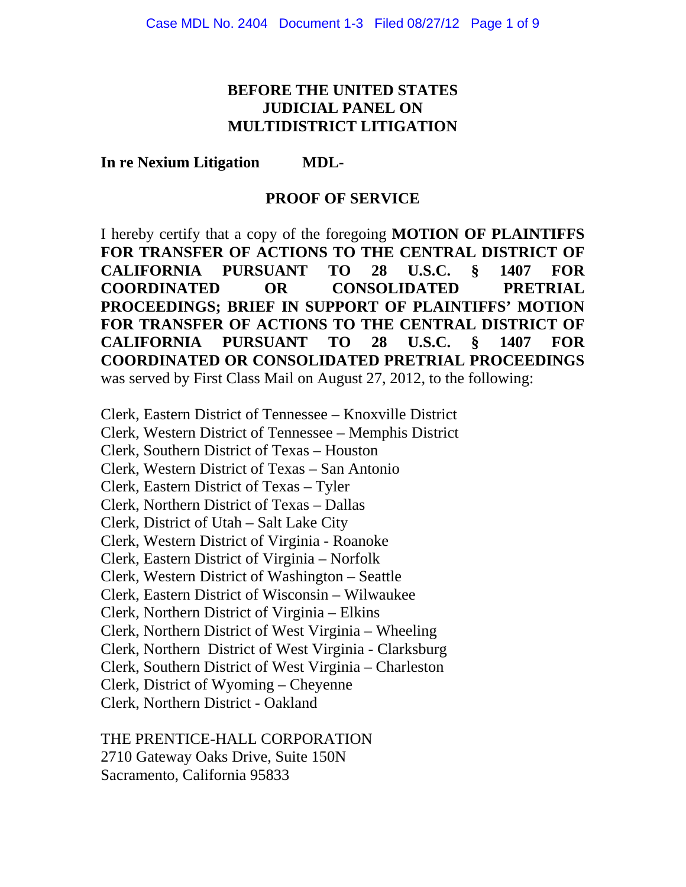## **BEFORE THE UNITED STATES JUDICIAL PANEL ON MULTIDISTRICT LITIGATION**

#### **In re Nexium Litigation MDL-**

#### **PROOF OF SERVICE**

I hereby certify that a copy of the foregoing **MOTION OF PLAINTIFFS FOR TRANSFER OF ACTIONS TO THE CENTRAL DISTRICT OF CALIFORNIA PURSUANT TO 28 U.S.C. § 1407 FOR COORDINATED OR CONSOLIDATED PRETRIAL PROCEEDINGS; BRIEF IN SUPPORT OF PLAINTIFFS' MOTION FOR TRANSFER OF ACTIONS TO THE CENTRAL DISTRICT OF CALIFORNIA PURSUANT TO 28 U.S.C. § 1407 FOR COORDINATED OR CONSOLIDATED PRETRIAL PROCEEDINGS** was served by First Class Mail on August 27, 2012, to the following:

Clerk, Eastern District of Tennessee – Knoxville District Clerk, Western District of Tennessee – Memphis District Clerk, Southern District of Texas – Houston Clerk, Western District of Texas – San Antonio Clerk, Eastern District of Texas – Tyler Clerk, Northern District of Texas – Dallas Clerk, District of Utah – Salt Lake City Clerk, Western District of Virginia - Roanoke Clerk, Eastern District of Virginia – Norfolk Clerk, Western District of Washington – Seattle Clerk, Eastern District of Wisconsin – Wilwaukee Clerk, Northern District of Virginia – Elkins Clerk, Northern District of West Virginia – Wheeling Clerk, Northern District of West Virginia - Clarksburg Clerk, Southern District of West Virginia – Charleston Clerk, District of Wyoming – Cheyenne Clerk, Northern District - Oakland

THE PRENTICE-HALL CORPORATION 2710 Gateway Oaks Drive, Suite 150N Sacramento, California 95833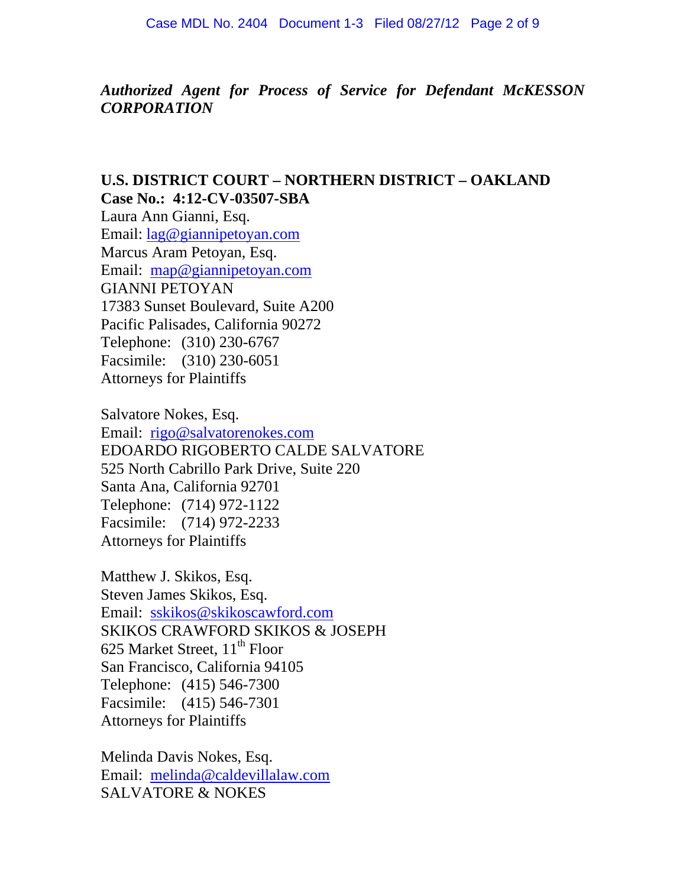*Authorized Agent for Process of Service for Defendant McKESSON CORPORATION* 

#### **U.S. DISTRICT COURT – NORTHERN DISTRICT – OAKLAND Case No.: 4:12-CV-03507-SBA**

Laura Ann Gianni, Esq. Email: lag@giannipetoyan.com Marcus Aram Petoyan, Esq. Email: map@giannipetoyan.com GIANNI PETOYAN 17383 Sunset Boulevard, Suite A200 Pacific Palisades, California 90272 Telephone: (310) 230-6767 Facsimile: (310) 230-6051 Attorneys for Plaintiffs

Salvatore Nokes, Esq. Email: rigo@salvatorenokes.com EDOARDO RIGOBERTO CALDE SALVATORE 525 North Cabrillo Park Drive, Suite 220 Santa Ana, California 92701 Telephone: (714) 972-1122 Facsimile: (714) 972-2233 Attorneys for Plaintiffs

Matthew J. Skikos, Esq. Steven James Skikos, Esq. Email: sskikos@skikoscawford.com SKIKOS CRAWFORD SKIKOS & JOSEPH 625 Market Street,  $11<sup>th</sup>$  Floor San Francisco, California 94105 Telephone: (415) 546-7300 Facsimile: (415) 546-7301 Attorneys for Plaintiffs

Melinda Davis Nokes, Esq. Email: melinda@caldevillalaw.com SALVATORE & NOKES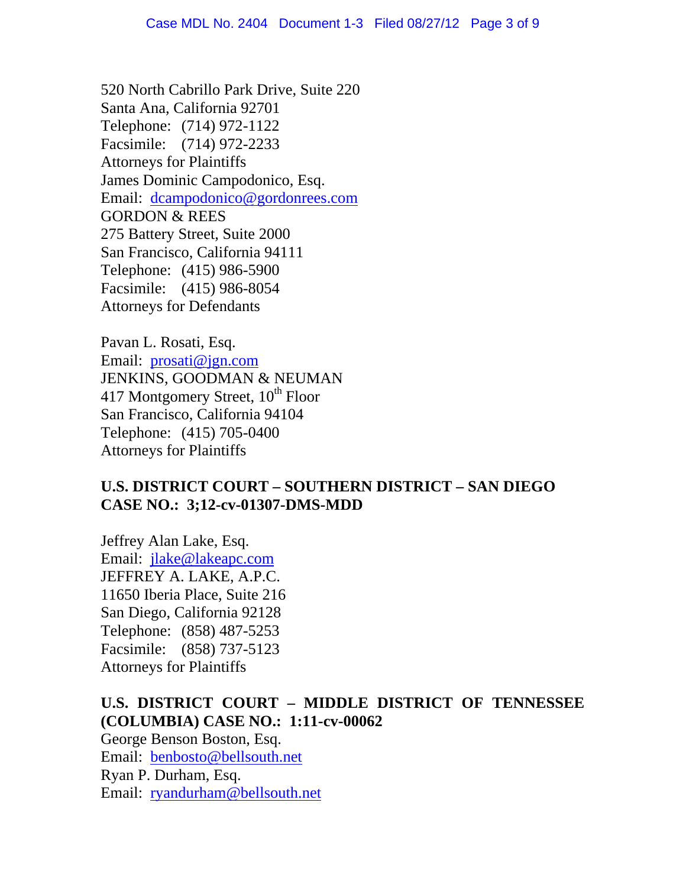520 North Cabrillo Park Drive, Suite 220 Santa Ana, California 92701 Telephone: (714) 972-1122 Facsimile: (714) 972-2233 Attorneys for Plaintiffs James Dominic Campodonico, Esq. Email: dcampodonico@gordonrees.com GORDON & REES 275 Battery Street, Suite 2000 San Francisco, California 94111 Telephone: (415) 986-5900 Facsimile: (415) 986-8054 Attorneys for Defendants

Pavan L. Rosati, Esq. Email: prosati@jgn.com JENKINS, GOODMAN & NEUMAN 417 Montgomery Street,  $10^{th}$  Floor San Francisco, California 94104 Telephone: (415) 705-0400 Attorneys for Plaintiffs

#### **U.S. DISTRICT COURT – SOUTHERN DISTRICT – SAN DIEGO CASE NO.: 3;12-cv-01307-DMS-MDD**

Jeffrey Alan Lake, Esq. Email: jlake@lakeapc.com JEFFREY A. LAKE, A.P.C. 11650 Iberia Place, Suite 216 San Diego, California 92128 Telephone: (858) 487-5253 Facsimile: (858) 737-5123 Attorneys for Plaintiffs

# **U.S. DISTRICT COURT – MIDDLE DISTRICT OF TENNESSEE (COLUMBIA) CASE NO.: 1:11-cv-00062**

George Benson Boston, Esq. Email: benbosto@bellsouth.net Ryan P. Durham, Esq. Email: ryandurham@bellsouth.net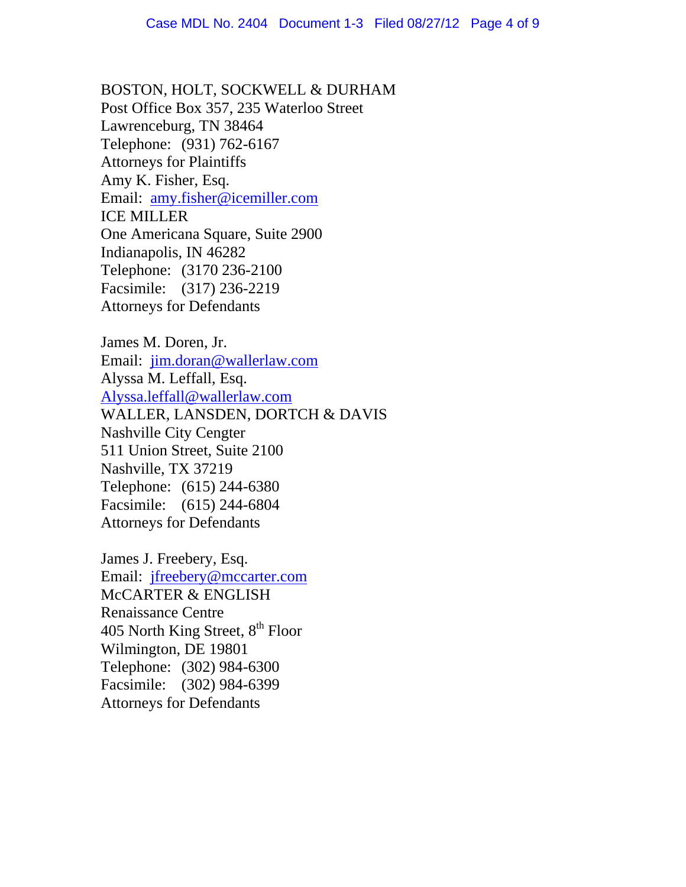BOSTON, HOLT, SOCKWELL & DURHAM Post Office Box 357, 235 Waterloo Street Lawrenceburg, TN 38464 Telephone: (931) 762-6167 Attorneys for Plaintiffs Amy K. Fisher, Esq. Email: amy.fisher@icemiller.com ICE MILLER One Americana Square, Suite 2900 Indianapolis, IN 46282 Telephone: (3170 236-2100 Facsimile: (317) 236-2219 Attorneys for Defendants

James M. Doren, Jr. Email: jim.doran@wallerlaw.com Alyssa M. Leffall, Esq. Alyssa.leffall@wallerlaw.com WALLER, LANSDEN, DORTCH & DAVIS Nashville City Cengter 511 Union Street, Suite 2100 Nashville, TX 37219 Telephone: (615) 244-6380 Facsimile: (615) 244-6804 Attorneys for Defendants

James J. Freebery, Esq. Email: jfreebery@mccarter.com McCARTER & ENGLISH Renaissance Centre 405 North King Street,  $8<sup>th</sup>$  Floor Wilmington, DE 19801 Telephone: (302) 984-6300 Facsimile: (302) 984-6399 Attorneys for Defendants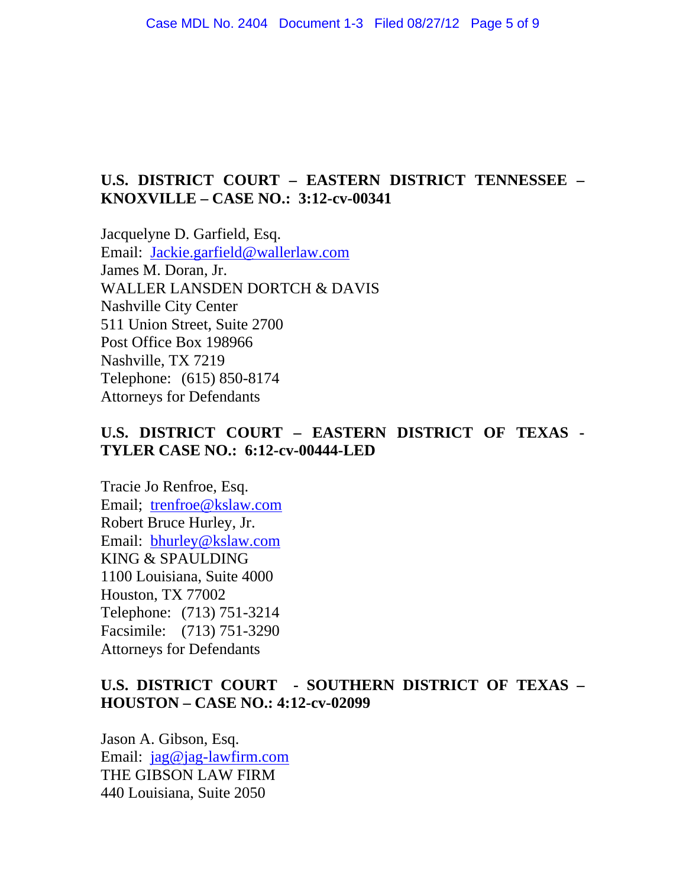#### **U.S. DISTRICT COURT – EASTERN DISTRICT TENNESSEE – KNOXVILLE – CASE NO.: 3:12-cv-00341**

Jacquelyne D. Garfield, Esq. Email: Jackie.garfield@wallerlaw.com James M. Doran, Jr. WALLER LANSDEN DORTCH & DAVIS Nashville City Center 511 Union Street, Suite 2700 Post Office Box 198966 Nashville, TX 7219 Telephone: (615) 850-8174 Attorneys for Defendants

#### **U.S. DISTRICT COURT – EASTERN DISTRICT OF TEXAS - TYLER CASE NO.: 6:12-cv-00444-LED**

Tracie Jo Renfroe, Esq. Email; trenfroe@kslaw.com Robert Bruce Hurley, Jr. Email: bhurley@kslaw.com KING & SPAULDING 1100 Louisiana, Suite 4000 Houston, TX 77002 Telephone: (713) 751-3214 Facsimile: (713) 751-3290 Attorneys for Defendants

#### **U.S. DISTRICT COURT - SOUTHERN DISTRICT OF TEXAS – HOUSTON – CASE NO.: 4:12-cv-02099**

Jason A. Gibson, Esq. Email: jag@jag-lawfirm.com THE GIBSON LAW FIRM 440 Louisiana, Suite 2050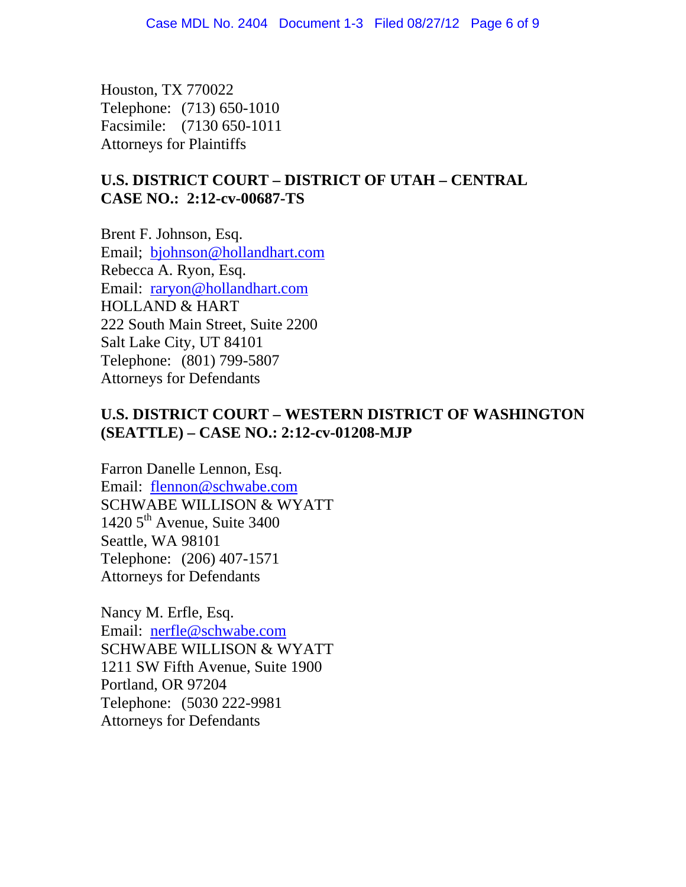Houston, TX 770022 Telephone: (713) 650-1010 Facsimile: (7130 650-1011 Attorneys for Plaintiffs

# **U.S. DISTRICT COURT – DISTRICT OF UTAH – CENTRAL CASE NO.: 2:12-cv-00687-TS**

Brent F. Johnson, Esq. Email; bjohnson@hollandhart.com Rebecca A. Ryon, Esq. Email: raryon@hollandhart.com HOLLAND & HART 222 South Main Street, Suite 2200 Salt Lake City, UT 84101 Telephone: (801) 799-5807 Attorneys for Defendants

## **U.S. DISTRICT COURT – WESTERN DISTRICT OF WASHINGTON (SEATTLE) – CASE NO.: 2:12-cv-01208-MJP**

Farron Danelle Lennon, Esq. Email: flennon@schwabe.com SCHWABE WILLISON & WYATT 1420  $5<sup>th</sup>$  Avenue, Suite 3400 Seattle, WA 98101 Telephone: (206) 407-1571 Attorneys for Defendants

Nancy M. Erfle, Esq. Email: nerfle@schwabe.com SCHWABE WILLISON & WYATT 1211 SW Fifth Avenue, Suite 1900 Portland, OR 97204 Telephone: (5030 222-9981 Attorneys for Defendants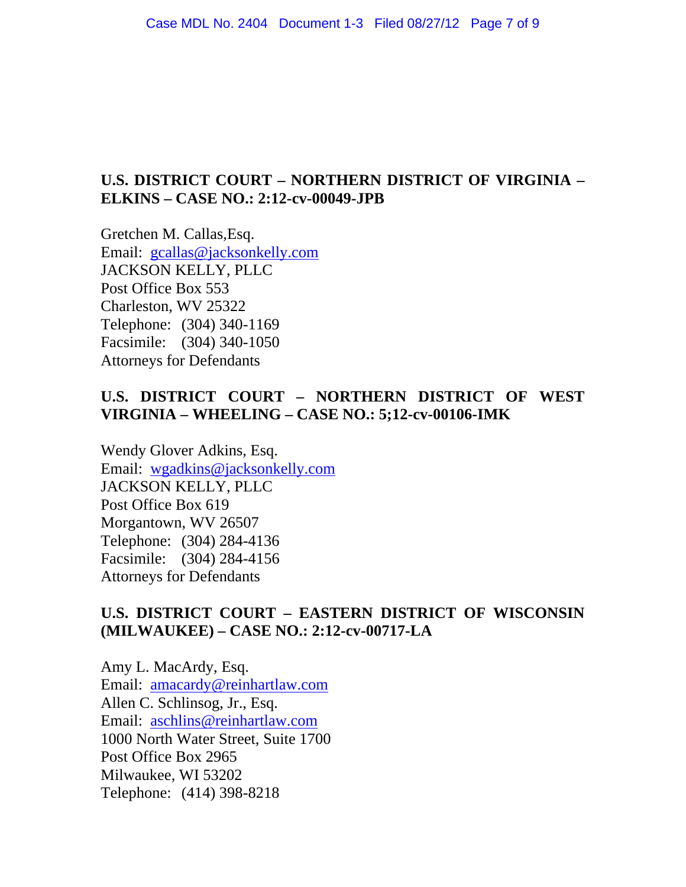#### **U.S. DISTRICT COURT – NORTHERN DISTRICT OF VIRGINIA – ELKINS – CASE NO.: 2:12-cv-00049-JPB**

Gretchen M. Callas,Esq. Email: gcallas@jacksonkelly.com JACKSON KELLY, PLLC Post Office Box 553 Charleston, WV 25322 Telephone: (304) 340-1169 Facsimile: (304) 340-1050 Attorneys for Defendants

# **U.S. DISTRICT COURT – NORTHERN DISTRICT OF WEST VIRGINIA – WHEELING – CASE NO.: 5;12-cv-00106-IMK**

Wendy Glover Adkins, Esq. Email: wgadkins@jacksonkelly.com JACKSON KELLY, PLLC Post Office Box 619 Morgantown, WV 26507 Telephone: (304) 284-4136 Facsimile: (304) 284-4156 Attorneys for Defendants

#### **U.S. DISTRICT COURT – EASTERN DISTRICT OF WISCONSIN (MILWAUKEE) – CASE NO.: 2:12-cv-00717-LA**

Amy L. MacArdy, Esq. Email: amacardy@reinhartlaw.com Allen C. Schlinsog, Jr., Esq. Email: aschlins@reinhartlaw.com 1000 North Water Street, Suite 1700 Post Office Box 2965 Milwaukee, WI 53202 Telephone: (414) 398-8218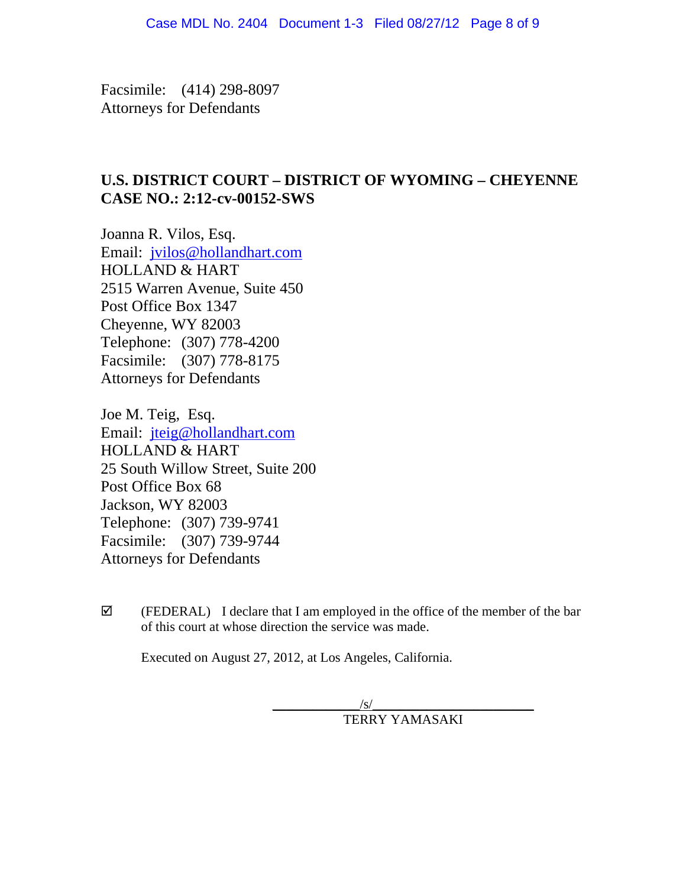Facsimile: (414) 298-8097 Attorneys for Defendants

#### **U.S. DISTRICT COURT – DISTRICT OF WYOMING – CHEYENNE CASE NO.: 2:12-cv-00152-SWS**

Joanna R. Vilos, Esq. Email: jvilos@hollandhart.com HOLLAND & HART 2515 Warren Avenue, Suite 450 Post Office Box 1347 Cheyenne, WY 82003 Telephone: (307) 778-4200 Facsimile: (307) 778-8175 Attorneys for Defendants

Joe M. Teig, Esq. Email: jteig@hollandhart.com HOLLAND & HART 25 South Willow Street, Suite 200 Post Office Box 68 Jackson, WY 82003 Telephone: (307) 739-9741 Facsimile: (307) 739-9744 Attorneys for Defendants

 $\boxtimes$  (FEDERAL) I declare that I am employed in the office of the member of the bar of this court at whose direction the service was made.

Executed on August 27, 2012, at Los Angeles, California.

 $\sqrt{s/}$ TERRY YAMASAKI